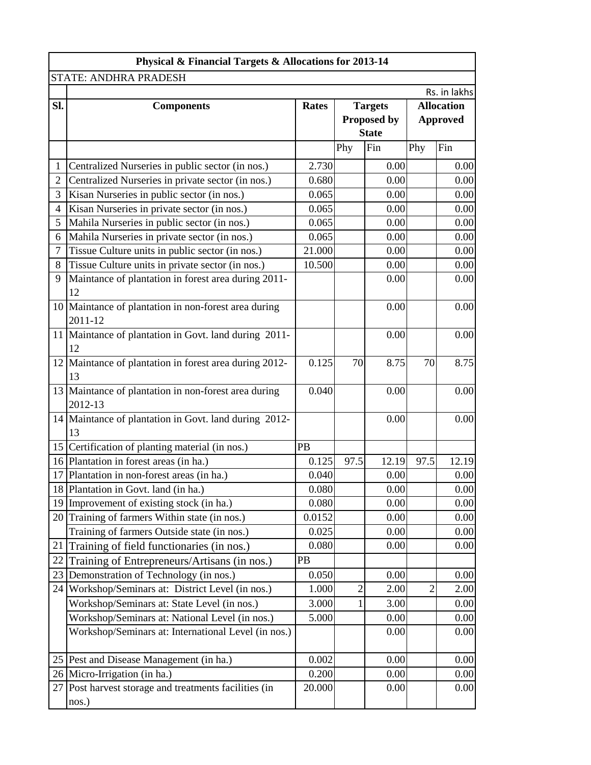|                | Physical & Financial Targets & Allocations for 2013-14          |              |                |                    |                |                   |  |  |
|----------------|-----------------------------------------------------------------|--------------|----------------|--------------------|----------------|-------------------|--|--|
|                | STATE: ANDHRA PRADESH                                           |              |                |                    |                |                   |  |  |
|                |                                                                 |              |                |                    |                | Rs. in lakhs      |  |  |
| Sl.            | <b>Components</b>                                               | <b>Rates</b> |                | <b>Targets</b>     |                | <b>Allocation</b> |  |  |
|                |                                                                 |              |                | <b>Proposed by</b> |                | <b>Approved</b>   |  |  |
|                |                                                                 |              |                | <b>State</b>       |                |                   |  |  |
|                |                                                                 |              | Phy            | Fin                | Phy            | Fin               |  |  |
| 1              | Centralized Nurseries in public sector (in nos.)                | 2.730        |                | 0.00               |                | 0.00              |  |  |
| $\overline{2}$ | Centralized Nurseries in private sector (in nos.)               | 0.680        |                | 0.00               |                | 0.00              |  |  |
| 3              | Kisan Nurseries in public sector (in nos.)                      | 0.065        |                | 0.00               |                | 0.00              |  |  |
| $\overline{4}$ | Kisan Nurseries in private sector (in nos.)                     | 0.065        |                | 0.00               |                | 0.00              |  |  |
| 5              | Mahila Nurseries in public sector (in nos.)                     | 0.065        |                | 0.00               |                | 0.00              |  |  |
| 6              | Mahila Nurseries in private sector (in nos.)                    | 0.065        |                | 0.00               |                | 0.00              |  |  |
| $\tau$         | Tissue Culture units in public sector (in nos.)                 | 21.000       |                | 0.00               |                | 0.00              |  |  |
| 8              | Tissue Culture units in private sector (in nos.)                | 10.500       |                | 0.00               |                | 0.00              |  |  |
| 9              | Maintance of plantation in forest area during 2011-<br>12       |              |                | 0.00               |                | 0.00              |  |  |
|                | 10 Maintance of plantation in non-forest area during<br>2011-12 |              |                | 0.00               |                | 0.00              |  |  |
|                | 11 Maintance of plantation in Govt. land during 2011-<br>12     |              |                | 0.00               |                | 0.00              |  |  |
|                | 12 Maintance of plantation in forest area during 2012-<br>13    | 0.125        | 70             | 8.75               | 70             | 8.75              |  |  |
|                | 13 Maintance of plantation in non-forest area during<br>2012-13 | 0.040        |                | 0.00               |                | 0.00              |  |  |
|                | 14 Maintance of plantation in Govt. land during 2012-<br>13     |              |                | 0.00               |                | 0.00              |  |  |
| 15             | Certification of planting material (in nos.)                    | PB           |                |                    |                |                   |  |  |
|                | 16 Plantation in forest areas (in ha.)                          | 0.125        | 97.5           | 12.19              | 97.5           | 12.19             |  |  |
|                | 17 Plantation in non-forest areas (in ha.)                      | 0.040        |                | 0.00               |                | 0.00              |  |  |
|                | 18 Plantation in Govt. land (in ha.)                            | 0.080        |                | 0.00               |                | 0.00              |  |  |
| 19             | Improvement of existing stock (in ha.)                          | 0.080        |                | 0.00               |                | 0.00              |  |  |
| 20             | Training of farmers Within state (in nos.)                      | 0.0152       |                | 0.00               |                | 0.00              |  |  |
|                | Training of farmers Outside state (in nos.)                     | 0.025        |                | 0.00               |                | 0.00              |  |  |
| 21             | Training of field functionaries (in nos.)                       | 0.080        |                | 0.00               |                | 0.00              |  |  |
| 22             | Training of Entrepreneurs/Artisans (in nos.)                    | PB           |                |                    |                |                   |  |  |
| 23             | Demonstration of Technology (in nos.)                           | 0.050        |                | 0.00               |                | 0.00              |  |  |
| 24             | Workshop/Seminars at: District Level (in nos.)                  | 1.000        | $\overline{2}$ | 2.00               | $\overline{2}$ | 2.00              |  |  |
|                | Workshop/Seminars at: State Level (in nos.)                     | 3.000        | 1              | 3.00               |                | 0.00              |  |  |
|                | Workshop/Seminars at: National Level (in nos.)                  | 5.000        |                | 0.00               |                | 0.00              |  |  |
|                | Workshop/Seminars at: International Level (in nos.)             |              |                | 0.00               |                | 0.00              |  |  |
|                | 25 Pest and Disease Management (in ha.)                         | 0.002        |                | 0.00               |                | 0.00              |  |  |
|                | 26 Micro-Irrigation (in ha.)                                    | 0.200        |                | 0.00               |                | 0.00              |  |  |
|                | 27 Post harvest storage and treatments facilities (in<br>nos.)  | 20.000       |                | 0.00               |                | 0.00              |  |  |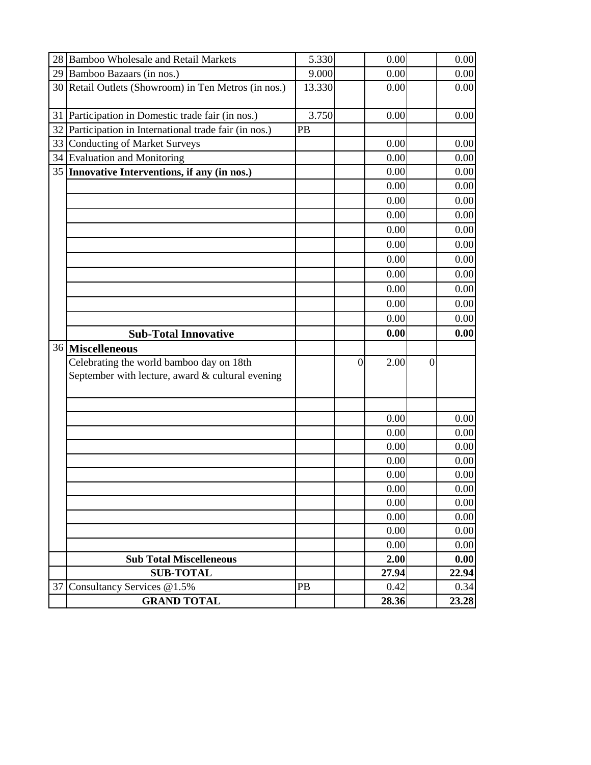| 28 Bamboo Wholesale and Retail Markets                                                       | 5.330  |              | 0.00  |          | 0.00  |
|----------------------------------------------------------------------------------------------|--------|--------------|-------|----------|-------|
| Bamboo Bazaars (in nos.)<br>29                                                               | 9.000  |              | 0.00  |          | 0.00  |
| 30 Retail Outlets (Showroom) in Ten Metros (in nos.)                                         | 13.330 |              | 0.00  |          | 0.00  |
| Participation in Domestic trade fair (in nos.)<br>31                                         | 3.750  |              | 0.00  |          | 0.00  |
| Participation in International trade fair (in nos.)<br>32                                    | PB     |              |       |          |       |
| <b>Conducting of Market Surveys</b><br>33                                                    |        |              | 0.00  |          | 0.00  |
| 34 Evaluation and Monitoring                                                                 |        |              | 0.00  |          | 0.00  |
| 35 Innovative Interventions, if any (in nos.)                                                |        |              | 0.00  |          | 0.00  |
|                                                                                              |        |              | 0.00  |          | 0.00  |
|                                                                                              |        |              | 0.00  |          | 0.00  |
|                                                                                              |        |              | 0.00  |          | 0.00  |
|                                                                                              |        |              | 0.00  |          | 0.00  |
|                                                                                              |        |              | 0.00  |          | 0.00  |
|                                                                                              |        |              | 0.00  |          | 0.00  |
|                                                                                              |        |              | 0.00  |          | 0.00  |
|                                                                                              |        |              | 0.00  |          | 0.00  |
|                                                                                              |        |              | 0.00  |          | 0.00  |
|                                                                                              |        |              | 0.00  |          | 0.00  |
| <b>Sub-Total Innovative</b>                                                                  |        |              | 0.00  |          | 0.00  |
| 36 Miscelleneous                                                                             |        |              |       |          |       |
| Celebrating the world bamboo day on 18th<br>September with lecture, award & cultural evening |        | $\mathbf{0}$ | 2.00  | $\theta$ |       |
|                                                                                              |        |              | 0.00  |          | 0.00  |
|                                                                                              |        |              | 0.00  |          | 0.00  |
|                                                                                              |        |              | 0.00  |          | 0.00  |
|                                                                                              |        |              | 0.00  |          | 0.00  |
|                                                                                              |        |              | 0.00  |          | 0.00  |
|                                                                                              |        |              | 0.00  |          | 0.00  |
|                                                                                              |        |              | 0.00  |          | 0.00  |
|                                                                                              |        |              | 0.00  |          | 0.00  |
|                                                                                              |        |              | 0.00  |          | 0.00  |
|                                                                                              |        |              | 0.00  |          | 0.00  |
| <b>Sub Total Miscelleneous</b>                                                               |        |              | 2.00  |          | 0.00  |
| <b>SUB-TOTAL</b>                                                                             |        |              | 27.94 |          | 22.94 |
| Consultancy Services @1.5%<br>37                                                             | PB     |              | 0.42  |          | 0.34  |
| <b>GRAND TOTAL</b>                                                                           |        |              | 28.36 |          | 23.28 |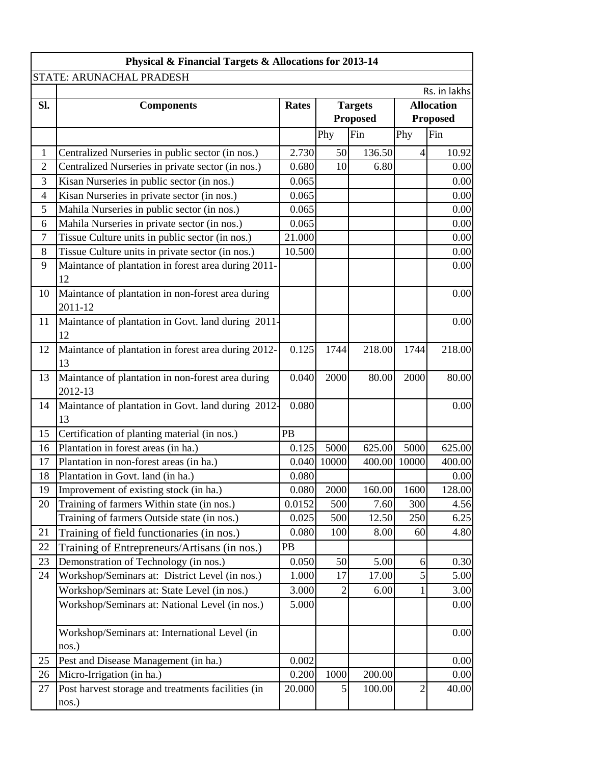| STATE: ARUNACHAL PRADESH<br>SI.<br><b>Components</b><br><b>Rates</b><br>Phy<br>2.730<br>$\mathbf{1}$<br>Centralized Nurseries in public sector (in nos.)<br>$\overline{2}$<br>Centralized Nurseries in private sector (in nos.)<br>0.680<br>3<br>Kisan Nurseries in public sector (in nos.)<br>0.065<br>0.065<br>$\overline{4}$<br>Kisan Nurseries in private sector (in nos.)<br>5<br>Mahila Nurseries in public sector (in nos.)<br>0.065<br>0.065<br>6<br>Mahila Nurseries in private sector (in nos.)<br>$\tau$<br>Tissue Culture units in public sector (in nos.)<br>21.000<br>8<br>Tissue Culture units in private sector (in nos.)<br>10.500 | <b>Targets</b><br><b>Proposed</b><br>Fin<br>50<br>10 | 136.50<br>6.80 | Phy<br>4     | Rs. in lakhs<br><b>Allocation</b><br><b>Proposed</b><br>Fin<br>10.92<br>0.00<br>0.00<br>0.00 |
|-----------------------------------------------------------------------------------------------------------------------------------------------------------------------------------------------------------------------------------------------------------------------------------------------------------------------------------------------------------------------------------------------------------------------------------------------------------------------------------------------------------------------------------------------------------------------------------------------------------------------------------------------------|------------------------------------------------------|----------------|--------------|----------------------------------------------------------------------------------------------|
|                                                                                                                                                                                                                                                                                                                                                                                                                                                                                                                                                                                                                                                     |                                                      |                |              |                                                                                              |
|                                                                                                                                                                                                                                                                                                                                                                                                                                                                                                                                                                                                                                                     |                                                      |                |              |                                                                                              |
|                                                                                                                                                                                                                                                                                                                                                                                                                                                                                                                                                                                                                                                     |                                                      |                |              |                                                                                              |
|                                                                                                                                                                                                                                                                                                                                                                                                                                                                                                                                                                                                                                                     |                                                      |                |              |                                                                                              |
|                                                                                                                                                                                                                                                                                                                                                                                                                                                                                                                                                                                                                                                     |                                                      |                |              |                                                                                              |
|                                                                                                                                                                                                                                                                                                                                                                                                                                                                                                                                                                                                                                                     |                                                      |                |              |                                                                                              |
|                                                                                                                                                                                                                                                                                                                                                                                                                                                                                                                                                                                                                                                     |                                                      |                |              |                                                                                              |
|                                                                                                                                                                                                                                                                                                                                                                                                                                                                                                                                                                                                                                                     |                                                      |                |              |                                                                                              |
|                                                                                                                                                                                                                                                                                                                                                                                                                                                                                                                                                                                                                                                     |                                                      |                |              |                                                                                              |
|                                                                                                                                                                                                                                                                                                                                                                                                                                                                                                                                                                                                                                                     |                                                      |                |              | 0.00                                                                                         |
|                                                                                                                                                                                                                                                                                                                                                                                                                                                                                                                                                                                                                                                     |                                                      |                |              | 0.00                                                                                         |
|                                                                                                                                                                                                                                                                                                                                                                                                                                                                                                                                                                                                                                                     |                                                      |                |              | 0.00                                                                                         |
|                                                                                                                                                                                                                                                                                                                                                                                                                                                                                                                                                                                                                                                     |                                                      |                |              | 0.00                                                                                         |
| 9<br>Maintance of plantation in forest area during 2011-                                                                                                                                                                                                                                                                                                                                                                                                                                                                                                                                                                                            |                                                      |                |              | 0.00                                                                                         |
| 12                                                                                                                                                                                                                                                                                                                                                                                                                                                                                                                                                                                                                                                  |                                                      |                |              |                                                                                              |
| Maintance of plantation in non-forest area during<br>10<br>2011-12                                                                                                                                                                                                                                                                                                                                                                                                                                                                                                                                                                                  |                                                      |                |              | 0.00                                                                                         |
| Maintance of plantation in Govt. land during 2011-<br>11<br>12                                                                                                                                                                                                                                                                                                                                                                                                                                                                                                                                                                                      |                                                      |                |              | 0.00                                                                                         |
| Maintance of plantation in forest area during 2012-<br>0.125<br>12<br>13                                                                                                                                                                                                                                                                                                                                                                                                                                                                                                                                                                            | 1744                                                 | 218.00         | 1744         | 218.00                                                                                       |
| Maintance of plantation in non-forest area during<br>0.040<br>13<br>2012-13                                                                                                                                                                                                                                                                                                                                                                                                                                                                                                                                                                         | 2000                                                 | 80.00          | 2000         | 80.00                                                                                        |
| Maintance of plantation in Govt. land during 2012-<br>0.080<br>14                                                                                                                                                                                                                                                                                                                                                                                                                                                                                                                                                                                   |                                                      |                |              | 0.00                                                                                         |
| 13                                                                                                                                                                                                                                                                                                                                                                                                                                                                                                                                                                                                                                                  |                                                      |                |              |                                                                                              |
| 15<br>PB<br>Certification of planting material (in nos.)                                                                                                                                                                                                                                                                                                                                                                                                                                                                                                                                                                                            |                                                      |                |              |                                                                                              |
| Plantation in forest areas (in ha.)<br>0.125<br>16                                                                                                                                                                                                                                                                                                                                                                                                                                                                                                                                                                                                  | 5000                                                 | 625.00         | 5000         | 625.00                                                                                       |
| Plantation in non-forest areas (in ha.)<br>17<br>0.040<br>10000                                                                                                                                                                                                                                                                                                                                                                                                                                                                                                                                                                                     |                                                      | 400.00         | 10000        | 400.00                                                                                       |
| 18<br>Plantation in Govt. land (in ha.)<br>0.080                                                                                                                                                                                                                                                                                                                                                                                                                                                                                                                                                                                                    |                                                      |                |              | 0.00                                                                                         |
| 19<br>Improvement of existing stock (in ha.)<br>0.080                                                                                                                                                                                                                                                                                                                                                                                                                                                                                                                                                                                               | 2000                                                 | 160.00         | 1600         | 128.00                                                                                       |
| Training of farmers Within state (in nos.)<br>20<br>0.0152                                                                                                                                                                                                                                                                                                                                                                                                                                                                                                                                                                                          | 500                                                  | 7.60           | 300          | 4.56                                                                                         |
| Training of farmers Outside state (in nos.)<br>0.025                                                                                                                                                                                                                                                                                                                                                                                                                                                                                                                                                                                                | 500                                                  | 12.50          | 250          | 6.25                                                                                         |
| 21<br>0.080<br>Training of field functionaries (in nos.)                                                                                                                                                                                                                                                                                                                                                                                                                                                                                                                                                                                            | 100                                                  | 8.00           | 60           | 4.80                                                                                         |
| 22<br>PB<br>Training of Entrepreneurs/Artisans (in nos.)                                                                                                                                                                                                                                                                                                                                                                                                                                                                                                                                                                                            |                                                      |                |              |                                                                                              |
| 23<br>Demonstration of Technology (in nos.)<br>0.050                                                                                                                                                                                                                                                                                                                                                                                                                                                                                                                                                                                                | 50                                                   | 5.00           | 6            | 0.30                                                                                         |
| 24<br>Workshop/Seminars at: District Level (in nos.)<br>1.000                                                                                                                                                                                                                                                                                                                                                                                                                                                                                                                                                                                       | 17                                                   | 17.00          | 5            | 5.00                                                                                         |
| Workshop/Seminars at: State Level (in nos.)<br>3.000                                                                                                                                                                                                                                                                                                                                                                                                                                                                                                                                                                                                | $\overline{2}$                                       | 6.00           | 1            | 3.00                                                                                         |
| Workshop/Seminars at: National Level (in nos.)<br>5.000                                                                                                                                                                                                                                                                                                                                                                                                                                                                                                                                                                                             |                                                      |                |              | 0.00                                                                                         |
| Workshop/Seminars at: International Level (in<br>nos.)                                                                                                                                                                                                                                                                                                                                                                                                                                                                                                                                                                                              |                                                      |                |              | 0.00                                                                                         |
| 25<br>Pest and Disease Management (in ha.)<br>0.002                                                                                                                                                                                                                                                                                                                                                                                                                                                                                                                                                                                                 |                                                      |                |              | 0.00                                                                                         |
| 0.200<br>26<br>Micro-Irrigation (in ha.)                                                                                                                                                                                                                                                                                                                                                                                                                                                                                                                                                                                                            | 1000                                                 | 200.00         |              | 0.00                                                                                         |
| Post harvest storage and treatments facilities (in<br>27<br>20.000<br>nos.)                                                                                                                                                                                                                                                                                                                                                                                                                                                                                                                                                                         | 5                                                    | 100.00         | $\mathbf{2}$ | 40.00                                                                                        |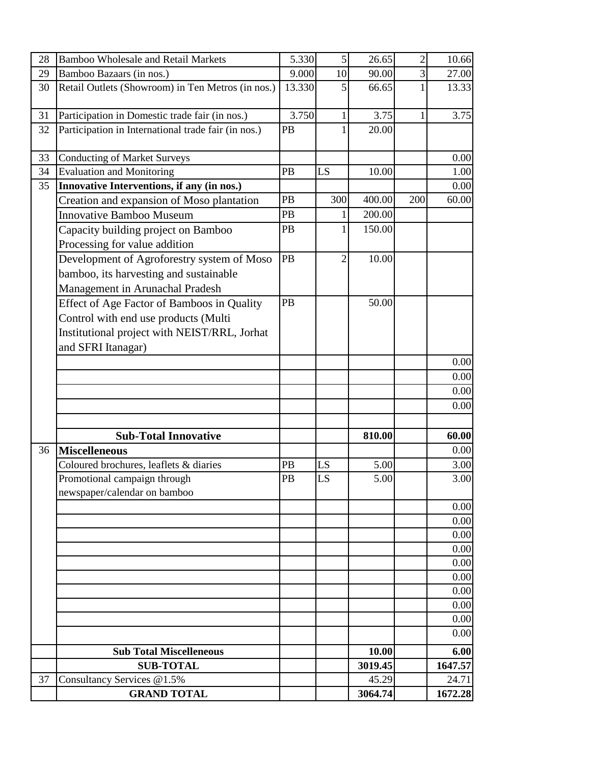| 28 | <b>Bamboo Wholesale and Retail Markets</b>                                                                                                               | 5.330  | 5              | 26.65   | $\overline{2}$ | 10.66   |
|----|----------------------------------------------------------------------------------------------------------------------------------------------------------|--------|----------------|---------|----------------|---------|
| 29 | Bamboo Bazaars (in nos.)                                                                                                                                 | 9.000  | 10             | 90.00   | 3              | 27.00   |
| 30 | Retail Outlets (Showroom) in Ten Metros (in nos.)                                                                                                        | 13.330 | 5              | 66.65   |                | 13.33   |
| 31 | Participation in Domestic trade fair (in nos.)                                                                                                           | 3.750  | $\mathbf{1}$   | 3.75    |                | 3.75    |
| 32 | Participation in International trade fair (in nos.)                                                                                                      | PB     | 1              | 20.00   |                |         |
| 33 | <b>Conducting of Market Surveys</b>                                                                                                                      |        |                |         |                | 0.00    |
| 34 | <b>Evaluation and Monitoring</b>                                                                                                                         | PB     | LS             | 10.00   |                | 1.00    |
| 35 | Innovative Interventions, if any (in nos.)                                                                                                               |        |                |         |                | 0.00    |
|    | Creation and expansion of Moso plantation                                                                                                                | PB     | 300            | 400.00  | 200            | 60.00   |
|    | <b>Innovative Bamboo Museum</b>                                                                                                                          | PB     |                | 200.00  |                |         |
|    | Capacity building project on Bamboo<br>Processing for value addition                                                                                     | PB     | 1              | 150.00  |                |         |
|    | Development of Agroforestry system of Moso<br>bamboo, its harvesting and sustainable<br>Management in Arunachal Pradesh                                  | PB     | $\overline{2}$ | 10.00   |                |         |
|    | Effect of Age Factor of Bamboos in Quality<br>Control with end use products (Multi<br>Institutional project with NEIST/RRL, Jorhat<br>and SFRI Itanagar) | PB     |                | 50.00   |                |         |
|    |                                                                                                                                                          |        |                |         |                | 0.00    |
|    |                                                                                                                                                          |        |                |         |                | 0.00    |
|    |                                                                                                                                                          |        |                |         |                | 0.00    |
|    |                                                                                                                                                          |        |                |         |                | 0.00    |
|    | <b>Sub-Total Innovative</b>                                                                                                                              |        |                | 810.00  |                | 60.00   |
| 36 | <b>Miscelleneous</b>                                                                                                                                     |        |                |         |                | 0.00    |
|    | Coloured brochures, leaflets & diaries                                                                                                                   | PB     | LS             | 5.00    |                | 3.00    |
|    | Promotional campaign through<br>newspaper/calendar on bamboo                                                                                             | PB     | LS             | 5.00    |                | 3.00    |
|    |                                                                                                                                                          |        |                |         |                | 0.00    |
|    |                                                                                                                                                          |        |                |         |                | 0.00    |
|    |                                                                                                                                                          |        |                |         |                | 0.00    |
|    |                                                                                                                                                          |        |                |         |                | 0.00    |
|    |                                                                                                                                                          |        |                |         |                | 0.00    |
|    |                                                                                                                                                          |        |                |         |                | 0.00    |
|    |                                                                                                                                                          |        |                |         |                | 0.00    |
|    |                                                                                                                                                          |        |                |         |                | 0.00    |
|    |                                                                                                                                                          |        |                |         |                | 0.00    |
|    |                                                                                                                                                          |        |                |         |                | 0.00    |
|    | <b>Sub Total Miscelleneous</b>                                                                                                                           |        |                | 10.00   |                | 6.00    |
|    | <b>SUB-TOTAL</b>                                                                                                                                         |        |                | 3019.45 |                | 1647.57 |
| 37 | Consultancy Services @1.5%                                                                                                                               |        |                | 45.29   |                | 24.71   |
|    | <b>GRAND TOTAL</b>                                                                                                                                       |        |                | 3064.74 |                | 1672.28 |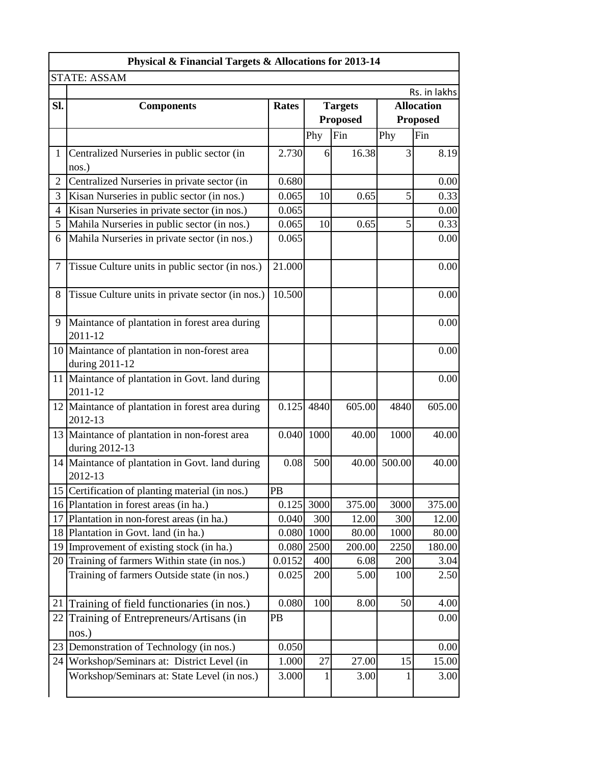| Physical & Financial Targets & Allocations for 2013-14 |                                                                 |              |      |                 |                 |                   |  |  |
|--------------------------------------------------------|-----------------------------------------------------------------|--------------|------|-----------------|-----------------|-------------------|--|--|
|                                                        | <b>STATE: ASSAM</b>                                             |              |      |                 |                 |                   |  |  |
|                                                        |                                                                 |              |      |                 |                 | Rs. in lakhs      |  |  |
| Sl.                                                    | <b>Components</b>                                               | <b>Rates</b> |      | <b>Targets</b>  |                 | <b>Allocation</b> |  |  |
|                                                        |                                                                 |              |      | <b>Proposed</b> |                 | <b>Proposed</b>   |  |  |
|                                                        |                                                                 |              | Phy  | Fin             | Phy             | Fin               |  |  |
| $\mathbf{1}$                                           | Centralized Nurseries in public sector (in                      | 2.730        | 6    | 16.38           | 3               | 8.19              |  |  |
|                                                        | nos.)                                                           |              |      |                 |                 |                   |  |  |
| $\overline{2}$                                         | Centralized Nurseries in private sector (in                     | 0.680        |      |                 |                 | 0.00              |  |  |
| 3                                                      | Kisan Nurseries in public sector (in nos.)                      | 0.065        | 10   | 0.65            | 5               | 0.33              |  |  |
| 4                                                      | Kisan Nurseries in private sector (in nos.)                     | 0.065        |      |                 |                 | 0.00              |  |  |
| 5                                                      | Mahila Nurseries in public sector (in nos.)                     | 0.065        | 10   | 0.65            | $\vert 5 \vert$ | 0.33              |  |  |
| 6                                                      | Mahila Nurseries in private sector (in nos.)                    | 0.065        |      |                 |                 | 0.00              |  |  |
| $\tau$                                                 | Tissue Culture units in public sector (in nos.)                 | 21.000       |      |                 |                 | 0.00              |  |  |
| 8                                                      | Tissue Culture units in private sector (in nos.)                | 10.500       |      |                 |                 | 0.00              |  |  |
| 9                                                      | Maintance of plantation in forest area during<br>2011-12        |              |      |                 |                 | 0.00              |  |  |
|                                                        | 10 Maintance of plantation in non-forest area<br>during 2011-12 |              |      |                 |                 | 0.00              |  |  |
|                                                        | 11 Maintance of plantation in Govt. land during<br>2011-12      |              |      |                 |                 | 0.00              |  |  |
|                                                        | 12 Maintance of plantation in forest area during<br>2012-13     | 0.125        | 4840 | 605.00          | 4840            | 605.00            |  |  |
|                                                        | 13 Maintance of plantation in non-forest area<br>during 2012-13 | 0.040 1000   |      | 40.00           | 1000            | 40.00             |  |  |
|                                                        | 14 Maintance of plantation in Govt. land during<br>2012-13      | 0.08         | 500  | 40.00           | 500.00          | 40.00             |  |  |
|                                                        | 15 Certification of planting material (in nos.)                 | PB           |      |                 |                 |                   |  |  |
|                                                        | 16 Plantation in forest areas (in ha.)                          | 0.125        | 3000 | 375.00          | 3000            | 375.00            |  |  |
| 17                                                     | Plantation in non-forest areas (in ha.)                         | 0.040        | 300  | 12.00           | 300             | 12.00             |  |  |
| 18                                                     | Plantation in Govt. land (in ha.)                               | 0.080        | 1000 | 80.00           | 1000            | 80.00             |  |  |
| 19                                                     | Improvement of existing stock (in ha.)                          | 0.080        | 2500 | 200.00          | 2250            | 180.00            |  |  |
| 20                                                     | Training of farmers Within state (in nos.)                      | 0.0152       | 400  | 6.08            | 200             | 3.04              |  |  |
|                                                        | Training of farmers Outside state (in nos.)                     | 0.025        | 200  | 5.00            | 100             | 2.50              |  |  |
| 21                                                     | Training of field functionaries (in nos.)                       | 0.080        | 100  | 8.00            | 50              | 4.00              |  |  |
| 22                                                     | Training of Entrepreneurs/Artisans (in<br>nos.)                 | <b>PB</b>    |      |                 |                 | 0.00              |  |  |
| 23                                                     | Demonstration of Technology (in nos.)                           | 0.050        |      |                 |                 | 0.00              |  |  |
| 24                                                     | Workshop/Seminars at: District Level (in                        | 1.000        | 27   | 27.00           | 15              | 15.00             |  |  |
|                                                        | Workshop/Seminars at: State Level (in nos.)                     | 3.000        | 1    | 3.00            |                 | 3.00              |  |  |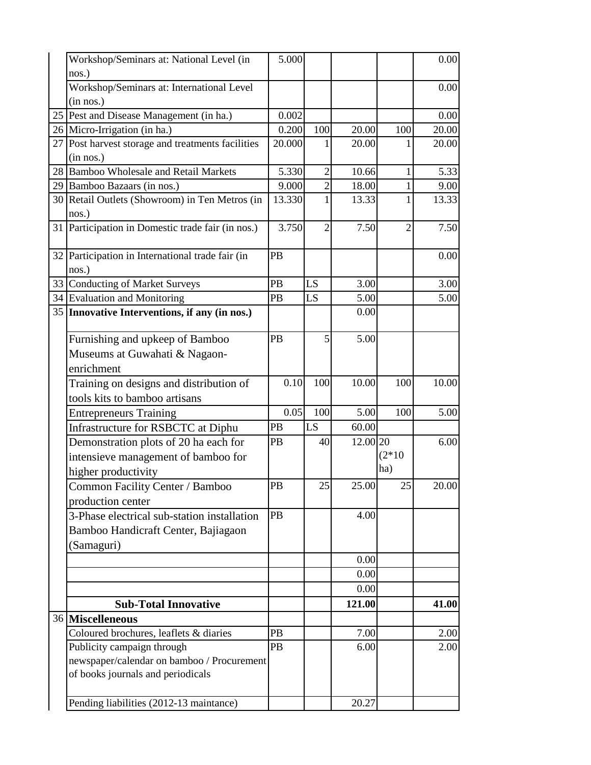| Workshop/Seminars at: National Level (in          | 5.000     |                 |          |          | 0.00  |
|---------------------------------------------------|-----------|-----------------|----------|----------|-------|
| nos.)                                             |           |                 |          |          |       |
| Workshop/Seminars at: International Level         |           |                 |          |          | 0.00  |
| (in nos.)                                         |           |                 |          |          |       |
| 25 Pest and Disease Management (in ha.)           | 0.002     |                 |          |          | 0.00  |
| 26 Micro-Irrigation (in ha.)                      | 0.200     | 100             | 20.00    | 100      | 20.00 |
| 27 Post harvest storage and treatments facilities | 20.000    |                 | 20.00    |          | 20.00 |
| (in nos.)                                         |           |                 |          |          |       |
| 28 Bamboo Wholesale and Retail Markets            | 5.330     | $\overline{2}$  | 10.66    | 1        | 5.33  |
| 29 Bamboo Bazaars (in nos.)                       | 9.000     | $\overline{2}$  | 18.00    |          | 9.00  |
| 30 Retail Outlets (Showroom) in Ten Metros (in    | 13.330    | 1               | 13.33    |          | 13.33 |
| nos.)                                             |           |                 |          |          |       |
| 31 Participation in Domestic trade fair (in nos.) | 3.750     | 2               | 7.50     | 2        | 7.50  |
| 32 Participation in International trade fair (in  | PB        |                 |          |          | 0.00  |
| nos.)                                             |           |                 |          |          |       |
| 33 Conducting of Market Surveys                   | PB        | LS              | 3.00     |          | 3.00  |
| 34 Evaluation and Monitoring                      | PB        | LS              | 5.00     |          | 5.00  |
| 35 Innovative Interventions, if any (in nos.)     |           |                 | 0.00     |          |       |
|                                                   |           |                 |          |          |       |
| Furnishing and upkeep of Bamboo                   | PB        | 5               | 5.00     |          |       |
| Museums at Guwahati & Nagaon-                     |           |                 |          |          |       |
| enrichment                                        |           |                 |          |          |       |
| Training on designs and distribution of           | 0.10      | 100             | 10.00    | 100      | 10.00 |
|                                                   |           |                 |          |          |       |
| tools kits to bamboo artisans                     |           |                 |          |          |       |
| <b>Entrepreneurs Training</b>                     | 0.05      | 100             | 5.00     | 100      | 5.00  |
| Infrastructure for RSBCTC at Diphu                | PB        | LS              | 60.00    |          |       |
| Demonstration plots of 20 ha each for             | PB        | 40              | 12.00 20 |          | 6.00  |
| intensieve management of bamboo for               |           |                 |          | $(2*10)$ |       |
| higher productivity                               |           |                 |          | ha)      |       |
| Common Facility Center / Bamboo                   | PB        | $\overline{25}$ | 25.00    | 25       | 20.00 |
| production center                                 |           |                 |          |          |       |
| 3-Phase electrical sub-station installation       | <b>PB</b> |                 | 4.00     |          |       |
| Bamboo Handicraft Center, Bajiagaon               |           |                 |          |          |       |
| (Samaguri)                                        |           |                 |          |          |       |
|                                                   |           |                 | 0.00     |          |       |
|                                                   |           |                 | 0.00     |          |       |
|                                                   |           |                 | 0.00     |          |       |
| <b>Sub-Total Innovative</b>                       |           |                 | 121.00   |          | 41.00 |
| 36 Miscelleneous                                  |           |                 |          |          |       |
| Coloured brochures, leaflets & diaries            | PB        |                 | 7.00     |          | 2.00  |
| Publicity campaign through                        | PB        |                 | 6.00     |          | 2.00  |
| newspaper/calendar on bamboo / Procurement        |           |                 |          |          |       |
| of books journals and periodicals                 |           |                 |          |          |       |
|                                                   |           |                 |          |          |       |
| Pending liabilities (2012-13 maintance)           |           |                 | 20.27    |          |       |
|                                                   |           |                 |          |          |       |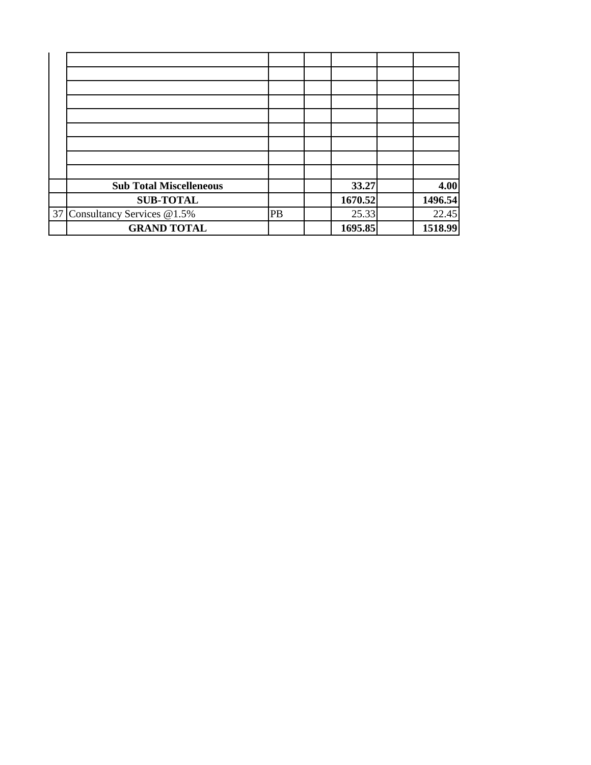| <b>Sub Total Miscelleneous</b> |    | 33.27   | 4.00    |
|--------------------------------|----|---------|---------|
| <b>SUB-TOTAL</b>               |    | 1670.52 | 1496.54 |
| 37 Consultancy Services @1.5%  | PB | 25.33   | 22.45   |
| <b>GRAND TOTAL</b>             |    | 1695.85 | 1518.99 |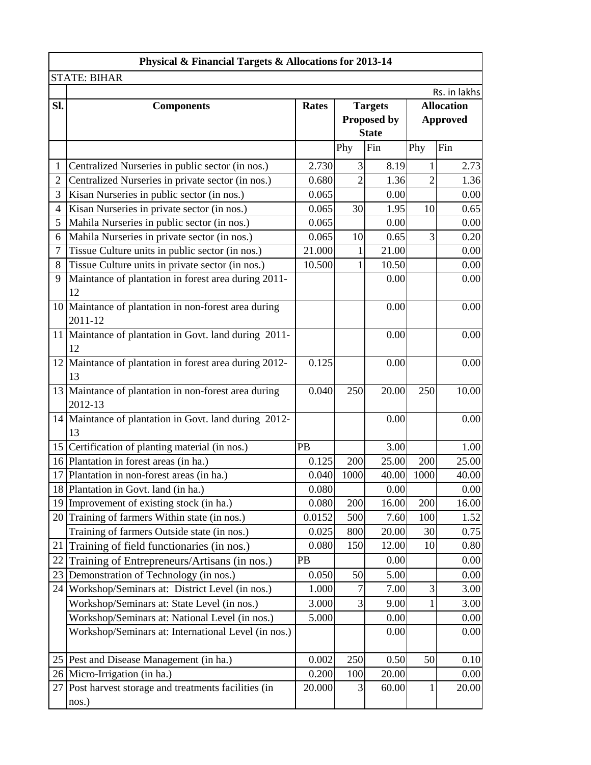| Physical & Financial Targets & Allocations for 2013-14 |                                                                 |              |                 |                |                |                   |  |
|--------------------------------------------------------|-----------------------------------------------------------------|--------------|-----------------|----------------|----------------|-------------------|--|
|                                                        | <b>STATE: BIHAR</b>                                             |              |                 |                |                |                   |  |
|                                                        |                                                                 |              |                 |                |                | Rs. in lakhs      |  |
| Sl.                                                    | <b>Components</b>                                               | <b>Rates</b> |                 | <b>Targets</b> |                | <b>Allocation</b> |  |
|                                                        |                                                                 |              |                 | Proposed by    |                | <b>Approved</b>   |  |
|                                                        |                                                                 |              |                 | <b>State</b>   |                |                   |  |
|                                                        |                                                                 |              | Phy             | Fin            | Phy            | Fin               |  |
| 1                                                      | Centralized Nurseries in public sector (in nos.)                | 2.730        | $\vert 3 \vert$ | 8.19           | 1              | 2.73              |  |
| $\overline{2}$                                         | Centralized Nurseries in private sector (in nos.)               | 0.680        | $\overline{2}$  | 1.36           | $\overline{2}$ | 1.36              |  |
| 3                                                      | Kisan Nurseries in public sector (in nos.)                      | 0.065        |                 | 0.00           |                | 0.00              |  |
| $\overline{4}$                                         | Kisan Nurseries in private sector (in nos.)                     | 0.065        | 30              | 1.95           | 10             | 0.65              |  |
| 5                                                      | Mahila Nurseries in public sector (in nos.)                     | 0.065        |                 | 0.00           |                | 0.00              |  |
| 6                                                      | Mahila Nurseries in private sector (in nos.)                    | 0.065        | 10              | 0.65           | 3              | 0.20              |  |
| $\overline{7}$                                         | Tissue Culture units in public sector (in nos.)                 | 21.000       |                 | 21.00          |                | 0.00              |  |
| 8                                                      | Tissue Culture units in private sector (in nos.)                | 10.500       |                 | 10.50          |                | 0.00              |  |
| 9                                                      | Maintance of plantation in forest area during 2011-<br>12       |              |                 | 0.00           |                | 0.00              |  |
|                                                        | 10 Maintance of plantation in non-forest area during<br>2011-12 |              |                 | 0.00           |                | 0.00              |  |
|                                                        | 11 Maintance of plantation in Govt. land during 2011-<br>12     |              |                 | 0.00           |                | 0.00              |  |
|                                                        | 12 Maintance of plantation in forest area during 2012-<br>13    | 0.125        |                 | 0.00           |                | 0.00              |  |
|                                                        | 13 Maintance of plantation in non-forest area during<br>2012-13 | 0.040        | 250             | 20.00          | 250            | 10.00             |  |
|                                                        | 14 Maintance of plantation in Govt. land during 2012-<br>13     |              |                 | 0.00           |                | 0.00              |  |
|                                                        | 15 Certification of planting material (in nos.)                 | PB           |                 | 3.00           |                | 1.00              |  |
|                                                        | 16 Plantation in forest areas (in ha.)                          | 0.125        | 200             | 25.00          | 200            | 25.00             |  |
|                                                        | 17 Plantation in non-forest areas (in ha.)                      | 0.040        | 1000            | 40.00          | 1000           | 40.00             |  |
|                                                        | 18 Plantation in Govt. land (in ha.)                            | 0.080        |                 | 0.00           |                | 0.00              |  |
|                                                        | 19 Improvement of existing stock (in ha.)                       | 0.080        | 200             | 16.00          | 200            | 16.00             |  |
| 20                                                     | Training of farmers Within state (in nos.)                      | 0.0152       | 500             | 7.60           | 100            | 1.52              |  |
|                                                        | Training of farmers Outside state (in nos.)                     | 0.025        | 800             | 20.00          | 30             | 0.75              |  |
| 21                                                     | Training of field functionaries (in nos.)                       | 0.080        | 150             | 12.00          | 10             | 0.80              |  |
| 22                                                     | Training of Entrepreneurs/Artisans (in nos.)                    | PB           |                 | 0.00           |                | 0.00              |  |
| 23                                                     | Demonstration of Technology (in nos.)                           | 0.050        | 50              | 5.00           |                | 0.00              |  |
| 24                                                     | Workshop/Seminars at: District Level (in nos.)                  | 1.000        | 7               | 7.00           | 3              | 3.00              |  |
|                                                        | Workshop/Seminars at: State Level (in nos.)                     | 3.000        | 3               | 9.00           |                | 3.00              |  |
|                                                        | Workshop/Seminars at: National Level (in nos.)                  | 5.000        |                 | 0.00           |                | 0.00              |  |
|                                                        | Workshop/Seminars at: International Level (in nos.)             |              |                 | 0.00           |                | 0.00              |  |
|                                                        | 25 Pest and Disease Management (in ha.)                         | 0.002        | 250             | 0.50           | 50             | 0.10              |  |
|                                                        | 26 Micro-Irrigation (in ha.)                                    | 0.200        | 100             | 20.00          |                | 0.00              |  |
|                                                        | 27 Post harvest storage and treatments facilities (in<br>nos.)  | 20.000       | $\vert 3 \vert$ | 60.00          | 1              | 20.00             |  |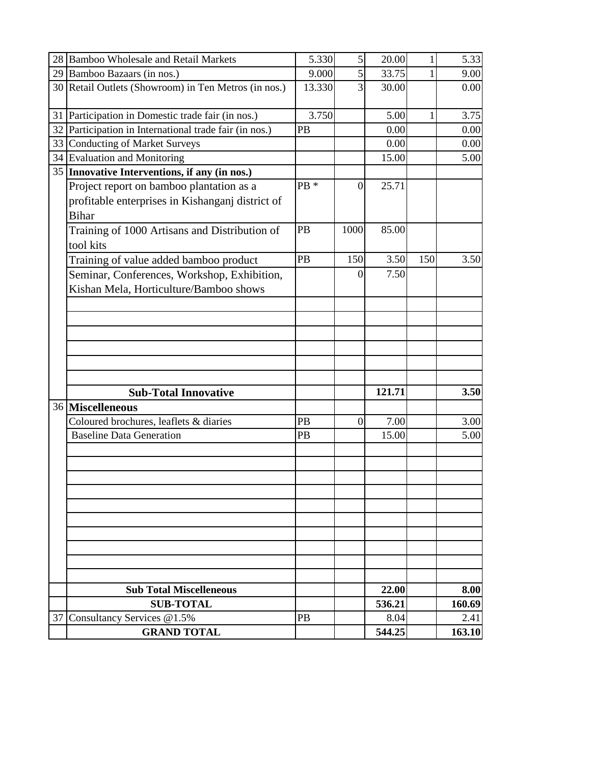|    | 28 Bamboo Wholesale and Retail Markets                                                                       | 5.330  | $\vert 5 \vert$ | 20.00          | 1   | 5.33           |
|----|--------------------------------------------------------------------------------------------------------------|--------|-----------------|----------------|-----|----------------|
|    | 29 Bamboo Bazaars (in nos.)                                                                                  | 9.000  | $\vert 5 \vert$ | 33.75          |     | 9.00           |
|    | 30 Retail Outlets (Showroom) in Ten Metros (in nos.)                                                         | 13.330 | 3               | 30.00          |     | 0.00           |
|    | 31 Participation in Domestic trade fair (in nos.)                                                            | 3.750  |                 | 5.00           | 1   | 3.75           |
|    | 32 Participation in International trade fair (in nos.)                                                       | PB     |                 | 0.00           |     | 0.00           |
| 33 | <b>Conducting of Market Surveys</b>                                                                          |        |                 | 0.00           |     | 0.00           |
|    | 34 Evaluation and Monitoring                                                                                 |        |                 | 15.00          |     | 5.00           |
|    | 35 Innovative Interventions, if any (in nos.)                                                                |        |                 |                |     |                |
|    | Project report on bamboo plantation as a<br>profitable enterprises in Kishanganj district of<br><b>Bihar</b> | PB *   | 0               | 25.71          |     |                |
|    | Training of 1000 Artisans and Distribution of<br>tool kits                                                   | PB     | 1000            | 85.00          |     |                |
|    | Training of value added bamboo product                                                                       | PB     | 150             | 3.50           | 150 | 3.50           |
|    | Seminar, Conferences, Workshop, Exhibition,<br>Kishan Mela, Horticulture/Bamboo shows                        |        | 0               | 7.50           |     |                |
|    |                                                                                                              |        |                 |                |     |                |
|    |                                                                                                              |        |                 |                |     |                |
|    |                                                                                                              |        |                 |                |     |                |
|    |                                                                                                              |        |                 |                |     |                |
|    |                                                                                                              |        |                 |                |     |                |
|    |                                                                                                              |        |                 |                |     |                |
|    | <b>Sub-Total Innovative</b>                                                                                  |        |                 | 121.71         |     | 3.50           |
|    | 36 Miscelleneous                                                                                             |        |                 |                |     |                |
|    | Coloured brochures, leaflets & diaries                                                                       | PB     | $\overline{0}$  | 7.00           |     | 3.00           |
|    | <b>Baseline Data Generation</b>                                                                              | PB     |                 | 15.00          |     | 5.00           |
|    |                                                                                                              |        |                 |                |     |                |
|    |                                                                                                              |        |                 |                |     |                |
|    |                                                                                                              |        |                 |                |     |                |
|    |                                                                                                              |        |                 |                |     |                |
|    |                                                                                                              |        |                 |                |     |                |
|    |                                                                                                              |        |                 |                |     |                |
|    |                                                                                                              |        |                 |                |     |                |
|    |                                                                                                              |        |                 |                |     |                |
|    |                                                                                                              |        |                 |                |     |                |
|    | <b>Sub Total Miscelleneous</b>                                                                               |        |                 | 22.00          |     | 8.00           |
| 37 | <b>SUB-TOTAL</b><br>Consultancy Services @1.5%                                                               | PB     |                 | 536.21<br>8.04 |     | 160.69<br>2.41 |
|    | <b>GRAND TOTAL</b>                                                                                           |        |                 | 544.25         |     | 163.10         |
|    |                                                                                                              |        |                 |                |     |                |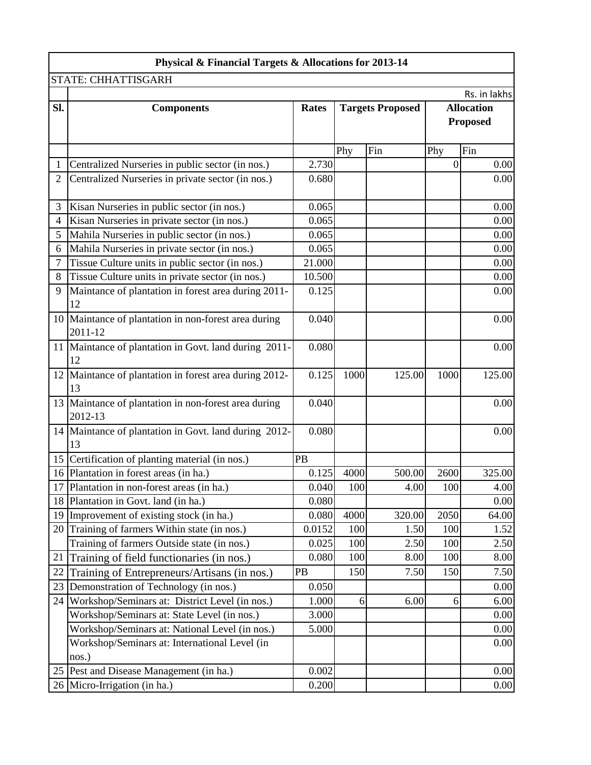|                | Physical & Financial Targets & Allocations for 2013-14          |              |          |        |                         |              |  |                                      |
|----------------|-----------------------------------------------------------------|--------------|----------|--------|-------------------------|--------------|--|--------------------------------------|
|                | STATE: CHHATTISGARH                                             |              |          |        |                         |              |  |                                      |
|                |                                                                 |              |          |        |                         | Rs. in lakhs |  |                                      |
| SI.            | <b>Components</b>                                               | <b>Rates</b> |          |        | <b>Targets Proposed</b> |              |  | <b>Allocation</b><br><b>Proposed</b> |
|                |                                                                 |              | Phy      | Fin    | Phy                     | Fin          |  |                                      |
| 1              | Centralized Nurseries in public sector (in nos.)                | 2.730        |          |        | $\overline{0}$          | 0.00         |  |                                      |
| $\overline{2}$ | Centralized Nurseries in private sector (in nos.)               | 0.680        |          |        |                         | 0.00         |  |                                      |
|                |                                                                 |              |          |        |                         |              |  |                                      |
| 3              | Kisan Nurseries in public sector (in nos.)                      | 0.065        |          |        |                         | 0.00         |  |                                      |
| 4              | Kisan Nurseries in private sector (in nos.)                     | 0.065        |          |        |                         | 0.00         |  |                                      |
| 5              | Mahila Nurseries in public sector (in nos.)                     | 0.065        |          |        |                         | 0.00         |  |                                      |
| 6              | Mahila Nurseries in private sector (in nos.)                    | 0.065        |          |        |                         | 0.00         |  |                                      |
| 7              | Tissue Culture units in public sector (in nos.)                 | 21.000       |          |        |                         | 0.00         |  |                                      |
| 8              | Tissue Culture units in private sector (in nos.)                | 10.500       |          |        |                         | 0.00         |  |                                      |
| 9              | Maintance of plantation in forest area during 2011-<br>12       | 0.125        |          |        |                         | 0.00         |  |                                      |
|                | 10 Maintance of plantation in non-forest area during<br>2011-12 | 0.040        |          |        |                         | 0.00         |  |                                      |
|                | 11 Maintance of plantation in Govt. land during 2011-<br>12     | 0.080        |          |        |                         | 0.00         |  |                                      |
|                | 12 Maintance of plantation in forest area during 2012-<br>13    | 0.125        | 1000     | 125.00 | 1000                    | 125.00       |  |                                      |
|                | 13 Maintance of plantation in non-forest area during<br>2012-13 | 0.040        |          |        |                         | 0.00         |  |                                      |
|                | 14 Maintance of plantation in Govt. land during 2012-<br>13     | 0.080        |          |        |                         | 0.00         |  |                                      |
|                | 15 Certification of planting material (in nos.)                 | PB           |          |        |                         |              |  |                                      |
|                | 16 Plantation in forest areas (in ha.)                          | 0.125        | 4000     | 500.00 | 2600                    | 325.00       |  |                                      |
|                | 17 Plantation in non-forest areas (in ha.)                      | 0.040        | 100      | 4.00   | 100                     | 4.00         |  |                                      |
|                | 18 Plantation in Govt. land (in ha.)                            | 0.080        |          |        |                         | 0.00         |  |                                      |
|                | 19 Improvement of existing stock (in ha.)                       | 0.080        | 4000     | 320.00 | 2050                    | 64.00        |  |                                      |
|                | 20 Training of farmers Within state (in nos.)                   | 0.0152       | 100      | 1.50   | 100                     | 1.52         |  |                                      |
|                | Training of farmers Outside state (in nos.)                     | 0.025        | 100      | 2.50   | 100                     | 2.50         |  |                                      |
| 21             | Training of field functionaries (in nos.)                       | 0.080        | 100      | 8.00   | 100                     | 8.00         |  |                                      |
| 22             | Training of Entrepreneurs/Artisans (in nos.)                    | PB           | 150      | 7.50   | 150                     | 7.50         |  |                                      |
| 23             | Demonstration of Technology (in nos.)                           | 0.050        |          |        |                         | 0.00         |  |                                      |
| 24             | Workshop/Seminars at: District Level (in nos.)                  | 1.000        | $6 \mid$ | 6.00   | $6 \mid$                | 6.00         |  |                                      |
|                | Workshop/Seminars at: State Level (in nos.)                     | 3.000        |          |        |                         | 0.00         |  |                                      |
|                | Workshop/Seminars at: National Level (in nos.)                  | 5.000        |          |        |                         | 0.00         |  |                                      |
|                | Workshop/Seminars at: International Level (in<br>nos.)          |              |          |        |                         | 0.00         |  |                                      |
|                | 25 Pest and Disease Management (in ha.)                         | 0.002        |          |        |                         | 0.00         |  |                                      |
|                | 26 Micro-Irrigation (in ha.)                                    | 0.200        |          |        |                         | 0.00         |  |                                      |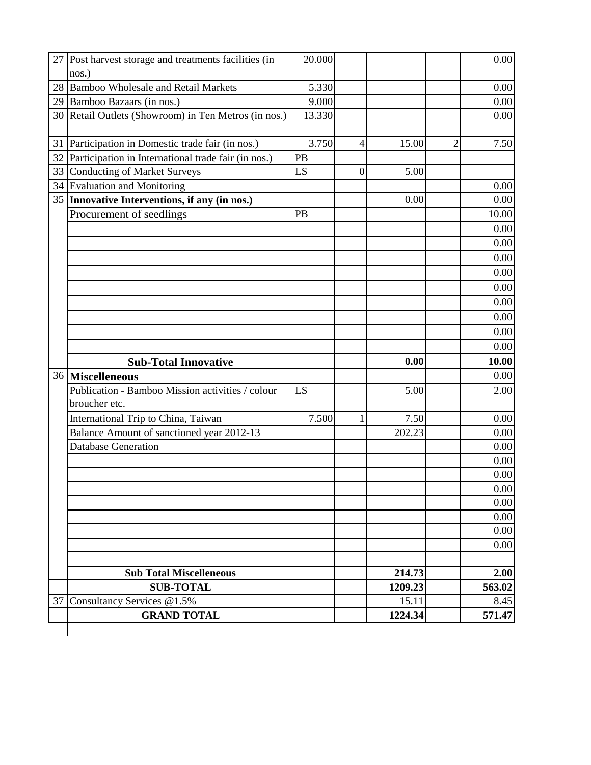|                 | 27 Post harvest storage and treatments facilities (in                | 20.000 |                |         |                | 0.00   |
|-----------------|----------------------------------------------------------------------|--------|----------------|---------|----------------|--------|
|                 | nos.)                                                                |        |                |         |                |        |
|                 | 28 Bamboo Wholesale and Retail Markets                               | 5.330  |                |         |                | 0.00   |
|                 | 29 Bamboo Bazaars (in nos.)                                          | 9.000  |                |         |                | 0.00   |
|                 | 30 Retail Outlets (Showroom) in Ten Metros (in nos.)                 | 13.330 |                |         |                | 0.00   |
| 31              | Participation in Domestic trade fair (in nos.)                       | 3.750  | 4              | 15.00   | $\overline{2}$ | 7.50   |
|                 | 32 Participation in International trade fair (in nos.)               | PB     |                |         |                |        |
|                 | 33 Conducting of Market Surveys                                      | LS     | $\overline{0}$ | 5.00    |                |        |
|                 | 34 Evaluation and Monitoring                                         |        |                |         |                | 0.00   |
|                 | 35 Innovative Interventions, if any (in nos.)                        |        |                | 0.00    |                | 0.00   |
|                 | Procurement of seedlings                                             | PB     |                |         |                | 10.00  |
|                 |                                                                      |        |                |         |                | 0.00   |
|                 |                                                                      |        |                |         |                | 0.00   |
|                 |                                                                      |        |                |         |                | 0.00   |
|                 |                                                                      |        |                |         |                | 0.00   |
|                 |                                                                      |        |                |         |                | 0.00   |
|                 |                                                                      |        |                |         |                | 0.00   |
|                 |                                                                      |        |                |         |                | 0.00   |
|                 |                                                                      |        |                |         |                | 0.00   |
|                 |                                                                      |        |                |         |                | 0.00   |
|                 |                                                                      |        |                | 0.00    |                | 10.00  |
|                 | <b>Sub-Total Innovative</b>                                          |        |                |         |                | 0.00   |
|                 | 36 Miscelleneous<br>Publication - Bamboo Mission activities / colour |        |                |         |                |        |
|                 | broucher etc.                                                        | LS     |                | 5.00    |                | 2.00   |
|                 | International Trip to China, Taiwan                                  | 7.500  | 1              | 7.50    |                | 0.00   |
|                 | Balance Amount of sanctioned year 2012-13                            |        |                | 202.23  |                | 0.00   |
|                 | <b>Database Generation</b>                                           |        |                |         |                | 0.00   |
|                 |                                                                      |        |                |         |                | 0.00   |
|                 |                                                                      |        |                |         |                | 0.00   |
|                 |                                                                      |        |                |         |                | 0.00   |
|                 |                                                                      |        |                |         |                | 0.00   |
|                 |                                                                      |        |                |         |                | 0.00   |
|                 |                                                                      |        |                |         |                | 0.00   |
|                 |                                                                      |        |                |         |                | 0.00   |
|                 | <b>Sub Total Miscelleneous</b>                                       |        |                | 214.73  |                | 2.00   |
|                 | <b>SUB-TOTAL</b>                                                     |        |                | 1209.23 |                | 563.02 |
| 37 <sup>1</sup> | Consultancy Services @1.5%                                           |        |                | 15.11   |                | 8.45   |
|                 | <b>GRAND TOTAL</b>                                                   |        |                | 1224.34 |                | 571.47 |
|                 |                                                                      |        |                |         |                |        |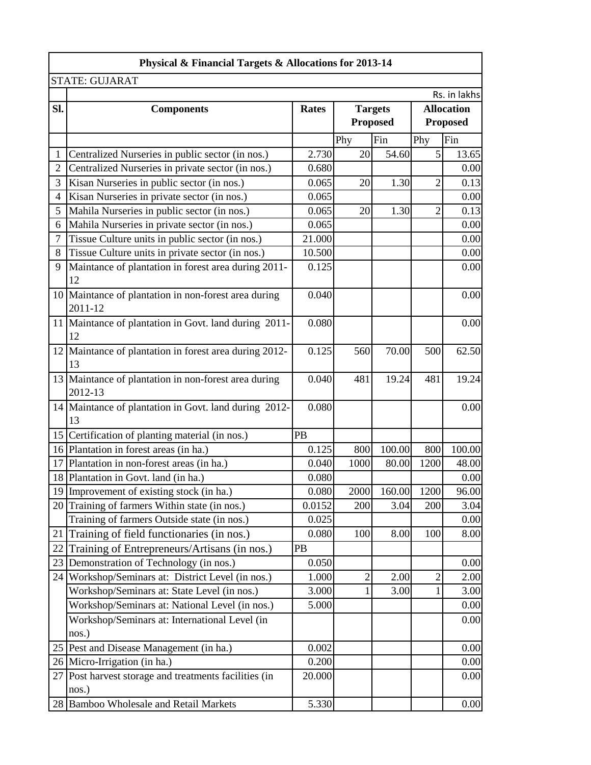|                | Physical & Financial Targets & Allocations for 2013-14          |              |                |                 |                   |                 |  |  |  |
|----------------|-----------------------------------------------------------------|--------------|----------------|-----------------|-------------------|-----------------|--|--|--|
|                | <b>STATE: GUJARAT</b>                                           |              |                |                 |                   |                 |  |  |  |
|                |                                                                 |              |                |                 |                   | Rs. in lakhs    |  |  |  |
| Sl.            | <b>Components</b>                                               | <b>Rates</b> |                | <b>Targets</b>  | <b>Allocation</b> |                 |  |  |  |
|                |                                                                 |              |                | <b>Proposed</b> |                   | <b>Proposed</b> |  |  |  |
|                |                                                                 |              | Phy            | Fin             | Phy               | Fin             |  |  |  |
| 1              | Centralized Nurseries in public sector (in nos.)                | 2.730        | 20             | 54.60           | 5                 | 13.65           |  |  |  |
| $\overline{2}$ | Centralized Nurseries in private sector (in nos.)               | 0.680        |                |                 |                   | 0.00            |  |  |  |
| 3              | Kisan Nurseries in public sector (in nos.)                      | 0.065        | 20             | 1.30            | $\overline{2}$    | 0.13            |  |  |  |
| $\overline{4}$ | Kisan Nurseries in private sector (in nos.)                     | 0.065        |                |                 |                   | 0.00            |  |  |  |
| 5              | Mahila Nurseries in public sector (in nos.)                     | 0.065        | 20             | 1.30            | $\overline{2}$    | 0.13            |  |  |  |
| 6              | Mahila Nurseries in private sector (in nos.)                    | 0.065        |                |                 |                   | 0.00            |  |  |  |
| $\overline{7}$ | Tissue Culture units in public sector (in nos.)                 | 21.000       |                |                 |                   | 0.00            |  |  |  |
| 8              | Tissue Culture units in private sector (in nos.)                | 10.500       |                |                 |                   | 0.00            |  |  |  |
| 9              | Maintance of plantation in forest area during 2011-<br>12       | 0.125        |                |                 |                   | 0.00            |  |  |  |
|                | 10 Maintance of plantation in non-forest area during<br>2011-12 | 0.040        |                |                 |                   | 0.00            |  |  |  |
|                | 11 Maintance of plantation in Govt. land during 2011-<br>12     | 0.080        |                |                 |                   | 0.00            |  |  |  |
|                | 12 Maintance of plantation in forest area during 2012-<br>13    | 0.125        | 560            | 70.00           | 500               | 62.50           |  |  |  |
|                | 13 Maintance of plantation in non-forest area during<br>2012-13 | 0.040        | 481            | 19.24           | 481               | 19.24           |  |  |  |
|                | 14 Maintance of plantation in Govt. land during 2012-<br>13     | 0.080        |                |                 |                   | 0.00            |  |  |  |
|                | 15 Certification of planting material (in nos.)                 | PB           |                |                 |                   |                 |  |  |  |
|                | 16 Plantation in forest areas (in ha.)                          | 0.125        | 800            | 100.00          | 800               | 100.00          |  |  |  |
|                | 17 Plantation in non-forest areas (in ha.)                      | 0.040        | 1000           | 80.00           | 1200              | 48.00           |  |  |  |
|                | 18 Plantation in Govt. land (in ha.)                            | 0.080        |                |                 |                   | 0.00            |  |  |  |
|                | 19 Improvement of existing stock (in ha.)                       | 0.080        | 2000           | 160.00          | 1200              | 96.00           |  |  |  |
|                | 20 Training of farmers Within state (in nos.)                   | 0.0152       | 200            | 3.04            | 200               | 3.04            |  |  |  |
|                | Training of farmers Outside state (in nos.)                     | 0.025        |                |                 |                   | 0.00            |  |  |  |
| 21             | Training of field functionaries (in nos.)                       | 0.080        | 100            | 8.00            | 100               | 8.00            |  |  |  |
| 22             | Training of Entrepreneurs/Artisans (in nos.)                    | PB           |                |                 |                   |                 |  |  |  |
| 23             | Demonstration of Technology (in nos.)                           | 0.050        |                |                 |                   | 0.00            |  |  |  |
|                | 24 Workshop/Seminars at: District Level (in nos.)               | 1.000        | $\overline{c}$ | 2.00            | 2                 | 2.00            |  |  |  |
|                | Workshop/Seminars at: State Level (in nos.)                     | 3.000        | 1              | 3.00            | 1                 | 3.00            |  |  |  |
|                | Workshop/Seminars at: National Level (in nos.)                  | 5.000        |                |                 |                   | 0.00            |  |  |  |
|                | Workshop/Seminars at: International Level (in                   |              |                |                 |                   | 0.00            |  |  |  |
|                | nos.)                                                           |              |                |                 |                   |                 |  |  |  |
|                | 25 Pest and Disease Management (in ha.)                         | 0.002        |                |                 |                   | 0.00            |  |  |  |
|                | 26 Micro-Irrigation (in ha.)                                    | 0.200        |                |                 |                   | 0.00            |  |  |  |
|                | 27 Post harvest storage and treatments facilities (in<br>nos.)  | 20.000       |                |                 |                   | 0.00            |  |  |  |
|                | 28 Bamboo Wholesale and Retail Markets                          | 5.330        |                |                 |                   | 0.00            |  |  |  |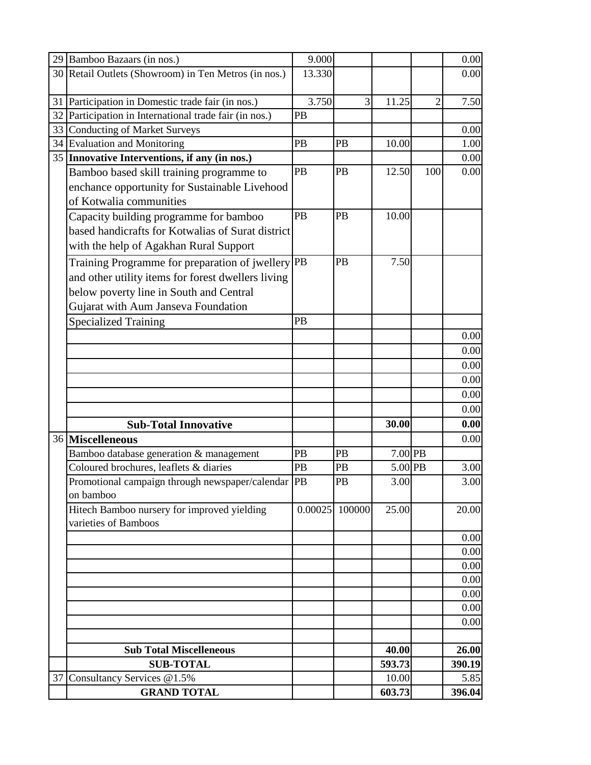|    | 29 Bamboo Bazaars (in nos.)                          | 9.000  |                  |         |                | 0.00         |
|----|------------------------------------------------------|--------|------------------|---------|----------------|--------------|
|    | 30 Retail Outlets (Showroom) in Ten Metros (in nos.) | 13.330 |                  |         |                | 0.00         |
|    |                                                      |        |                  |         |                |              |
|    | 31 Participation in Domestic trade fair (in nos.)    | 3.750  | 3                | 11.25   | $\overline{2}$ | 7.50         |
| 32 | Participation in International trade fair (in nos.)  | PB     |                  |         |                |              |
|    | 33 Conducting of Market Surveys                      |        |                  |         |                | 0.00         |
|    | 34 Evaluation and Monitoring                         | PB     | PB               | 10.00   |                | 1.00         |
|    | 35 Innovative Interventions, if any (in nos.)        |        |                  |         |                | 0.00         |
|    | Bamboo based skill training programme to             | PB     | PB               | 12.50   | 100            | 0.00         |
|    | enchance opportunity for Sustainable Livehood        |        |                  |         |                |              |
|    | of Kotwalia communities                              |        |                  |         |                |              |
|    | Capacity building programme for bamboo               | PB     | PB               | 10.00   |                |              |
|    | based handicrafts for Kotwalias of Surat district    |        |                  |         |                |              |
|    | with the help of Agakhan Rural Support               |        |                  |         |                |              |
|    | Training Programme for preparation of jwellery PB    |        | PB               | 7.50    |                |              |
|    | and other utility items for forest dwellers living   |        |                  |         |                |              |
|    | below poverty line in South and Central              |        |                  |         |                |              |
|    | Gujarat with Aum Janseva Foundation                  |        |                  |         |                |              |
|    | <b>Specialized Training</b>                          | PB     |                  |         |                |              |
|    |                                                      |        |                  |         |                | 0.00         |
|    |                                                      |        |                  |         |                | 0.00         |
|    |                                                      |        |                  |         |                | 0.00         |
|    |                                                      |        |                  |         |                | 0.00         |
|    |                                                      |        |                  |         |                | 0.00         |
|    |                                                      |        |                  |         |                | 0.00         |
|    | <b>Sub-Total Innovative</b>                          |        |                  | 30.00   |                | 0.00         |
|    | 36 Miscelleneous                                     |        |                  |         |                | 0.00         |
|    | Bamboo database generation & management              | PB     | PB               | 7.00 PB |                |              |
|    | Coloured brochures, leaflets & diaries               | PB     | PB               | 5.00 PB |                | 3.00         |
|    | Promotional campaign through newspaper/calendar PB   |        | PB               | 3.00    |                | 3.00         |
|    | on bamboo                                            |        |                  |         |                |              |
|    | Hitech Bamboo nursery for improved yielding          |        | $0.00025$ 100000 | 25.00   |                | 20.00        |
|    | varieties of Bamboos                                 |        |                  |         |                |              |
|    |                                                      |        |                  |         |                | 0.00         |
|    |                                                      |        |                  |         |                | 0.00         |
|    |                                                      |        |                  |         |                | 0.00         |
|    |                                                      |        |                  |         |                | 0.00         |
|    |                                                      |        |                  |         |                | 0.00<br>0.00 |
|    |                                                      |        |                  |         |                |              |
|    |                                                      |        |                  |         |                | 0.00         |
|    | <b>Sub Total Miscelleneous</b>                       |        |                  | 40.00   |                | 26.00        |
|    | <b>SUB-TOTAL</b>                                     |        |                  | 593.73  |                | 390.19       |
| 37 | Consultancy Services @1.5%                           |        |                  | 10.00   |                | 5.85         |
|    | <b>GRAND TOTAL</b>                                   |        |                  | 603.73  |                | 396.04       |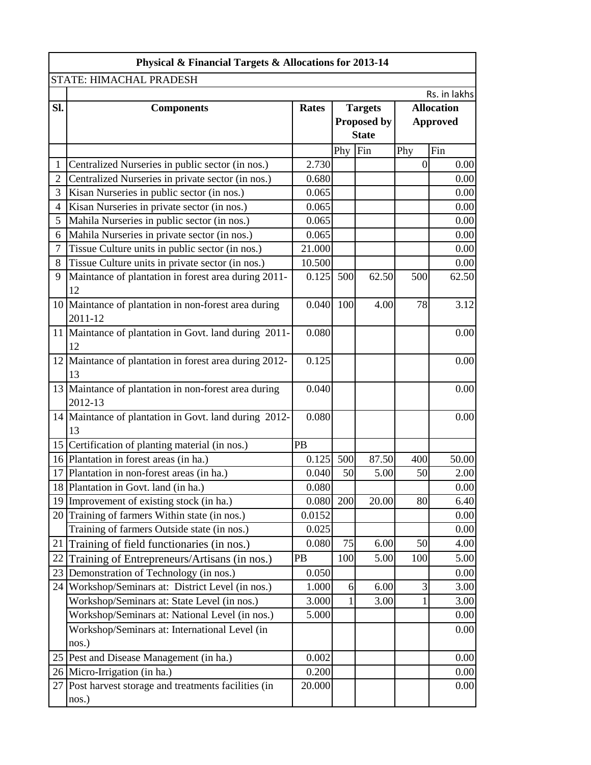|                 | Physical & Financial Targets & Allocations for 2013-14           |        |         |                    |          |                   |
|-----------------|------------------------------------------------------------------|--------|---------|--------------------|----------|-------------------|
|                 | STATE: HIMACHAL PRADESH                                          |        |         |                    |          |                   |
|                 |                                                                  |        |         |                    |          | Rs. in lakhs      |
| SI.             | <b>Components</b>                                                | Rates  |         | <b>Targets</b>     |          | <b>Allocation</b> |
|                 |                                                                  |        |         | <b>Proposed by</b> |          | <b>Approved</b>   |
|                 |                                                                  |        |         | <b>State</b>       |          |                   |
|                 |                                                                  |        | Phy Fin |                    | Phy      | Fin               |
| 1               | Centralized Nurseries in public sector (in nos.)                 | 2.730  |         |                    | $\theta$ | 0.00              |
| $\overline{2}$  | Centralized Nurseries in private sector (in nos.)                | 0.680  |         |                    |          | 0.00              |
| 3               | Kisan Nurseries in public sector (in nos.)                       | 0.065  |         |                    |          | 0.00              |
| 4               | Kisan Nurseries in private sector (in nos.)                      | 0.065  |         |                    |          | 0.00              |
| 5               | Mahila Nurseries in public sector (in nos.)                      | 0.065  |         |                    |          | 0.00              |
| 6               | Mahila Nurseries in private sector (in nos.)                     | 0.065  |         |                    |          | 0.00              |
| 7               | Tissue Culture units in public sector (in nos.)                  | 21.000 |         |                    |          | 0.00              |
| 8               | Tissue Culture units in private sector (in nos.)                 | 10.500 |         |                    |          | 0.00              |
| 9               | Maintance of plantation in forest area during 2011-<br>12        | 0.125  | 500     | 62.50              | 500      | 62.50             |
|                 | 10 Maintance of plantation in non-forest area during<br>2011-12  | 0.040  | 100     | 4.00               | 78       | 3.12              |
|                 | 11 Maintance of plantation in Govt. land during 2011-<br>12      | 0.080  |         |                    |          | 0.00              |
|                 | 12 Maintance of plantation in forest area during 2012-<br>13     | 0.125  |         |                    |          | 0.00              |
|                 | 13 Maintance of plantation in non-forest area during<br>2012-13  | 0.040  |         |                    |          | 0.00              |
|                 | 14 Maintance of plantation in Govt. land during 2012-<br>13      | 0.080  |         |                    |          | 0.00              |
|                 | 15 Certification of planting material (in nos.)                  | PB     |         |                    |          |                   |
|                 | 16 Plantation in forest areas (in ha.)                           | 0.125  | 500     | 87.50              | 400      | 50.00             |
|                 | 17 Plantation in non-forest areas (in ha.)                       | 0.040  | 50      | 5.00               | 50       | 2.00              |
|                 | 18 Plantation in Govt. land (in ha.)                             | 0.080  |         |                    |          | 0.00              |
| 19 <sup> </sup> | Improvement of existing stock (in ha.)                           | 0.080  | 200     | 20.00              | 80       | 6.40              |
|                 | 20 Training of farmers Within state (in nos.)                    | 0.0152 |         |                    |          | 0.00              |
|                 | Training of farmers Outside state (in nos.)                      | 0.025  |         |                    |          | 0.00              |
|                 | 21 Training of field functionaries (in nos.)                     | 0.080  | 75      | 6.00               | 50       | 4.00              |
| 22              | Training of Entrepreneurs/Artisans (in nos.)                     | PB     | 100     | 5.00               | 100      | 5.00              |
| 23              | Demonstration of Technology (in nos.)                            | 0.050  |         |                    |          | 0.00              |
|                 | 24 Workshop/Seminars at: District Level (in nos.)                | 1.000  | 6       | 6.00               | 3        | 3.00              |
|                 | Workshop/Seminars at: State Level (in nos.)                      | 3.000  | 1       | 3.00               |          | 3.00              |
|                 | Workshop/Seminars at: National Level (in nos.)                   | 5.000  |         |                    |          | 0.00              |
|                 | Workshop/Seminars at: International Level (in                    |        |         |                    |          | 0.00              |
|                 | nos.)                                                            |        |         |                    |          |                   |
|                 | 25 Pest and Disease Management (in ha.)                          | 0.002  |         |                    |          | 0.00              |
|                 | 26 Micro-Irrigation (in ha.)                                     | 0.200  |         |                    |          | 0.00              |
|                 | 27   Post harvest storage and treatments facilities (in<br>nos.) | 20.000 |         |                    |          | 0.00              |
|                 |                                                                  |        |         |                    |          |                   |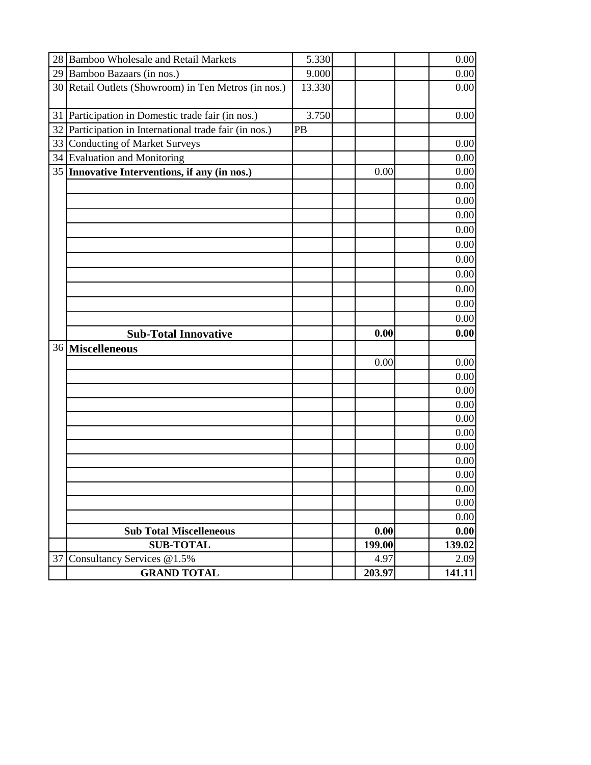|    | 28 Bamboo Wholesale and Retail Markets               | 5.330  |        | 0.00         |
|----|------------------------------------------------------|--------|--------|--------------|
|    | 29 Bamboo Bazaars (in nos.)                          | 9.000  |        | 0.00         |
|    | 30 Retail Outlets (Showroom) in Ten Metros (in nos.) | 13.330 |        | 0.00         |
|    |                                                      |        |        |              |
| 31 | Participation in Domestic trade fair (in nos.)       | 3.750  |        | 0.00         |
| 32 | Participation in International trade fair (in nos.)  | PB     |        |              |
| 33 | <b>Conducting of Market Surveys</b>                  |        |        | 0.00         |
|    | 34 Evaluation and Monitoring                         |        |        | 0.00         |
|    | 35 Innovative Interventions, if any (in nos.)        |        | 0.00   | 0.00         |
|    |                                                      |        |        | 0.00         |
|    |                                                      |        |        | 0.00         |
|    |                                                      |        |        | 0.00         |
|    |                                                      |        |        | 0.00         |
|    |                                                      |        |        | 0.00         |
|    |                                                      |        |        | 0.00         |
|    |                                                      |        |        | 0.00         |
|    |                                                      |        |        | 0.00         |
|    |                                                      |        |        | 0.00         |
|    |                                                      |        |        | 0.00         |
|    | <b>Sub-Total Innovative</b>                          |        | 0.00   | 0.00         |
|    | 36 Miscelleneous                                     |        |        |              |
|    |                                                      |        | 0.00   | 0.00         |
|    |                                                      |        |        | 0.00         |
|    |                                                      |        |        | 0.00         |
|    |                                                      |        |        | 0.00         |
|    |                                                      |        |        | 0.00         |
|    |                                                      |        |        | 0.00         |
|    |                                                      |        |        | 0.00         |
|    |                                                      |        |        |              |
|    |                                                      |        |        | 0.00         |
|    |                                                      |        |        | 0.00         |
|    |                                                      |        |        | 0.00         |
|    |                                                      |        |        |              |
|    |                                                      |        |        | 0.00         |
|    | <b>Sub Total Miscelleneous</b>                       |        | 0.00   | 0.00<br>0.00 |
|    | <b>SUB-TOTAL</b>                                     |        | 199.00 | 139.02       |
|    | 37 Consultancy Services @1.5%                        |        | 4.97   | 2.09         |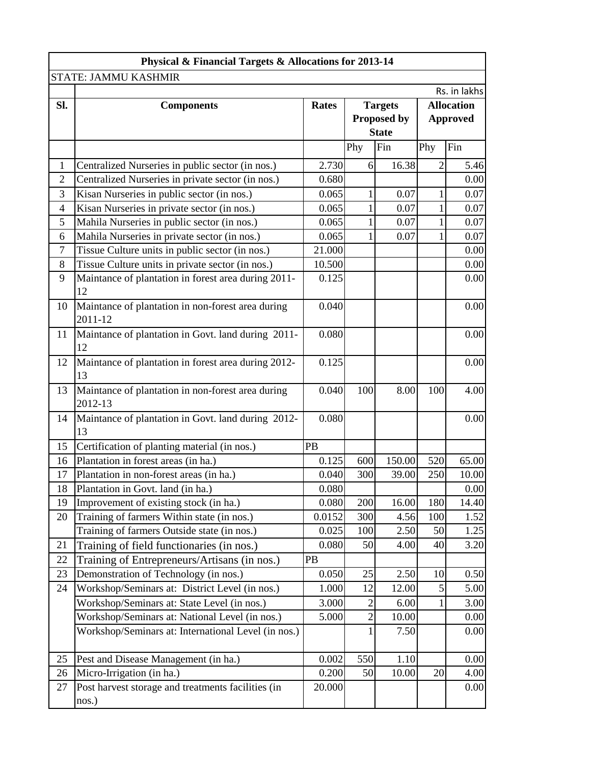|                | Physical & Financial Targets & Allocations for 2013-14 |              |                |                |     |                   |
|----------------|--------------------------------------------------------|--------------|----------------|----------------|-----|-------------------|
|                | STATE: JAMMU KASHMIR                                   |              |                |                |     |                   |
|                |                                                        |              |                |                |     | Rs. in lakhs      |
| Sl.            | <b>Components</b>                                      | <b>Rates</b> |                | <b>Targets</b> |     | <b>Allocation</b> |
|                |                                                        |              |                | Proposed by    |     | <b>Approved</b>   |
|                |                                                        |              |                | <b>State</b>   |     |                   |
|                |                                                        |              | Phy            | Fin            | Phy | Fin               |
| 1              | Centralized Nurseries in public sector (in nos.)       | 2.730        | 6              | 16.38          | 2   | 5.46              |
| $\overline{2}$ | Centralized Nurseries in private sector (in nos.)      | 0.680        |                |                |     | 0.00              |
| 3              | Kisan Nurseries in public sector (in nos.)             | 0.065        | 1              | 0.07           | 1   | 0.07              |
| $\overline{4}$ | Kisan Nurseries in private sector (in nos.)            | 0.065        | $\mathbf{1}$   | 0.07           | 1   | 0.07              |
| 5              | Mahila Nurseries in public sector (in nos.)            | 0.065        | 1              | 0.07           | 1   | 0.07              |
| 6              | Mahila Nurseries in private sector (in nos.)           | 0.065        | 1              | 0.07           | 1   | 0.07              |
| 7              | Tissue Culture units in public sector (in nos.)        | 21.000       |                |                |     | 0.00              |
| 8              | Tissue Culture units in private sector (in nos.)       | 10.500       |                |                |     | 0.00              |
| 9              | Maintance of plantation in forest area during 2011-    | 0.125        |                |                |     | 0.00              |
|                | 12                                                     |              |                |                |     |                   |
| 10             | Maintance of plantation in non-forest area during      | 0.040        |                |                |     | 0.00              |
|                | 2011-12                                                |              |                |                |     |                   |
| 11             | Maintance of plantation in Govt. land during 2011-     | 0.080        |                |                |     | 0.00              |
|                | 12                                                     |              |                |                |     |                   |
| 12             | Maintance of plantation in forest area during 2012-    | 0.125        |                |                |     | 0.00              |
|                | 13                                                     |              |                |                |     |                   |
| 13             | Maintance of plantation in non-forest area during      | 0.040        | 100            | 8.00           | 100 | 4.00              |
|                | 2012-13                                                |              |                |                |     |                   |
| 14             | Maintance of plantation in Govt. land during 2012-     | 0.080        |                |                |     | 0.00              |
|                | 13                                                     |              |                |                |     |                   |
| 15             | Certification of planting material (in nos.)           | PB           |                |                |     |                   |
| 16             | Plantation in forest areas (in ha.)                    | 0.125        | 600            | 150.00         | 520 | 65.00             |
| 17             | Plantation in non-forest areas (in ha.)                | 0.040        | 300            | 39.00          | 250 | 10.00             |
| 18             | Plantation in Govt. land (in ha.)                      | 0.080        |                |                |     | 0.00              |
| 19             | Improvement of existing stock (in ha.)                 | 0.080        | 200            | 16.00          | 180 | 14.40             |
| 20             | Training of farmers Within state (in nos.)             | 0.0152       | 300            | 4.56           | 100 | 1.52              |
|                | Training of farmers Outside state (in nos.)            | 0.025        | 100            | 2.50           | 50  | 1.25              |
| 21             | Training of field functionaries (in nos.)              | 0.080        | 50             | 4.00           | 40  | 3.20              |
| 22             | Training of Entrepreneurs/Artisans (in nos.)           | PB           |                |                |     |                   |
| 23             | Demonstration of Technology (in nos.)                  | 0.050        | 25             | 2.50           | 10  | 0.50              |
| 24             | Workshop/Seminars at: District Level (in nos.)         | 1.000        | 12             | 12.00          | 5   | 5.00              |
|                | Workshop/Seminars at: State Level (in nos.)            | 3.000        | $\overline{2}$ | 6.00           |     | 3.00              |
|                | Workshop/Seminars at: National Level (in nos.)         | 5.000        | $\mathbf{2}$   | 10.00          |     | 0.00              |
|                | Workshop/Seminars at: International Level (in nos.)    |              | 1              | 7.50           |     | 0.00              |
|                |                                                        |              |                |                |     |                   |
| 25             | Pest and Disease Management (in ha.)                   | 0.002        | 550            | 1.10           |     | 0.00              |
| 26             | Micro-Irrigation (in ha.)                              | 0.200        | 50             | 10.00          | 20  | 4.00              |
| 27             | Post harvest storage and treatments facilities (in     | 20.000       |                |                |     | 0.00              |
|                | nos.)                                                  |              |                |                |     |                   |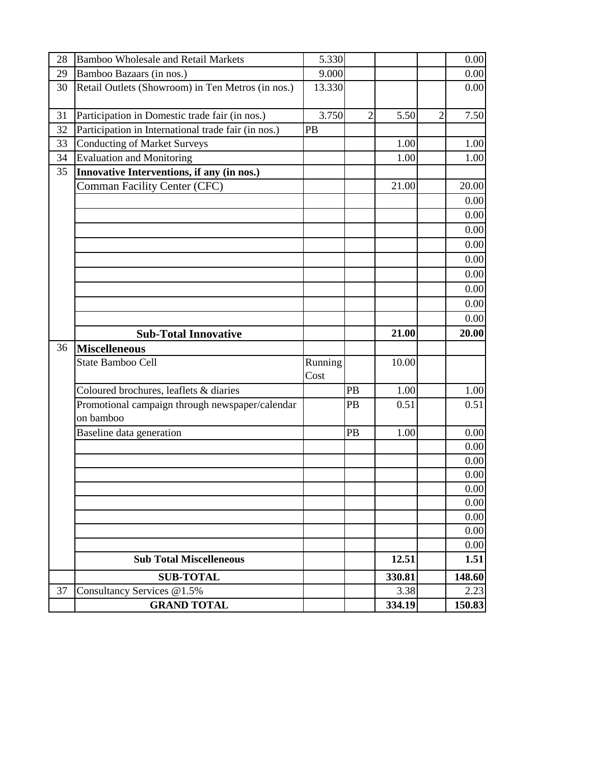| 28 | Bamboo Wholesale and Retail Markets                          | 5.330           |                |        |                | 0.00   |
|----|--------------------------------------------------------------|-----------------|----------------|--------|----------------|--------|
| 29 | Bamboo Bazaars (in nos.)                                     | 9.000           |                |        |                | 0.00   |
| 30 | Retail Outlets (Showroom) in Ten Metros (in nos.)            | 13.330          |                |        |                | 0.00   |
| 31 | Participation in Domestic trade fair (in nos.)               | 3.750           | $\overline{2}$ | 5.50   | $\overline{2}$ | 7.50   |
| 32 | Participation in International trade fair (in nos.)          | PB              |                |        |                |        |
| 33 | <b>Conducting of Market Surveys</b>                          |                 |                | 1.00   |                | 1.00   |
| 34 | <b>Evaluation and Monitoring</b>                             |                 |                | 1.00   |                | 1.00   |
| 35 | Innovative Interventions, if any (in nos.)                   |                 |                |        |                |        |
|    | <b>Comman Facility Center (CFC)</b>                          |                 |                | 21.00  |                | 20.00  |
|    |                                                              |                 |                |        |                | 0.00   |
|    |                                                              |                 |                |        |                | 0.00   |
|    |                                                              |                 |                |        |                | 0.00   |
|    |                                                              |                 |                |        |                | 0.00   |
|    |                                                              |                 |                |        |                | 0.00   |
|    |                                                              |                 |                |        |                | 0.00   |
|    |                                                              |                 |                |        |                | 0.00   |
|    |                                                              |                 |                |        |                | 0.00   |
|    |                                                              |                 |                |        |                | 0.00   |
|    | <b>Sub-Total Innovative</b>                                  |                 |                | 21.00  |                | 20.00  |
| 36 | <b>Miscelleneous</b>                                         |                 |                |        |                |        |
|    | <b>State Bamboo Cell</b>                                     | Running<br>Cost |                | 10.00  |                |        |
|    | Coloured brochures, leaflets & diaries                       |                 | PB             | 1.00   |                | 1.00   |
|    | Promotional campaign through newspaper/calendar<br>on bamboo |                 | PB             | 0.51   |                | 0.51   |
|    | Baseline data generation                                     |                 | PB             | 1.00   |                | 0.00   |
|    |                                                              |                 |                |        |                | 0.00   |
|    |                                                              |                 |                |        |                | 0.00   |
|    |                                                              |                 |                |        |                | 0.00   |
|    |                                                              |                 |                |        |                | 0.00   |
|    |                                                              |                 |                |        |                | 0.00   |
|    |                                                              |                 |                |        |                | 0.00   |
|    |                                                              |                 |                |        |                | 0.00   |
|    |                                                              |                 |                |        |                | 0.00   |
|    | <b>Sub Total Miscelleneous</b>                               |                 |                | 12.51  |                | 1.51   |
|    | <b>SUB-TOTAL</b>                                             |                 |                | 330.81 |                | 148.60 |
|    |                                                              |                 |                |        |                | 2.23   |
| 37 | Consultancy Services @1.5%                                   |                 |                | 3.38   |                |        |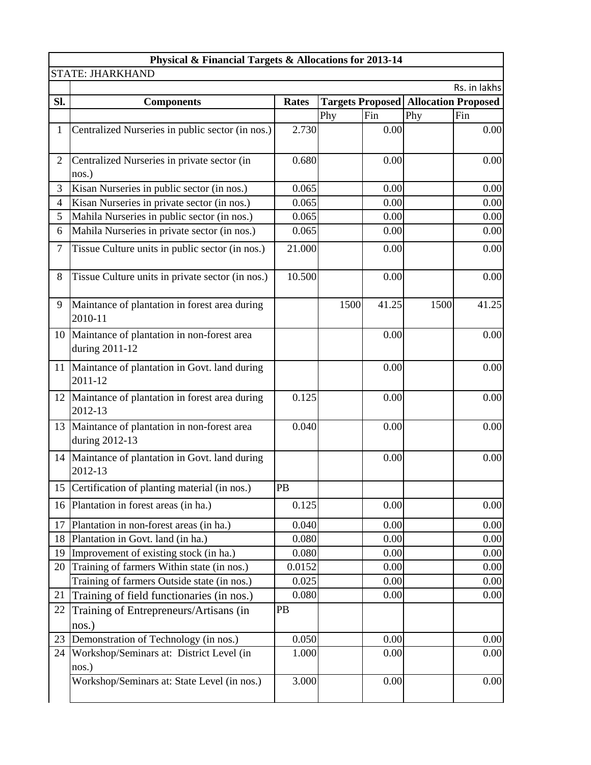|              | Physical & Financial Targets & Allocations for 2013-14          |              |      |       |                                               |              |
|--------------|-----------------------------------------------------------------|--------------|------|-------|-----------------------------------------------|--------------|
|              | <b>STATE: JHARKHAND</b>                                         |              |      |       |                                               |              |
|              |                                                                 |              |      |       |                                               | Rs. in lakhs |
| Sl.          | <b>Components</b>                                               | <b>Rates</b> |      |       | <b>Targets Proposed   Allocation Proposed</b> |              |
|              |                                                                 |              | Phy  | Fin   | Phy                                           | Fin          |
| $\mathbf{1}$ | Centralized Nurseries in public sector (in nos.)                | 2.730        |      | 0.00  |                                               | 0.00         |
| 2            | Centralized Nurseries in private sector (in<br>nos.)            | 0.680        |      | 0.00  |                                               | 0.00         |
| 3            | Kisan Nurseries in public sector (in nos.)                      | 0.065        |      | 0.00  |                                               | 0.00         |
| 4            | Kisan Nurseries in private sector (in nos.)                     | 0.065        |      | 0.00  |                                               | 0.00         |
| 5            | Mahila Nurseries in public sector (in nos.)                     | 0.065        |      | 0.00  |                                               | 0.00         |
| 6            | Mahila Nurseries in private sector (in nos.)                    | 0.065        |      | 0.00  |                                               | 0.00         |
| 7            | Tissue Culture units in public sector (in nos.)                 | 21.000       |      | 0.00  |                                               | 0.00         |
| 8            | Tissue Culture units in private sector (in nos.)                | 10.500       |      | 0.00  |                                               | 0.00         |
| 9            | Maintance of plantation in forest area during<br>2010-11        |              | 1500 | 41.25 | 1500                                          | 41.25        |
|              | 10 Maintance of plantation in non-forest area<br>during 2011-12 |              |      | 0.00  |                                               | 0.00         |
|              | 11 Maintance of plantation in Govt. land during<br>2011-12      |              |      | 0.00  |                                               | 0.00         |
| 12           | Maintance of plantation in forest area during<br>2012-13        | 0.125        |      | 0.00  |                                               | 0.00         |
|              | 13 Maintance of plantation in non-forest area<br>during 2012-13 | 0.040        |      | 0.00  |                                               | 0.00         |
|              | 14 Maintance of plantation in Govt. land during<br>2012-13      |              |      | 0.00  |                                               | 0.00         |
|              | 15 Certification of planting material (in nos.)                 | PB           |      |       |                                               |              |
|              | 16 Plantation in forest areas (in ha.)                          | 0.125        |      | 0.00  |                                               | 0.00         |
| 17           | Plantation in non-forest areas (in ha.)                         | 0.040        |      | 0.00  |                                               | 0.00         |
| 18           | Plantation in Govt. land (in ha.)                               | 0.080        |      | 0.00  |                                               | 0.00         |
| 19           | Improvement of existing stock (in ha.)                          | 0.080        |      | 0.00  |                                               | 0.00         |
| 20           | Training of farmers Within state (in nos.)                      | 0.0152       |      | 0.00  |                                               | 0.00         |
|              | Training of farmers Outside state (in nos.)                     | 0.025        |      | 0.00  |                                               | 0.00         |
| 21           | Training of field functionaries (in nos.)                       | 0.080        |      | 0.00  |                                               | 0.00         |
| 22           | Training of Entrepreneurs/Artisans (in<br>nos.)                 | PB           |      |       |                                               |              |
| 23           | Demonstration of Technology (in nos.)                           | 0.050        |      | 0.00  |                                               | 0.00         |
| 24           | Workshop/Seminars at: District Level (in<br>nos.)               | 1.000        |      | 0.00  |                                               | 0.00         |
|              | Workshop/Seminars at: State Level (in nos.)                     | 3.000        |      | 0.00  |                                               | 0.00         |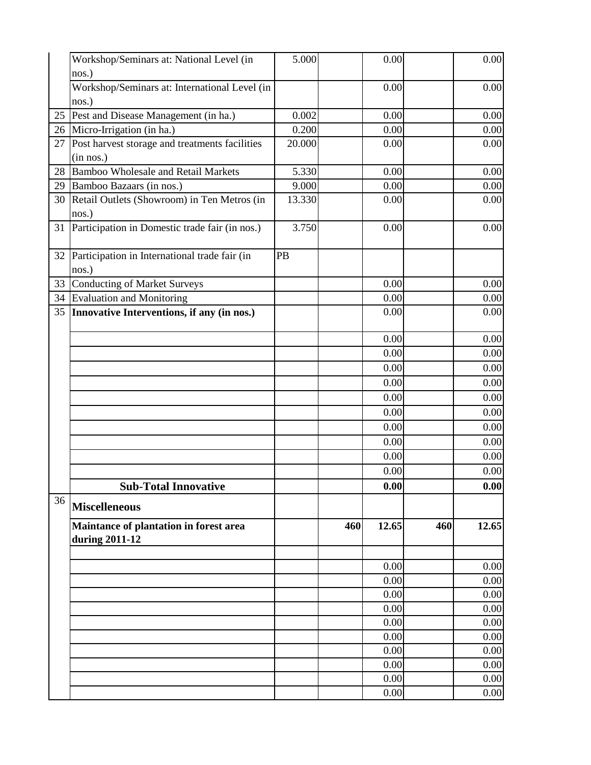| nos.)<br>Workshop/Seminars at: International Level (in<br>0.00<br>nos.)<br>25<br>Pest and Disease Management (in ha.)<br>0.002<br>0.00 | 0.00<br>0.00<br>0.00<br>0.00 |
|----------------------------------------------------------------------------------------------------------------------------------------|------------------------------|
|                                                                                                                                        |                              |
|                                                                                                                                        |                              |
|                                                                                                                                        |                              |
|                                                                                                                                        |                              |
| Micro-Irrigation (in ha.)<br>0.200<br>0.00<br>26                                                                                       |                              |
| Post harvest storage and treatments facilities<br>20.000<br>0.00<br>27<br>(in nos.)                                                    |                              |
| <b>Bamboo Wholesale and Retail Markets</b><br>5.330<br>28<br>0.00                                                                      | 0.00                         |
| 9.000<br>0.00<br>29<br>Bamboo Bazaars (in nos.)                                                                                        | 0.00                         |
| Retail Outlets (Showroom) in Ten Metros (in<br>13.330<br>0.00<br>30                                                                    | 0.00                         |
| nos.)                                                                                                                                  |                              |
| Participation in Domestic trade fair (in nos.)<br>3.750<br>0.00<br>31                                                                  | 0.00                         |
| Participation in International trade fair (in<br>PB<br>32<br>nos.)                                                                     |                              |
| <b>Conducting of Market Surveys</b><br>0.00<br>33                                                                                      | 0.00                         |
| <b>Evaluation and Monitoring</b><br>34<br>0.00                                                                                         | 0.00                         |
| Innovative Interventions, if any (in nos.)<br>35<br>0.00                                                                               | 0.00                         |
| 0.00                                                                                                                                   | 0.00                         |
| 0.00                                                                                                                                   | 0.00                         |
| 0.00                                                                                                                                   | 0.00                         |
| 0.00                                                                                                                                   | 0.00                         |
| 0.00                                                                                                                                   | 0.00                         |
| 0.00                                                                                                                                   | 0.00                         |
| 0.00                                                                                                                                   | 0.00                         |
| 0.00                                                                                                                                   | 0.00                         |
| 0.00                                                                                                                                   | 0.00                         |
| 0.00                                                                                                                                   | 0.00                         |
| 0.00<br><b>Sub-Total Innovative</b>                                                                                                    | 0.00                         |
| 36<br><b>Miscelleneous</b>                                                                                                             |                              |
| Maintance of plantation in forest area<br>460<br>12.65<br>460<br>during 2011-12                                                        | 12.65                        |
|                                                                                                                                        |                              |
| 0.00                                                                                                                                   | 0.00                         |
| 0.00                                                                                                                                   | 0.00                         |
| 0.00                                                                                                                                   | 0.00                         |
| 0.00                                                                                                                                   | 0.00                         |
| 0.00<br>0.00                                                                                                                           | 0.00<br>0.00                 |
| 0.00                                                                                                                                   | 0.00                         |
| 0.00                                                                                                                                   | 0.00                         |
| 0.00                                                                                                                                   | 0.00                         |
| 0.00                                                                                                                                   | 0.00                         |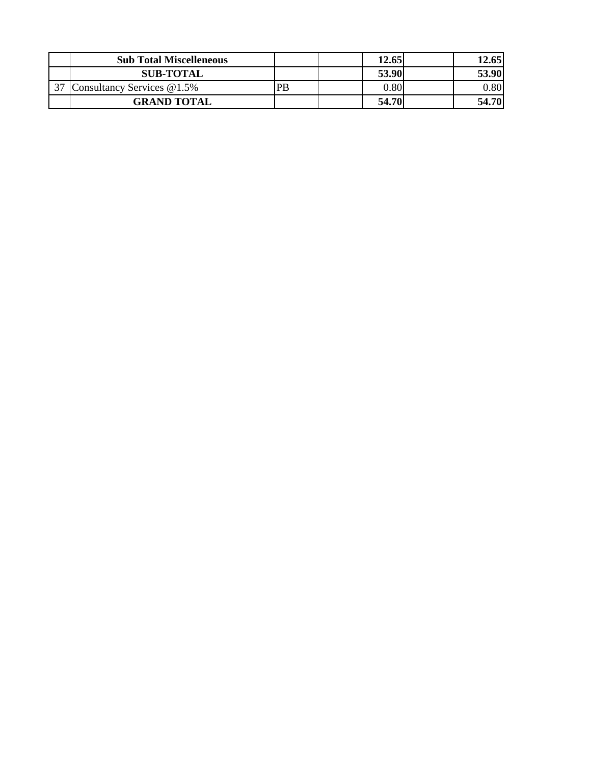| <b>Sub Total Miscelleneous</b> |    | 12.65 | 12.65    |
|--------------------------------|----|-------|----------|
| <b>SUB-TOTAL</b>               |    | 53.90 | 53.90    |
| 37 Consultancy Services @1.5%  | PB | 0.80  | $0.80\,$ |
| <b>GRAND TOTAL</b>             |    | 54.70 | 54.70    |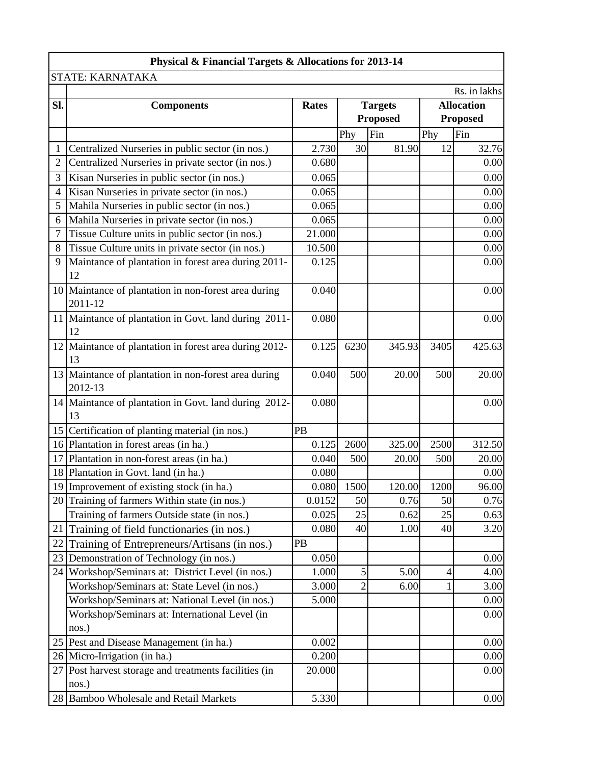|                 | Physical & Financial Targets & Allocations for 2013-14          |              |                |                 |      |                   |
|-----------------|-----------------------------------------------------------------|--------------|----------------|-----------------|------|-------------------|
|                 | STATE: KARNATAKA                                                |              |                |                 |      |                   |
|                 |                                                                 |              |                |                 |      | Rs. in lakhs      |
| Sl.             | <b>Components</b>                                               | <b>Rates</b> |                | <b>Targets</b>  |      | <b>Allocation</b> |
|                 |                                                                 |              |                | <b>Proposed</b> |      | <b>Proposed</b>   |
|                 |                                                                 |              | Phy            | Fin             | Phy  | Fin               |
| 1               | Centralized Nurseries in public sector (in nos.)                | 2.730        | 30             | 81.90           | 12   | 32.76             |
| 2               | Centralized Nurseries in private sector (in nos.)               | 0.680        |                |                 |      | 0.00              |
| 3               | Kisan Nurseries in public sector (in nos.)                      | 0.065        |                |                 |      | 0.00              |
| 4               | Kisan Nurseries in private sector (in nos.)                     | 0.065        |                |                 |      | 0.00              |
| 5               | Mahila Nurseries in public sector (in nos.)                     | 0.065        |                |                 |      | 0.00              |
| 6               | Mahila Nurseries in private sector (in nos.)                    | 0.065        |                |                 |      | 0.00              |
| 7               | Tissue Culture units in public sector (in nos.)                 | 21.000       |                |                 |      | 0.00              |
| 8               | Tissue Culture units in private sector (in nos.)                | 10.500       |                |                 |      | 0.00              |
| 9               | Maintance of plantation in forest area during 2011-             | 0.125        |                |                 |      | 0.00              |
|                 | 12                                                              |              |                |                 |      |                   |
|                 | 10 Maintance of plantation in non-forest area during<br>2011-12 | 0.040        |                |                 |      | 0.00              |
|                 | 11 Maintance of plantation in Govt. land during 2011-<br>12     | 0.080        |                |                 |      | 0.00              |
|                 | 12 Maintance of plantation in forest area during 2012-          | 0.125        | 6230           | 345.93          | 3405 | 425.63            |
|                 | 13                                                              |              |                |                 |      |                   |
|                 | 13 Maintance of plantation in non-forest area during            | 0.040        | 500            | 20.00           | 500  | 20.00             |
|                 | 2012-13                                                         |              |                |                 |      |                   |
|                 | 14 Maintance of plantation in Govt. land during 2012-           | 0.080        |                |                 |      | 0.00              |
|                 | 13                                                              |              |                |                 |      |                   |
| 15              | Certification of planting material (in nos.)                    | PB           |                |                 |      |                   |
|                 | 16 Plantation in forest areas (in ha.)                          | 0.125        | 2600           | 325.00          | 2500 | 312.50            |
| 17              | Plantation in non-forest areas (in ha.)                         | 0.040        | 500            | 20.00           | 500  | 20.00             |
|                 | 18 Plantation in Govt. land (in ha.)                            | 0.080        |                |                 |      | 0.00              |
|                 | 19 Improvement of existing stock (in ha.)                       |              | 0.080 1500     | 120.00          | 1200 | 96.00             |
|                 | 20 Training of farmers Within state (in nos.)                   | 0.0152       | 50             | 0.76            | 50   | 0.76              |
|                 | Training of farmers Outside state (in nos.)                     | 0.025        | 25             | 0.62            | 25   | 0.63              |
| 21              | Training of field functionaries (in nos.)                       | 0.080        | 40             | 1.00            | 40   | 3.20              |
| 22              | Training of Entrepreneurs/Artisans (in nos.)                    | PB           |                |                 |      |                   |
| 23              | Demonstration of Technology (in nos.)                           | 0.050        |                |                 |      | 0.00              |
|                 | 24 Workshop/Seminars at: District Level (in nos.)               | 1.000        | 5              | 5.00            | 4    | 4.00              |
|                 | Workshop/Seminars at: State Level (in nos.)                     | 3.000        | $\overline{2}$ | 6.00            |      | 3.00              |
|                 | Workshop/Seminars at: National Level (in nos.)                  | 5.000        |                |                 |      | 0.00              |
|                 | Workshop/Seminars at: International Level (in                   |              |                |                 |      | 0.00              |
|                 | nos.)                                                           |              |                |                 |      |                   |
|                 | 25 Pest and Disease Management (in ha.)                         | 0.002        |                |                 |      | 0.00              |
|                 | 26 Micro-Irrigation (in ha.)                                    | 0.200        |                |                 |      | 0.00              |
| 27 <sub>l</sub> | Post harvest storage and treatments facilities (in              | 20.000       |                |                 |      | 0.00              |
|                 | nos.)                                                           |              |                |                 |      |                   |
|                 | 28 Bamboo Wholesale and Retail Markets                          | 5.330        |                |                 |      | 0.00              |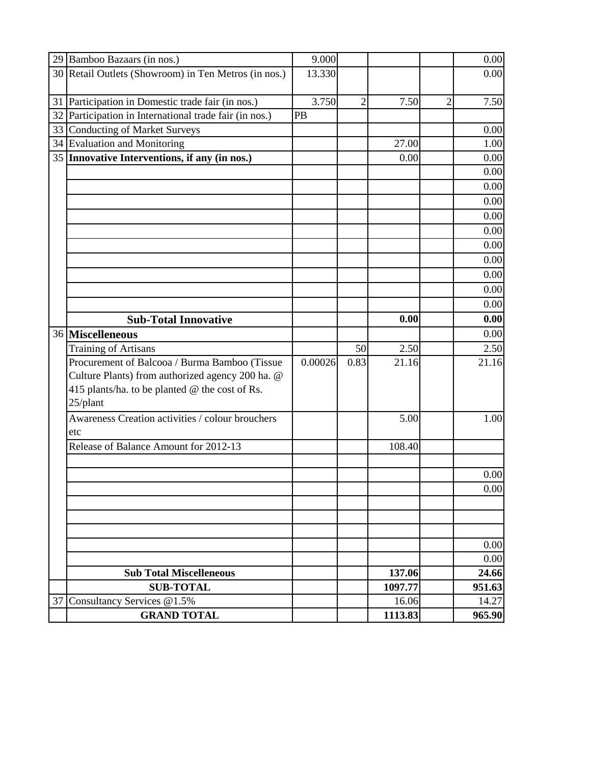|    | 29 Bamboo Bazaars (in nos.)                          | 9.000   |                |         |                | 0.00   |
|----|------------------------------------------------------|---------|----------------|---------|----------------|--------|
|    | 30 Retail Outlets (Showroom) in Ten Metros (in nos.) | 13.330  |                |         |                | 0.00   |
|    |                                                      |         |                |         |                |        |
| 31 | Participation in Domestic trade fair (in nos.)       | 3.750   | $\overline{2}$ | 7.50    | $\overline{2}$ | 7.50   |
| 32 | Participation in International trade fair (in nos.)  | PB      |                |         |                |        |
|    | 33 Conducting of Market Surveys                      |         |                |         |                | 0.00   |
|    | 34 Evaluation and Monitoring                         |         |                | 27.00   |                | 1.00   |
|    | 35 Innovative Interventions, if any (in nos.)        |         |                | 0.00    |                | 0.00   |
|    |                                                      |         |                |         |                | 0.00   |
|    |                                                      |         |                |         |                | 0.00   |
|    |                                                      |         |                |         |                | 0.00   |
|    |                                                      |         |                |         |                | 0.00   |
|    |                                                      |         |                |         |                | 0.00   |
|    |                                                      |         |                |         |                | 0.00   |
|    |                                                      |         |                |         |                | 0.00   |
|    |                                                      |         |                |         |                | 0.00   |
|    |                                                      |         |                |         |                | 0.00   |
|    |                                                      |         |                |         |                | 0.00   |
|    | <b>Sub-Total Innovative</b>                          |         |                | 0.00    |                | 0.00   |
|    | 36 Miscelleneous                                     |         |                |         |                | 0.00   |
|    | <b>Training of Artisans</b>                          |         | 50             | 2.50    |                | 2.50   |
|    | Procurement of Balcooa / Burma Bamboo (Tissue        | 0.00026 | 0.83           | 21.16   |                | 21.16  |
|    | Culture Plants) from authorized agency 200 ha. @     |         |                |         |                |        |
|    | 415 plants/ha. to be planted @ the cost of Rs.       |         |                |         |                |        |
|    | 25/plant                                             |         |                |         |                |        |
|    | Awareness Creation activities / colour brouchers     |         |                | 5.00    |                | 1.00   |
|    | etc                                                  |         |                |         |                |        |
|    | Release of Balance Amount for 2012-13                |         |                | 108.40  |                |        |
|    |                                                      |         |                |         |                |        |
|    |                                                      |         |                |         |                | 0.00   |
|    |                                                      |         |                |         |                | 0.00   |
|    |                                                      |         |                |         |                |        |
|    |                                                      |         |                |         |                |        |
|    |                                                      |         |                |         |                |        |
|    |                                                      |         |                |         |                | 0.00   |
|    |                                                      |         |                |         |                | 0.00   |
|    | <b>Sub Total Miscelleneous</b>                       |         |                | 137.06  |                | 24.66  |
|    | <b>SUB-TOTAL</b>                                     |         |                | 1097.77 |                | 951.63 |
|    | 37 Consultancy Services @1.5%                        |         |                | 16.06   |                | 14.27  |
|    | <b>GRAND TOTAL</b>                                   |         |                | 1113.83 |                | 965.90 |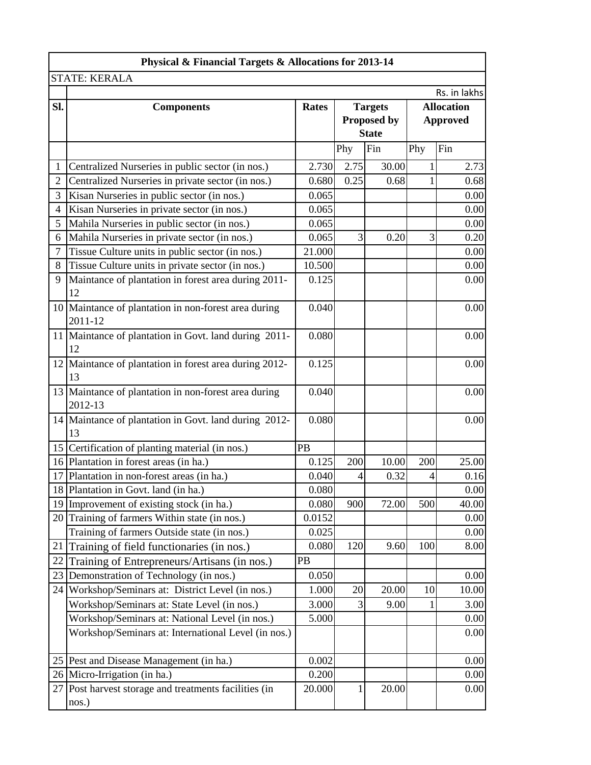| Rs. in lakhs<br><b>Allocation</b><br><b>Approved</b><br>Fin<br>2.73<br>0.68<br>0.00<br>0.00<br>0.00<br>0.20<br>0.00<br>0.00<br>0.00 |
|-------------------------------------------------------------------------------------------------------------------------------------|
|                                                                                                                                     |
|                                                                                                                                     |
|                                                                                                                                     |
|                                                                                                                                     |
|                                                                                                                                     |
|                                                                                                                                     |
|                                                                                                                                     |
|                                                                                                                                     |
|                                                                                                                                     |
|                                                                                                                                     |
|                                                                                                                                     |
|                                                                                                                                     |
|                                                                                                                                     |
|                                                                                                                                     |
|                                                                                                                                     |
| 0.00                                                                                                                                |
| 0.00                                                                                                                                |
| 0.00                                                                                                                                |
| 0.00                                                                                                                                |
| 0.00                                                                                                                                |
|                                                                                                                                     |
| 25.00                                                                                                                               |
| 0.16                                                                                                                                |
| 0.00                                                                                                                                |
| 40.00                                                                                                                               |
| 0.00                                                                                                                                |
| 0.00                                                                                                                                |
| 8.00                                                                                                                                |
|                                                                                                                                     |
| 0.00                                                                                                                                |
| 10.00                                                                                                                               |
| 3.00                                                                                                                                |
| 0.00                                                                                                                                |
| 0.00                                                                                                                                |
| 0.00                                                                                                                                |
| 0.00                                                                                                                                |
| 0.00                                                                                                                                |
| 4<br>500<br>100<br>10                                                                                                               |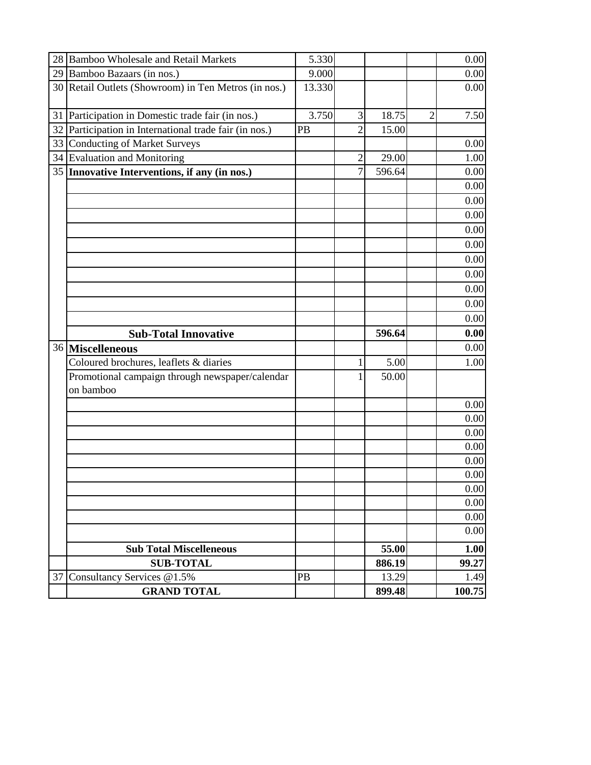|    | 28 Bamboo Wholesale and Retail Markets                       | 5.330  |                |        |                | 0.00  |
|----|--------------------------------------------------------------|--------|----------------|--------|----------------|-------|
|    | 29 Bamboo Bazaars (in nos.)                                  | 9.000  |                |        |                | 0.00  |
|    | 30 Retail Outlets (Showroom) in Ten Metros (in nos.)         | 13.330 |                |        |                | 0.00  |
|    |                                                              | 3.750  | $\overline{3}$ | 18.75  | $\overline{2}$ | 7.50  |
|    | 31 Participation in Domestic trade fair (in nos.)            |        |                |        |                |       |
|    | 32 Participation in International trade fair (in nos.)       | PB     | $\overline{2}$ | 15.00  |                |       |
| 33 | <b>Conducting of Market Surveys</b>                          |        |                |        |                | 0.00  |
|    | 34 Evaluation and Monitoring                                 |        | 2              | 29.00  |                | 1.00  |
|    | 35 Innovative Interventions, if any (in nos.)                |        | $\overline{7}$ | 596.64 |                | 0.00  |
|    |                                                              |        |                |        |                | 0.00  |
|    |                                                              |        |                |        |                | 0.00  |
|    |                                                              |        |                |        |                | 0.00  |
|    |                                                              |        |                |        |                | 0.00  |
|    |                                                              |        |                |        |                | 0.00  |
|    |                                                              |        |                |        |                | 0.00  |
|    |                                                              |        |                |        |                | 0.00  |
|    |                                                              |        |                |        |                | 0.00  |
|    |                                                              |        |                |        |                | 0.00  |
|    |                                                              |        |                |        |                | 0.00  |
|    |                                                              |        |                |        |                |       |
|    | <b>Sub-Total Innovative</b>                                  |        |                | 596.64 |                | 0.00  |
|    | 36 Miscelleneous                                             |        |                |        |                | 0.00  |
|    | Coloured brochures, leaflets & diaries                       |        | 1              | 5.00   |                | 1.00  |
|    | Promotional campaign through newspaper/calendar<br>on bamboo |        |                | 50.00  |                |       |
|    |                                                              |        |                |        |                | 0.00  |
|    |                                                              |        |                |        |                | 0.00  |
|    |                                                              |        |                |        |                | 0.00  |
|    |                                                              |        |                |        |                | 0.00  |
|    |                                                              |        |                |        |                | 0.00  |
|    |                                                              |        |                |        |                | 0.00  |
|    |                                                              |        |                |        |                | 0.00  |
|    |                                                              |        |                |        |                | 0.00  |
|    |                                                              |        |                |        |                | 0.00  |
|    |                                                              |        |                |        |                | 0.00  |
|    | <b>Sub Total Miscelleneous</b>                               |        |                | 55.00  |                | 1.00  |
|    | <b>SUB-TOTAL</b>                                             |        |                | 886.19 |                | 99.27 |
| 37 | Consultancy Services @1.5%                                   | PB     |                | 13.29  |                | 1.49  |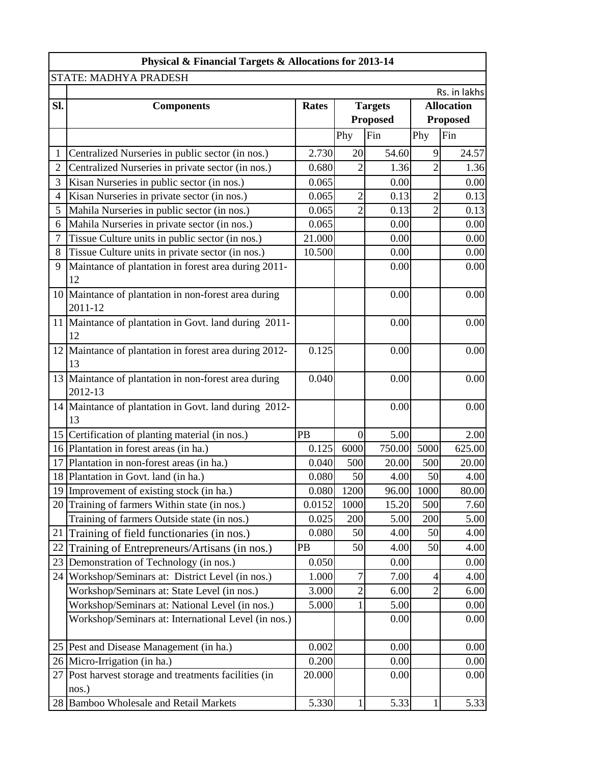|                | Physical & Financial Targets & Allocations for 2013-14          |                                |                 |                 |                |                   |
|----------------|-----------------------------------------------------------------|--------------------------------|-----------------|-----------------|----------------|-------------------|
|                | STATE: MADHYA PRADESH                                           |                                |                 |                 |                |                   |
|                |                                                                 |                                |                 |                 |                | Rs. in lakhs      |
| Sl.            | <b>Components</b>                                               | <b>Rates</b><br><b>Targets</b> |                 |                 |                | <b>Allocation</b> |
|                |                                                                 |                                |                 | <b>Proposed</b> |                | <b>Proposed</b>   |
|                |                                                                 |                                | Phy             | Fin             | Phy            | Fin               |
| $\mathbf{1}$   | Centralized Nurseries in public sector (in nos.)                | 2.730                          | 20              | 54.60           | 9              | 24.57             |
| $\overline{2}$ | Centralized Nurseries in private sector (in nos.)               | 0.680                          | $\overline{2}$  | 1.36            | $\overline{2}$ | 1.36              |
| 3              | Kisan Nurseries in public sector (in nos.)                      | 0.065                          |                 | 0.00            |                | 0.00              |
| 4              | Kisan Nurseries in private sector (in nos.)                     | 0.065                          | $\mathbf{2}$    | 0.13            | $\overline{c}$ | 0.13              |
| 5              | Mahila Nurseries in public sector (in nos.)                     | 0.065                          | $\overline{2}$  | 0.13            | $\overline{2}$ | 0.13              |
| 6              | Mahila Nurseries in private sector (in nos.)                    | 0.065                          |                 | 0.00            |                | 0.00              |
| 7              | Tissue Culture units in public sector (in nos.)                 | 21.000                         |                 | 0.00            |                | 0.00              |
| 8              | Tissue Culture units in private sector (in nos.)                | 10.500                         |                 | 0.00            |                | 0.00              |
| 9              | Maintance of plantation in forest area during 2011-<br>12       |                                |                 | 0.00            |                | 0.00              |
|                | 10 Maintance of plantation in non-forest area during<br>2011-12 |                                |                 | 0.00            |                | 0.00              |
|                | 11 Maintance of plantation in Govt. land during 2011-<br>12     |                                |                 | 0.00            |                | 0.00              |
| 12             | Maintance of plantation in forest area during 2012-<br>13       | 0.125                          |                 | 0.00            |                | 0.00              |
|                | 13 Maintance of plantation in non-forest area during<br>2012-13 | 0.040                          |                 | 0.00            |                | 0.00              |
|                | 14 Maintance of plantation in Govt. land during 2012-<br>13     |                                |                 | 0.00            |                | 0.00              |
|                | 15 Certification of planting material (in nos.)                 | <b>PB</b>                      | $\vert 0 \vert$ | 5.00            |                | 2.00              |
| 16             | Plantation in forest areas (in ha.)                             | 0.125                          | 6000            | 750.00          | 5000           | 625.00            |
|                | 17 Plantation in non-forest areas (in ha.)                      | 0.040                          | 500             | 20.00           | 500            | 20.00             |
|                | 18 Plantation in Govt. land (in ha.)                            | 0.080                          | 50              | 4.00            | 50             | 4.00              |
|                | 19 Improvement of existing stock (in ha.)                       | 0.080                          | 1200            | 96.00           | 1000           | 80.00             |
| 20             | Training of farmers Within state (in nos.)                      | 0.0152                         | 1000            | 15.20           | 500            | 7.60              |
|                | Training of farmers Outside state (in nos.)                     | 0.025                          | 200             | 5.00            | 200            | 5.00              |
| 21             | Training of field functionaries (in nos.)                       | 0.080                          | 50              | 4.00            | 50             | 4.00              |
| 22             | Training of Entrepreneurs/Artisans (in nos.)                    | PB                             | 50              | 4.00            | 50             | 4.00              |
| 23             | Demonstration of Technology (in nos.)                           | 0.050                          |                 | 0.00            |                | 0.00              |
| 24             | Workshop/Seminars at: District Level (in nos.)                  | 1.000                          | 7               | 7.00            | $\overline{4}$ | 4.00              |
|                | Workshop/Seminars at: State Level (in nos.)                     | 3.000                          | $\overline{2}$  | 6.00            | $\overline{2}$ | 6.00              |
|                | Workshop/Seminars at: National Level (in nos.)                  | 5.000                          |                 | 5.00            |                | 0.00              |
|                | Workshop/Seminars at: International Level (in nos.)             |                                |                 | 0.00            |                | 0.00              |
|                | 25 Pest and Disease Management (in ha.)                         | 0.002                          |                 | 0.00            |                | 0.00              |
|                | 26 Micro-Irrigation (in ha.)                                    | 0.200                          |                 | 0.00            |                | 0.00              |
| 27             | Post harvest storage and treatments facilities (in<br>nos.)     | 20.000                         |                 | 0.00            |                | 0.00              |
| 28             | <b>Bamboo Wholesale and Retail Markets</b>                      | 5.330                          |                 | 5.33            | $\mathbf{1}$   | 5.33              |
|                |                                                                 |                                |                 |                 |                |                   |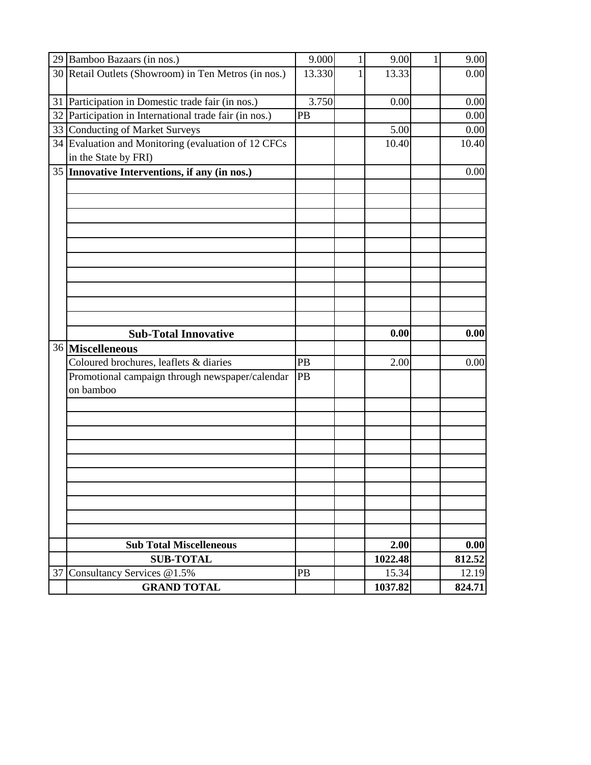|    | 29 Bamboo Bazaars (in nos.)                                                 | 9.000  | 1 | 9.00             | 9.00            |
|----|-----------------------------------------------------------------------------|--------|---|------------------|-----------------|
|    | 30 Retail Outlets (Showroom) in Ten Metros (in nos.)                        | 13.330 | 1 | 13.33            | 0.00            |
|    | 31 Participation in Domestic trade fair (in nos.)                           | 3.750  |   | 0.00             | 0.00            |
| 32 | Participation in International trade fair (in nos.)                         | PB     |   |                  | 0.00            |
|    | 33 Conducting of Market Surveys                                             |        |   | 5.00             | 0.00            |
|    | 34 Evaluation and Monitoring (evaluation of 12 CFCs<br>in the State by FRI) |        |   | 10.40            | 10.40           |
|    | 35 Innovative Interventions, if any (in nos.)                               |        |   |                  | 0.00            |
|    |                                                                             |        |   |                  |                 |
|    |                                                                             |        |   |                  |                 |
|    |                                                                             |        |   |                  |                 |
|    |                                                                             |        |   |                  |                 |
|    |                                                                             |        |   |                  |                 |
|    |                                                                             |        |   |                  |                 |
|    |                                                                             |        |   |                  |                 |
|    |                                                                             |        |   |                  |                 |
|    |                                                                             |        |   |                  |                 |
|    |                                                                             |        |   |                  |                 |
|    |                                                                             |        |   |                  |                 |
|    |                                                                             |        |   | 0.00             | 0.00            |
|    | <b>Sub-Total Innovative</b>                                                 |        |   |                  |                 |
|    | 36 Miscelleneous<br>Coloured brochures, leaflets & diaries                  | PB     |   | 2.00             | 0.00            |
|    |                                                                             | PB     |   |                  |                 |
|    | Promotional campaign through newspaper/calendar<br>on bamboo                |        |   |                  |                 |
|    |                                                                             |        |   |                  |                 |
|    |                                                                             |        |   |                  |                 |
|    |                                                                             |        |   |                  |                 |
|    |                                                                             |        |   |                  |                 |
|    |                                                                             |        |   |                  |                 |
|    |                                                                             |        |   |                  |                 |
|    |                                                                             |        |   |                  |                 |
|    |                                                                             |        |   |                  |                 |
|    |                                                                             |        |   |                  |                 |
|    |                                                                             |        |   |                  |                 |
|    | <b>Sub Total Miscelleneous</b>                                              |        |   | 2.00             | 0.00            |
|    | <b>SUB-TOTAL</b>                                                            |        |   | 1022.48          | 812.52          |
| 37 | Consultancy Services @1.5%<br><b>GRAND TOTAL</b>                            | PB     |   | 15.34<br>1037.82 | 12.19<br>824.71 |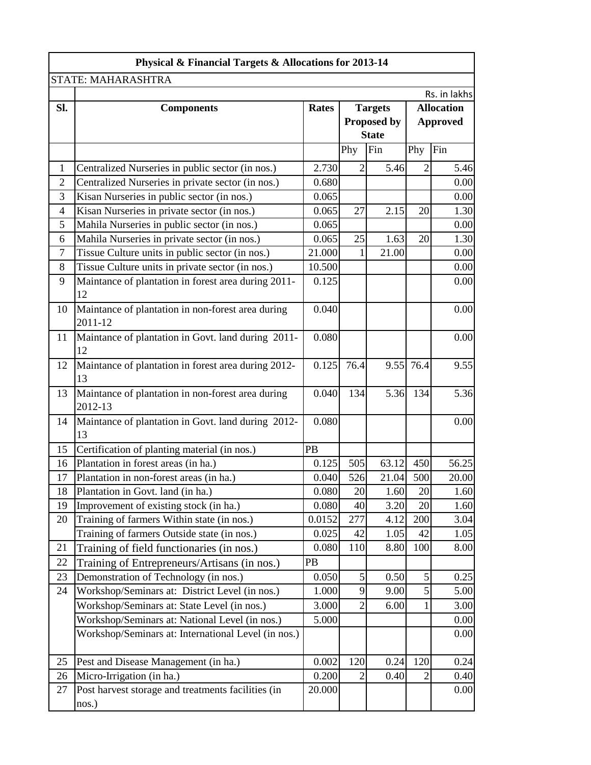| <b>STATE: MAHARASHTRA</b><br>SI.<br><b>Rates</b><br><b>Targets</b><br><b>Components</b><br>Proposed by<br><b>State</b><br>Fin<br>Phy<br>2.730<br>5.46<br>$\mathbf{1}$<br>$\overline{2}$<br>Centralized Nurseries in public sector (in nos.)<br>$\overline{2}$<br>Centralized Nurseries in private sector (in nos.)<br>0.680<br>3<br>0.065<br>Kisan Nurseries in public sector (in nos.)<br>$\overline{4}$<br>27<br>2.15<br>Kisan Nurseries in private sector (in nos.)<br>0.065<br>5<br>Mahila Nurseries in public sector (in nos.)<br>0.065<br>6<br>25<br>Mahila Nurseries in private sector (in nos.)<br>0.065<br>1.63<br>$\tau$<br>Tissue Culture units in public sector (in nos.)<br>21.000<br>21.00<br>1<br>8<br>Tissue Culture units in private sector (in nos.)<br>10.500<br>9<br>Maintance of plantation in forest area during 2011-<br>0.125<br>12<br>Maintance of plantation in non-forest area during<br>0.040<br>10<br>2011-12 | Physical & Financial Targets & Allocations for 2013-14 |                   |  |  |  |  |  |
|--------------------------------------------------------------------------------------------------------------------------------------------------------------------------------------------------------------------------------------------------------------------------------------------------------------------------------------------------------------------------------------------------------------------------------------------------------------------------------------------------------------------------------------------------------------------------------------------------------------------------------------------------------------------------------------------------------------------------------------------------------------------------------------------------------------------------------------------------------------------------------------------------------------------------------------------|--------------------------------------------------------|-------------------|--|--|--|--|--|
|                                                                                                                                                                                                                                                                                                                                                                                                                                                                                                                                                                                                                                                                                                                                                                                                                                                                                                                                            |                                                        |                   |  |  |  |  |  |
|                                                                                                                                                                                                                                                                                                                                                                                                                                                                                                                                                                                                                                                                                                                                                                                                                                                                                                                                            |                                                        | Rs. in lakhs      |  |  |  |  |  |
|                                                                                                                                                                                                                                                                                                                                                                                                                                                                                                                                                                                                                                                                                                                                                                                                                                                                                                                                            |                                                        | <b>Allocation</b> |  |  |  |  |  |
|                                                                                                                                                                                                                                                                                                                                                                                                                                                                                                                                                                                                                                                                                                                                                                                                                                                                                                                                            | <b>Approved</b>                                        |                   |  |  |  |  |  |
|                                                                                                                                                                                                                                                                                                                                                                                                                                                                                                                                                                                                                                                                                                                                                                                                                                                                                                                                            |                                                        |                   |  |  |  |  |  |
|                                                                                                                                                                                                                                                                                                                                                                                                                                                                                                                                                                                                                                                                                                                                                                                                                                                                                                                                            | Phy                                                    | Fin               |  |  |  |  |  |
|                                                                                                                                                                                                                                                                                                                                                                                                                                                                                                                                                                                                                                                                                                                                                                                                                                                                                                                                            | $\overline{2}$                                         | 5.46              |  |  |  |  |  |
|                                                                                                                                                                                                                                                                                                                                                                                                                                                                                                                                                                                                                                                                                                                                                                                                                                                                                                                                            |                                                        | 0.00              |  |  |  |  |  |
|                                                                                                                                                                                                                                                                                                                                                                                                                                                                                                                                                                                                                                                                                                                                                                                                                                                                                                                                            |                                                        | 0.00              |  |  |  |  |  |
|                                                                                                                                                                                                                                                                                                                                                                                                                                                                                                                                                                                                                                                                                                                                                                                                                                                                                                                                            | 20                                                     | 1.30              |  |  |  |  |  |
|                                                                                                                                                                                                                                                                                                                                                                                                                                                                                                                                                                                                                                                                                                                                                                                                                                                                                                                                            |                                                        | 0.00              |  |  |  |  |  |
|                                                                                                                                                                                                                                                                                                                                                                                                                                                                                                                                                                                                                                                                                                                                                                                                                                                                                                                                            | 20                                                     | 1.30              |  |  |  |  |  |
|                                                                                                                                                                                                                                                                                                                                                                                                                                                                                                                                                                                                                                                                                                                                                                                                                                                                                                                                            |                                                        | 0.00              |  |  |  |  |  |
|                                                                                                                                                                                                                                                                                                                                                                                                                                                                                                                                                                                                                                                                                                                                                                                                                                                                                                                                            |                                                        | 0.00              |  |  |  |  |  |
|                                                                                                                                                                                                                                                                                                                                                                                                                                                                                                                                                                                                                                                                                                                                                                                                                                                                                                                                            |                                                        | 0.00              |  |  |  |  |  |
|                                                                                                                                                                                                                                                                                                                                                                                                                                                                                                                                                                                                                                                                                                                                                                                                                                                                                                                                            |                                                        | 0.00              |  |  |  |  |  |
| Maintance of plantation in Govt. land during 2011-<br>11<br>0.080<br>12                                                                                                                                                                                                                                                                                                                                                                                                                                                                                                                                                                                                                                                                                                                                                                                                                                                                    |                                                        | 0.00              |  |  |  |  |  |
| 9.55 76.4<br>Maintance of plantation in forest area during 2012-<br>0.125<br>76.4<br>12<br>13                                                                                                                                                                                                                                                                                                                                                                                                                                                                                                                                                                                                                                                                                                                                                                                                                                              |                                                        | 9.55              |  |  |  |  |  |
| Maintance of plantation in non-forest area during<br>0.040<br>134<br>5.36<br>13<br>2012-13                                                                                                                                                                                                                                                                                                                                                                                                                                                                                                                                                                                                                                                                                                                                                                                                                                                 | 134                                                    | 5.36              |  |  |  |  |  |
| Maintance of plantation in Govt. land during 2012-<br>0.080<br>14<br>13                                                                                                                                                                                                                                                                                                                                                                                                                                                                                                                                                                                                                                                                                                                                                                                                                                                                    |                                                        | 0.00              |  |  |  |  |  |
| PB<br>Certification of planting material (in nos.)<br>15                                                                                                                                                                                                                                                                                                                                                                                                                                                                                                                                                                                                                                                                                                                                                                                                                                                                                   |                                                        |                   |  |  |  |  |  |
| Plantation in forest areas (in ha.)<br>16<br>0.125<br>505<br>63.12                                                                                                                                                                                                                                                                                                                                                                                                                                                                                                                                                                                                                                                                                                                                                                                                                                                                         | 450                                                    | 56.25             |  |  |  |  |  |
| 526<br>17<br>0.040<br>21.04<br>Plantation in non-forest areas (in ha.)                                                                                                                                                                                                                                                                                                                                                                                                                                                                                                                                                                                                                                                                                                                                                                                                                                                                     | 500                                                    | 20.00             |  |  |  |  |  |
| Plantation in Govt. land (in ha.)<br>0.080<br>20<br>18<br>1.60                                                                                                                                                                                                                                                                                                                                                                                                                                                                                                                                                                                                                                                                                                                                                                                                                                                                             | 20                                                     | 1.60              |  |  |  |  |  |
| 19<br>Improvement of existing stock (in ha.)<br>0.080<br>40<br>3.20                                                                                                                                                                                                                                                                                                                                                                                                                                                                                                                                                                                                                                                                                                                                                                                                                                                                        | 20                                                     | 1.60              |  |  |  |  |  |
| Training of farmers Within state (in nos.)<br>0.0152<br>20<br>277<br>4.12                                                                                                                                                                                                                                                                                                                                                                                                                                                                                                                                                                                                                                                                                                                                                                                                                                                                  | 200                                                    | 3.04              |  |  |  |  |  |
| Training of farmers Outside state (in nos.)<br>0.025<br>42<br>1.05                                                                                                                                                                                                                                                                                                                                                                                                                                                                                                                                                                                                                                                                                                                                                                                                                                                                         | 42                                                     | 1.05              |  |  |  |  |  |
| 21<br>Training of field functionaries (in nos.)<br>0.080<br>110<br>8.80                                                                                                                                                                                                                                                                                                                                                                                                                                                                                                                                                                                                                                                                                                                                                                                                                                                                    | 100                                                    | 8.00              |  |  |  |  |  |
| 22<br>PB<br>Training of Entrepreneurs/Artisans (in nos.)                                                                                                                                                                                                                                                                                                                                                                                                                                                                                                                                                                                                                                                                                                                                                                                                                                                                                   |                                                        |                   |  |  |  |  |  |
| 23<br>Demonstration of Technology (in nos.)<br>$\mathfrak s$<br>0.050<br>0.50                                                                                                                                                                                                                                                                                                                                                                                                                                                                                                                                                                                                                                                                                                                                                                                                                                                              | 5                                                      | 0.25              |  |  |  |  |  |
| Workshop/Seminars at: District Level (in nos.)<br>24<br>1.000<br>9<br>9.00                                                                                                                                                                                                                                                                                                                                                                                                                                                                                                                                                                                                                                                                                                                                                                                                                                                                 | 5                                                      | 5.00              |  |  |  |  |  |
| Workshop/Seminars at: State Level (in nos.)<br>$\overline{2}$<br>3.000<br>6.00                                                                                                                                                                                                                                                                                                                                                                                                                                                                                                                                                                                                                                                                                                                                                                                                                                                             |                                                        | 3.00              |  |  |  |  |  |
| Workshop/Seminars at: National Level (in nos.)<br>5.000                                                                                                                                                                                                                                                                                                                                                                                                                                                                                                                                                                                                                                                                                                                                                                                                                                                                                    |                                                        | 0.00              |  |  |  |  |  |
| Workshop/Seminars at: International Level (in nos.)                                                                                                                                                                                                                                                                                                                                                                                                                                                                                                                                                                                                                                                                                                                                                                                                                                                                                        |                                                        | 0.00              |  |  |  |  |  |
| 0.24<br>25<br>Pest and Disease Management (in ha.)<br>0.002<br>120                                                                                                                                                                                                                                                                                                                                                                                                                                                                                                                                                                                                                                                                                                                                                                                                                                                                         | 120                                                    | 0.24              |  |  |  |  |  |
| 26<br>Micro-Irrigation (in ha.)<br>0.200<br>$\overline{2}$<br>0.40                                                                                                                                                                                                                                                                                                                                                                                                                                                                                                                                                                                                                                                                                                                                                                                                                                                                         | $\overline{2}$                                         | 0.40              |  |  |  |  |  |
| 27<br>Post harvest storage and treatments facilities (in<br>20.000<br>nos.)                                                                                                                                                                                                                                                                                                                                                                                                                                                                                                                                                                                                                                                                                                                                                                                                                                                                |                                                        | 0.00              |  |  |  |  |  |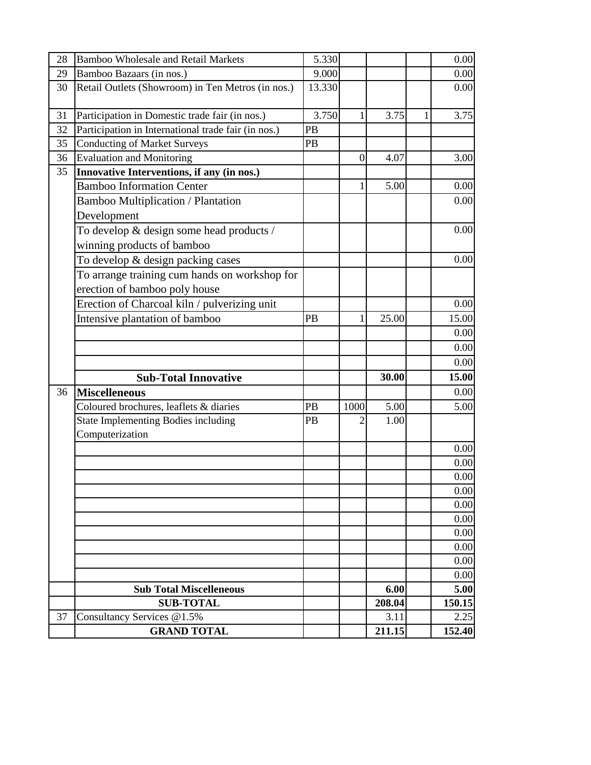| 28 | <b>Bamboo Wholesale and Retail Markets</b>          | 5.330  |          |        |   | 0.00   |
|----|-----------------------------------------------------|--------|----------|--------|---|--------|
| 29 | Bamboo Bazaars (in nos.)                            | 9.000  |          |        |   | 0.00   |
| 30 | Retail Outlets (Showroom) in Ten Metros (in nos.)   | 13.330 |          |        |   | 0.00   |
| 31 | Participation in Domestic trade fair (in nos.)      | 3.750  | 1        | 3.75   | 1 | 3.75   |
| 32 | Participation in International trade fair (in nos.) | PB     |          |        |   |        |
| 35 | <b>Conducting of Market Surveys</b>                 | PB     |          |        |   |        |
| 36 | <b>Evaluation and Monitoring</b>                    |        | $\theta$ | 4.07   |   | 3.00   |
| 35 | Innovative Interventions, if any (in nos.)          |        |          |        |   |        |
|    | <b>Bamboo Information Center</b>                    |        | 1        | 5.00   |   | 0.00   |
|    | <b>Bamboo Multiplication / Plantation</b>           |        |          |        |   | 0.00   |
|    | Development                                         |        |          |        |   |        |
|    | To develop & design some head products /            |        |          |        |   | 0.00   |
|    | winning products of bamboo                          |        |          |        |   |        |
|    | To develop & design packing cases                   |        |          |        |   | 0.00   |
|    | To arrange training cum hands on workshop for       |        |          |        |   |        |
|    | erection of bamboo poly house                       |        |          |        |   |        |
|    | Erection of Charcoal kiln / pulverizing unit        |        |          |        |   | 0.00   |
|    | Intensive plantation of bamboo                      | PB     | 1        | 25.00  |   | 15.00  |
|    |                                                     |        |          |        |   | 0.00   |
|    |                                                     |        |          |        |   | 0.00   |
|    |                                                     |        |          |        |   | 0.00   |
|    | <b>Sub-Total Innovative</b>                         |        |          | 30.00  |   | 15.00  |
| 36 | <b>Miscelleneous</b>                                |        |          |        |   | 0.00   |
|    | Coloured brochures, leaflets & diaries              | PB     | 1000     | 5.00   |   | 5.00   |
|    | <b>State Implementing Bodies including</b>          | PB     | 2        | 1.00   |   |        |
|    | Computerization                                     |        |          |        |   |        |
|    |                                                     |        |          |        |   | 0.00   |
|    |                                                     |        |          |        |   | 0.00   |
|    |                                                     |        |          |        |   | 0.00   |
|    |                                                     |        |          |        |   | 0.00   |
|    |                                                     |        |          |        |   | 0.00   |
|    |                                                     |        |          |        |   | 0.00   |
|    |                                                     |        |          |        |   | 0.00   |
|    |                                                     |        |          |        |   | 0.00   |
|    |                                                     |        |          |        |   | 0.00   |
|    |                                                     |        |          |        |   | 0.00   |
|    | <b>Sub Total Miscelleneous</b>                      |        |          | 6.00   |   | 5.00   |
|    | <b>SUB-TOTAL</b>                                    |        |          | 208.04 |   | 150.15 |
| 37 | Consultancy Services @1.5%                          |        |          | 3.11   |   | 2.25   |
|    | <b>GRAND TOTAL</b>                                  |        |          | 211.15 |   | 152.40 |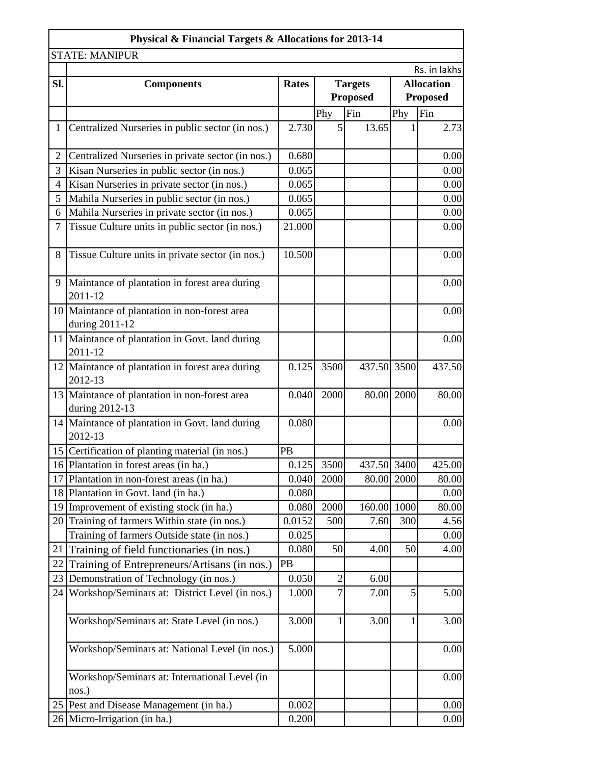|                | Physical & Financial Targets & Allocations for 2013-14          |              |                |                 |                   |              |  |
|----------------|-----------------------------------------------------------------|--------------|----------------|-----------------|-------------------|--------------|--|
|                | <b>STATE: MANIPUR</b>                                           |              |                |                 |                   |              |  |
|                |                                                                 |              |                |                 |                   | Rs. in lakhs |  |
| Sl.            | <b>Components</b>                                               | <b>Rates</b> |                | <b>Targets</b>  | <b>Allocation</b> |              |  |
|                |                                                                 |              |                | <b>Proposed</b> | <b>Proposed</b>   |              |  |
|                |                                                                 |              | Phy            | Fin             | Phy               | Fin          |  |
| $\mathbf{1}$   | Centralized Nurseries in public sector (in nos.)                | 2.730        | 5              | 13.65           |                   | 2.73         |  |
| $\overline{2}$ | Centralized Nurseries in private sector (in nos.)               | 0.680        |                |                 |                   | 0.00         |  |
| 3              | Kisan Nurseries in public sector (in nos.)                      | 0.065        |                |                 |                   | 0.00         |  |
| 4              | Kisan Nurseries in private sector (in nos.)                     | 0.065        |                |                 |                   | 0.00         |  |
| 5              | Mahila Nurseries in public sector (in nos.)                     | 0.065        |                |                 |                   | 0.00         |  |
| 6              | Mahila Nurseries in private sector (in nos.)                    | 0.065        |                |                 |                   | 0.00         |  |
| 7              | Tissue Culture units in public sector (in nos.)                 | 21.000       |                |                 |                   | 0.00         |  |
| 8              | Tissue Culture units in private sector (in nos.)                | 10.500       |                |                 |                   | 0.00         |  |
| 9              | Maintance of plantation in forest area during<br>2011-12        |              |                |                 |                   | 0.00         |  |
|                | 10 Maintance of plantation in non-forest area<br>during 2011-12 |              |                |                 |                   | 0.00         |  |
|                | 11 Maintance of plantation in Govt. land during<br>2011-12      |              |                |                 |                   | 0.00         |  |
|                | 12 Maintance of plantation in forest area during<br>2012-13     | 0.125        | 3500           | 437.50 3500     |                   | 437.50       |  |
|                | 13 Maintance of plantation in non-forest area<br>during 2012-13 | 0.040        | 2000           |                 | 80.00 2000        | 80.00        |  |
|                | 14 Maintance of plantation in Govt. land during<br>2012-13      | 0.080        |                |                 |                   | 0.00         |  |
|                | 15 Certification of planting material (in nos.)                 | PB           |                |                 |                   |              |  |
|                | 16 Plantation in forest areas (in ha.)                          | 0.125        | 3500           | 437.50 3400     |                   | 425.00       |  |
| 17             | Plantation in non-forest areas (in ha.)                         | 0.040        | 2000           |                 | 80.00 2000        | 80.00        |  |
|                | 18 Plantation in Govt. land (in ha.)                            | 0.080        |                |                 |                   | 0.00         |  |
|                | 19 Improvement of existing stock (in ha.)                       | 0.080        | 2000           | 160.00 1000     |                   | 80.00        |  |
|                | 20 Training of farmers Within state (in nos.)                   | 0.0152       | 500            | 7.60            | 300               | 4.56         |  |
|                | Training of farmers Outside state (in nos.)                     | 0.025        |                |                 |                   | 0.00         |  |
| 21             | Training of field functionaries (in nos.)                       | 0.080        | 50             | 4.00            | 50                | 4.00         |  |
| 22             | Training of Entrepreneurs/Artisans (in nos.)                    | PB           |                |                 |                   |              |  |
|                | 23 Demonstration of Technology (in nos.)                        | 0.050        | $\overline{2}$ | 6.00            |                   |              |  |
| 24             | Workshop/Seminars at: District Level (in nos.)                  | 1.000        | 7              | 7.00            | 5                 | 5.00         |  |
|                | Workshop/Seminars at: State Level (in nos.)                     | 3.000        | 1              | 3.00            | 1                 | 3.00         |  |
|                | Workshop/Seminars at: National Level (in nos.)                  | 5.000        |                |                 |                   | 0.00         |  |
|                | Workshop/Seminars at: International Level (in<br>nos.)          |              |                |                 |                   | 0.00         |  |
|                | 25 Pest and Disease Management (in ha.)                         | 0.002        |                |                 |                   | 0.00         |  |
|                | 26 Micro-Irrigation (in ha.)                                    | 0.200        |                |                 |                   | 0.00         |  |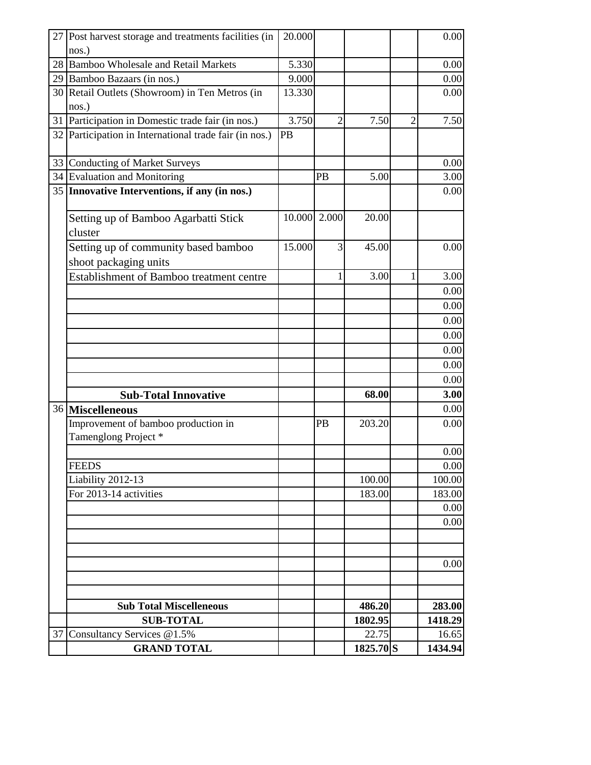|    | 27 Post harvest storage and treatments facilities (in<br>nos.) | 20.000       |    |                    |                | 0.00             |
|----|----------------------------------------------------------------|--------------|----|--------------------|----------------|------------------|
|    | 28 Bamboo Wholesale and Retail Markets                         | 5.330        |    |                    |                | 0.00             |
|    | 29 Bamboo Bazaars (in nos.)                                    | 9.000        |    |                    |                | 0.00             |
|    | 30 Retail Outlets (Showroom) in Ten Metros (in<br>nos.)        | 13.330       |    |                    |                | 0.00             |
|    | 31 Participation in Domestic trade fair (in nos.)              | 3.750        | 2  | 7.50               | $\overline{2}$ | 7.50             |
|    | 32 Participation in International trade fair (in nos.)         | PB           |    |                    |                |                  |
|    | 33 Conducting of Market Surveys                                |              |    |                    |                | 0.00             |
|    | 34 Evaluation and Monitoring                                   |              | PB | 5.00               |                | 3.00             |
|    | 35 Innovative Interventions, if any (in nos.)                  |              |    |                    |                | 0.00             |
|    | Setting up of Bamboo Agarbatti Stick<br>cluster                | 10.000 2.000 |    | 20.00              |                |                  |
|    | Setting up of community based bamboo<br>shoot packaging units  | 15.000       | 3  | 45.00              |                | 0.00             |
|    | <b>Establishment of Bamboo treatment centre</b>                |              |    | 3.00               | 1              | 3.00             |
|    |                                                                |              |    |                    |                | 0.00             |
|    |                                                                |              |    |                    |                | 0.00             |
|    |                                                                |              |    |                    |                | 0.00             |
|    |                                                                |              |    |                    |                | 0.00             |
|    |                                                                |              |    |                    |                | 0.00             |
|    |                                                                |              |    |                    |                | 0.00             |
|    |                                                                |              |    |                    |                | 0.00             |
|    | <b>Sub-Total Innovative</b>                                    |              |    | 68.00              |                | 3.00             |
|    | 36 Miscelleneous                                               |              |    |                    |                | 0.00             |
|    | Improvement of bamboo production in<br>Tamenglong Project*     |              | PB | 203.20             |                | 0.00             |
|    |                                                                |              |    |                    |                | 0.00             |
|    | <b>FEEDS</b>                                                   |              |    |                    |                | 0.00             |
|    | Liability 2012-13                                              |              |    | 100.00             |                | 100.00           |
|    | For 2013-14 activities                                         |              |    | 183.00             |                | 183.00           |
|    |                                                                |              |    |                    |                | 0.00             |
|    |                                                                |              |    |                    |                | 0.00             |
|    |                                                                |              |    |                    |                | 0.00             |
|    |                                                                |              |    |                    |                |                  |
|    | <b>Sub Total Miscelleneous</b>                                 |              |    | 486.20             |                | 283.00           |
|    | <b>SUB-TOTAL</b>                                               |              |    | 1802.95            |                | 1418.29          |
|    |                                                                |              |    |                    |                |                  |
| 37 | Consultancy Services @1.5%<br><b>GRAND TOTAL</b>               |              |    | 22.75<br>1825.70 S |                | 16.65<br>1434.94 |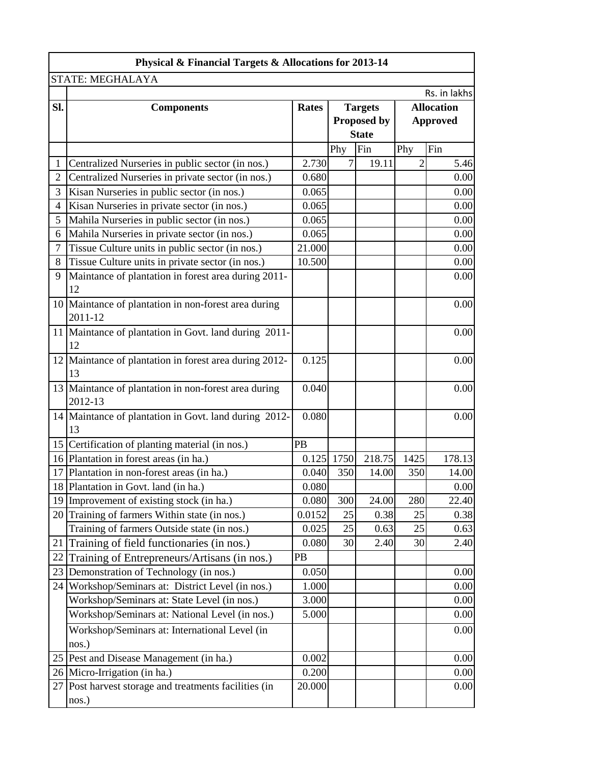| Physical & Financial Targets & Allocations for 2013-14 |                                                        |              |                    |              |      |                   |  |
|--------------------------------------------------------|--------------------------------------------------------|--------------|--------------------|--------------|------|-------------------|--|
|                                                        | STATE: MEGHALAYA                                       |              |                    |              |      |                   |  |
|                                                        |                                                        |              |                    |              |      | Rs. in lakhs      |  |
| Sl.                                                    | <b>Components</b>                                      | <b>Rates</b> | <b>Targets</b>     |              |      | <b>Allocation</b> |  |
|                                                        |                                                        |              | <b>Proposed by</b> |              |      | <b>Approved</b>   |  |
|                                                        |                                                        |              |                    | <b>State</b> |      |                   |  |
|                                                        |                                                        |              | Phy                | Fin          | Phy  | Fin               |  |
| 1                                                      | Centralized Nurseries in public sector (in nos.)       | 2.730        | 7                  | 19.11        | 2    | 5.46              |  |
| 2                                                      | Centralized Nurseries in private sector (in nos.)      | 0.680        |                    |              |      | 0.00              |  |
| 3                                                      | Kisan Nurseries in public sector (in nos.)             | 0.065        |                    |              |      | 0.00              |  |
| 4                                                      | Kisan Nurseries in private sector (in nos.)            | 0.065        |                    |              |      | 0.00              |  |
| 5                                                      | Mahila Nurseries in public sector (in nos.)            | 0.065        |                    |              |      | 0.00              |  |
| 6                                                      | Mahila Nurseries in private sector (in nos.)           | 0.065        |                    |              |      | 0.00              |  |
| $\overline{7}$                                         | Tissue Culture units in public sector (in nos.)        | 21.000       |                    |              |      | 0.00              |  |
| 8                                                      | Tissue Culture units in private sector (in nos.)       | 10.500       |                    |              |      | 0.00              |  |
| 9                                                      | Maintance of plantation in forest area during 2011-    |              |                    |              |      | 0.00              |  |
|                                                        | 12                                                     |              |                    |              |      |                   |  |
|                                                        | 10 Maintance of plantation in non-forest area during   |              |                    |              |      | 0.00              |  |
|                                                        | 2011-12                                                |              |                    |              |      |                   |  |
|                                                        | 11 Maintance of plantation in Govt. land during 2011-  |              |                    |              |      | 0.00              |  |
|                                                        | 12                                                     |              |                    |              |      |                   |  |
|                                                        | 12 Maintance of plantation in forest area during 2012- | 0.125        |                    |              |      | 0.00              |  |
|                                                        | 13                                                     |              |                    |              |      |                   |  |
|                                                        | 13 Maintance of plantation in non-forest area during   | 0.040        |                    |              |      | 0.00              |  |
|                                                        | 2012-13                                                |              |                    |              |      |                   |  |
|                                                        | 14 Maintance of plantation in Govt. land during 2012-  | 0.080        |                    |              |      | 0.00              |  |
|                                                        | 13                                                     |              |                    |              |      |                   |  |
|                                                        | 15 Certification of planting material (in nos.)        | PB           |                    |              |      |                   |  |
|                                                        | 16 Plantation in forest areas (in ha.)                 | 0.125        | 1750               | 218.75       | 1425 | 178.13            |  |
|                                                        | 17 Plantation in non-forest areas (in ha.)             | 0.040        | 350                | 14.00        | 350  | 14.00             |  |
|                                                        | 18 Plantation in Govt. land (in ha.)                   | 0.080        |                    |              |      | 0.00              |  |
|                                                        | 19 Improvement of existing stock (in ha.)              | 0.080        | 300                | 24.00        | 280  | 22.40             |  |
|                                                        | 20 Training of farmers Within state (in nos.)          | 0.0152       | 25                 | 0.38         | 25   | 0.38              |  |
|                                                        | Training of farmers Outside state (in nos.)            | 0.025        | 25                 | 0.63         | 25   | 0.63              |  |
|                                                        | 21 Training of field functionaries (in nos.)           | 0.080        | 30                 | 2.40         | 30   | 2.40              |  |
| 22                                                     | Training of Entrepreneurs/Artisans (in nos.)           | PB           |                    |              |      |                   |  |
| 23                                                     | Demonstration of Technology (in nos.)                  | 0.050        |                    |              |      | 0.00              |  |
|                                                        | 24 Workshop/Seminars at: District Level (in nos.)      | 1.000        |                    |              |      | 0.00              |  |
|                                                        | Workshop/Seminars at: State Level (in nos.)            | 3.000        |                    |              |      | 0.00              |  |
|                                                        | Workshop/Seminars at: National Level (in nos.)         | 5.000        |                    |              |      | 0.00              |  |
|                                                        | Workshop/Seminars at: International Level (in          |              |                    |              |      | 0.00              |  |
|                                                        | nos.)                                                  |              |                    |              |      |                   |  |
|                                                        | 25 Pest and Disease Management (in ha.)                | 0.002        |                    |              |      | 0.00              |  |
|                                                        | 26 Micro-Irrigation (in ha.)                           | 0.200        |                    |              |      | 0.00              |  |
|                                                        | 27 Post harvest storage and treatments facilities (in  | 20.000       |                    |              |      | 0.00              |  |
|                                                        | nos.)                                                  |              |                    |              |      |                   |  |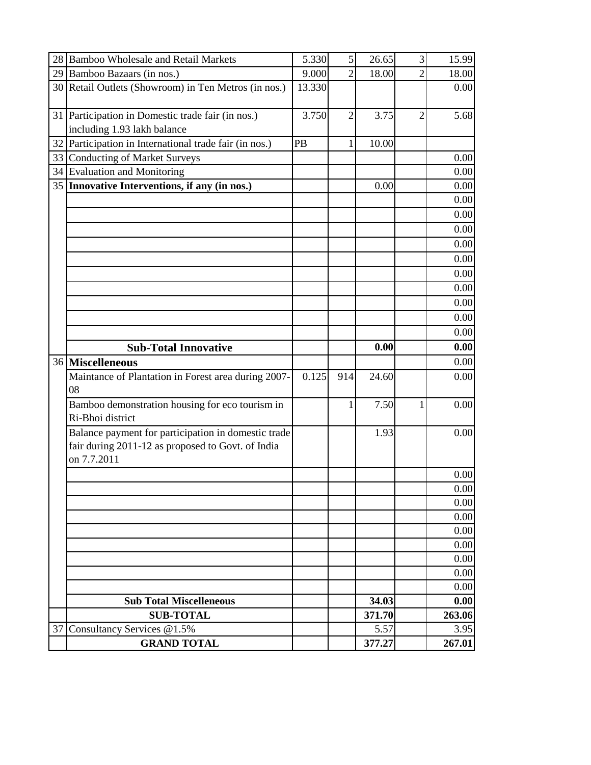|    | 28 Bamboo Wholesale and Retail Markets                                                                                  | 5.330  | 5 <sup>1</sup> | 26.65  | 3              | 15.99  |
|----|-------------------------------------------------------------------------------------------------------------------------|--------|----------------|--------|----------------|--------|
|    | 29 Bamboo Bazaars (in nos.)                                                                                             | 9.000  | $\overline{2}$ | 18.00  | $\overline{2}$ | 18.00  |
|    | 30 Retail Outlets (Showroom) in Ten Metros (in nos.)                                                                    | 13.330 |                |        |                | 0.00   |
|    | 31 Participation in Domestic trade fair (in nos.)                                                                       | 3.750  | $\overline{2}$ | 3.75   | 2              | 5.68   |
|    | including 1.93 lakh balance                                                                                             |        |                |        |                |        |
|    | 32 Participation in International trade fair (in nos.)                                                                  | PB     | 1              | 10.00  |                |        |
|    | 33 Conducting of Market Surveys                                                                                         |        |                |        |                | 0.00   |
|    | 34 Evaluation and Monitoring                                                                                            |        |                |        |                | 0.00   |
|    | 35 Innovative Interventions, if any (in nos.)                                                                           |        |                | 0.00   |                | 0.00   |
|    |                                                                                                                         |        |                |        |                | 0.00   |
|    |                                                                                                                         |        |                |        |                | 0.00   |
|    |                                                                                                                         |        |                |        |                | 0.00   |
|    |                                                                                                                         |        |                |        |                | 0.00   |
|    |                                                                                                                         |        |                |        |                | 0.00   |
|    |                                                                                                                         |        |                |        |                | 0.00   |
|    |                                                                                                                         |        |                |        |                | 0.00   |
|    |                                                                                                                         |        |                |        |                | 0.00   |
|    |                                                                                                                         |        |                |        |                | 0.00   |
|    |                                                                                                                         |        |                |        |                | 0.00   |
|    | <b>Sub-Total Innovative</b>                                                                                             |        |                | 0.00   |                | 0.00   |
|    | 36 Miscelleneous                                                                                                        |        |                |        |                | 0.00   |
|    | Maintance of Plantation in Forest area during 2007-<br>08                                                               | 0.125  | 914            | 24.60  |                | 0.00   |
|    | Bamboo demonstration housing for eco tourism in<br>Ri-Bhoi district                                                     |        | 1              | 7.50   |                | 0.00   |
|    | Balance payment for participation in domestic trade<br>fair during 2011-12 as proposed to Govt. of India<br>on 7.7.2011 |        |                | 1.93   |                | 0.00   |
|    |                                                                                                                         |        |                |        |                | 0.00   |
|    |                                                                                                                         |        |                |        |                | 0.00   |
|    |                                                                                                                         |        |                |        |                | 0.00   |
|    |                                                                                                                         |        |                |        |                | 0.00   |
|    |                                                                                                                         |        |                |        |                | 0.00   |
|    |                                                                                                                         |        |                |        |                | 0.00   |
|    |                                                                                                                         |        |                |        |                | 0.00   |
|    |                                                                                                                         |        |                |        |                | 0.00   |
|    |                                                                                                                         |        |                |        |                | 0.00   |
|    | <b>Sub Total Miscelleneous</b>                                                                                          |        |                | 34.03  |                | 0.00   |
|    |                                                                                                                         |        |                | 371.70 |                | 263.06 |
|    | <b>SUB-TOTAL</b>                                                                                                        |        |                |        |                |        |
| 37 | Consultancy Services @1.5%                                                                                              |        |                | 5.57   |                | 3.95   |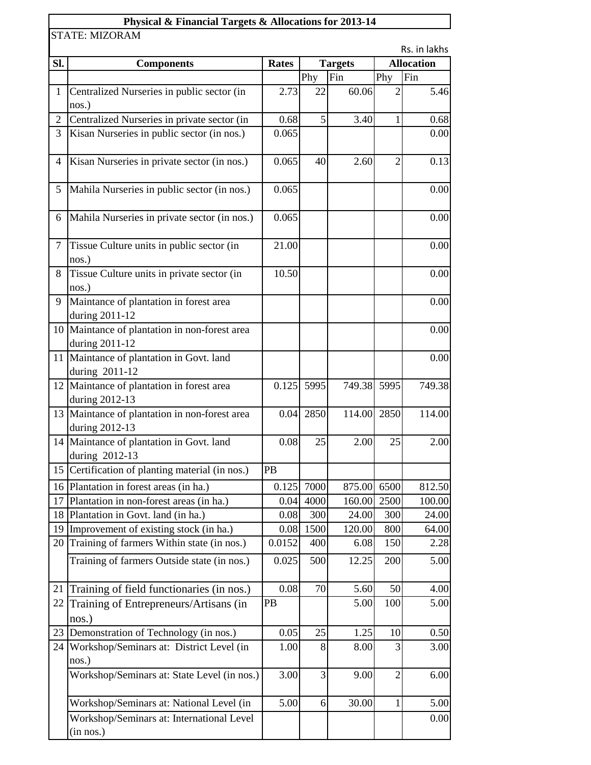## **Physical & Financial Targets & Allocations for 2013-14**

STATE: MIZORAM

Rs. in lakhs

| <b>Components</b>                           | <b>Rates</b>                                                                                                                                                                                                                                                                                                                                                                                                                                                                                                                                                                                                                                                                                                                                                                                                                                                                                                                                                                                             | <b>Targets</b> |                                                     | <b>Allocation</b>  |                                                                                                                                                  |
|---------------------------------------------|----------------------------------------------------------------------------------------------------------------------------------------------------------------------------------------------------------------------------------------------------------------------------------------------------------------------------------------------------------------------------------------------------------------------------------------------------------------------------------------------------------------------------------------------------------------------------------------------------------------------------------------------------------------------------------------------------------------------------------------------------------------------------------------------------------------------------------------------------------------------------------------------------------------------------------------------------------------------------------------------------------|----------------|-----------------------------------------------------|--------------------|--------------------------------------------------------------------------------------------------------------------------------------------------|
|                                             |                                                                                                                                                                                                                                                                                                                                                                                                                                                                                                                                                                                                                                                                                                                                                                                                                                                                                                                                                                                                          | Phy            | Fin                                                 | Phy                | Fin                                                                                                                                              |
| nos.)                                       | 2.73                                                                                                                                                                                                                                                                                                                                                                                                                                                                                                                                                                                                                                                                                                                                                                                                                                                                                                                                                                                                     | 22             |                                                     | $\overline{2}$     | 5.46                                                                                                                                             |
| Centralized Nurseries in private sector (in | 0.68                                                                                                                                                                                                                                                                                                                                                                                                                                                                                                                                                                                                                                                                                                                                                                                                                                                                                                                                                                                                     | 5              |                                                     | 1                  | 0.68                                                                                                                                             |
| Kisan Nurseries in public sector (in nos.)  | 0.065                                                                                                                                                                                                                                                                                                                                                                                                                                                                                                                                                                                                                                                                                                                                                                                                                                                                                                                                                                                                    |                |                                                     |                    | 0.00                                                                                                                                             |
|                                             | 0.065                                                                                                                                                                                                                                                                                                                                                                                                                                                                                                                                                                                                                                                                                                                                                                                                                                                                                                                                                                                                    | 40             | 2.60                                                | $\overline{2}$     | 0.13                                                                                                                                             |
|                                             | 0.065                                                                                                                                                                                                                                                                                                                                                                                                                                                                                                                                                                                                                                                                                                                                                                                                                                                                                                                                                                                                    |                |                                                     |                    | 0.00                                                                                                                                             |
|                                             | 0.065                                                                                                                                                                                                                                                                                                                                                                                                                                                                                                                                                                                                                                                                                                                                                                                                                                                                                                                                                                                                    |                |                                                     |                    | 0.00                                                                                                                                             |
| Tissue Culture units in public sector (in   | 21.00                                                                                                                                                                                                                                                                                                                                                                                                                                                                                                                                                                                                                                                                                                                                                                                                                                                                                                                                                                                                    |                |                                                     |                    | 0.00                                                                                                                                             |
| Tissue Culture units in private sector (in  | 10.50                                                                                                                                                                                                                                                                                                                                                                                                                                                                                                                                                                                                                                                                                                                                                                                                                                                                                                                                                                                                    |                |                                                     |                    | 0.00                                                                                                                                             |
|                                             |                                                                                                                                                                                                                                                                                                                                                                                                                                                                                                                                                                                                                                                                                                                                                                                                                                                                                                                                                                                                          |                |                                                     |                    | 0.00                                                                                                                                             |
|                                             |                                                                                                                                                                                                                                                                                                                                                                                                                                                                                                                                                                                                                                                                                                                                                                                                                                                                                                                                                                                                          |                |                                                     |                    | 0.00                                                                                                                                             |
|                                             |                                                                                                                                                                                                                                                                                                                                                                                                                                                                                                                                                                                                                                                                                                                                                                                                                                                                                                                                                                                                          |                |                                                     |                    | 0.00                                                                                                                                             |
|                                             |                                                                                                                                                                                                                                                                                                                                                                                                                                                                                                                                                                                                                                                                                                                                                                                                                                                                                                                                                                                                          | 5995           |                                                     |                    | 749.38                                                                                                                                           |
|                                             |                                                                                                                                                                                                                                                                                                                                                                                                                                                                                                                                                                                                                                                                                                                                                                                                                                                                                                                                                                                                          | 2850           |                                                     | 2850               | 114.00                                                                                                                                           |
|                                             | 0.08                                                                                                                                                                                                                                                                                                                                                                                                                                                                                                                                                                                                                                                                                                                                                                                                                                                                                                                                                                                                     | 25             |                                                     | 25                 | 2.00                                                                                                                                             |
|                                             | PB                                                                                                                                                                                                                                                                                                                                                                                                                                                                                                                                                                                                                                                                                                                                                                                                                                                                                                                                                                                                       |                |                                                     |                    |                                                                                                                                                  |
|                                             |                                                                                                                                                                                                                                                                                                                                                                                                                                                                                                                                                                                                                                                                                                                                                                                                                                                                                                                                                                                                          |                |                                                     |                    | 812.50                                                                                                                                           |
| Plantation in non-forest areas (in ha.)     | 0.04                                                                                                                                                                                                                                                                                                                                                                                                                                                                                                                                                                                                                                                                                                                                                                                                                                                                                                                                                                                                     | 4000           | 160.00                                              | 2500               | 100.00                                                                                                                                           |
|                                             |                                                                                                                                                                                                                                                                                                                                                                                                                                                                                                                                                                                                                                                                                                                                                                                                                                                                                                                                                                                                          | 300            |                                                     | 300                | 24.00                                                                                                                                            |
|                                             |                                                                                                                                                                                                                                                                                                                                                                                                                                                                                                                                                                                                                                                                                                                                                                                                                                                                                                                                                                                                          | 1500           |                                                     | 800                | 64.00                                                                                                                                            |
|                                             | 0.0152                                                                                                                                                                                                                                                                                                                                                                                                                                                                                                                                                                                                                                                                                                                                                                                                                                                                                                                                                                                                   | 400            |                                                     | 150                | 2.28                                                                                                                                             |
| Training of farmers Outside state (in nos.) | 0.025                                                                                                                                                                                                                                                                                                                                                                                                                                                                                                                                                                                                                                                                                                                                                                                                                                                                                                                                                                                                    | 500            |                                                     | 200                | 5.00                                                                                                                                             |
|                                             | 0.08                                                                                                                                                                                                                                                                                                                                                                                                                                                                                                                                                                                                                                                                                                                                                                                                                                                                                                                                                                                                     | 70             |                                                     | 50                 | 4.00                                                                                                                                             |
| Training of Entrepreneurs/Artisans (in      | PB                                                                                                                                                                                                                                                                                                                                                                                                                                                                                                                                                                                                                                                                                                                                                                                                                                                                                                                                                                                                       |                |                                                     | 100                | 5.00                                                                                                                                             |
|                                             |                                                                                                                                                                                                                                                                                                                                                                                                                                                                                                                                                                                                                                                                                                                                                                                                                                                                                                                                                                                                          |                |                                                     |                    | 0.50                                                                                                                                             |
|                                             | 1.00                                                                                                                                                                                                                                                                                                                                                                                                                                                                                                                                                                                                                                                                                                                                                                                                                                                                                                                                                                                                     | 8              |                                                     | 3                  | 3.00                                                                                                                                             |
| Workshop/Seminars at: State Level (in nos.) | 3.00                                                                                                                                                                                                                                                                                                                                                                                                                                                                                                                                                                                                                                                                                                                                                                                                                                                                                                                                                                                                     | 3              |                                                     | $\overline{2}$     | 6.00                                                                                                                                             |
| Workshop/Seminars at: National Level (in    |                                                                                                                                                                                                                                                                                                                                                                                                                                                                                                                                                                                                                                                                                                                                                                                                                                                                                                                                                                                                          | 6              |                                                     | 1                  | 5.00                                                                                                                                             |
| Workshop/Seminars at: International Level   |                                                                                                                                                                                                                                                                                                                                                                                                                                                                                                                                                                                                                                                                                                                                                                                                                                                                                                                                                                                                          |                |                                                     |                    | 0.00                                                                                                                                             |
|                                             | Centralized Nurseries in public sector (in<br>Kisan Nurseries in private sector (in nos.)<br>Mahila Nurseries in public sector (in nos.)<br>Mahila Nurseries in private sector (in nos.)<br>nos.)<br>nos.)<br>Maintance of plantation in forest area<br>during 2011-12<br>10 Maintance of plantation in non-forest area<br>during 2011-12<br>11 Maintance of plantation in Govt. land<br>during 2011-12<br>12 Maintance of plantation in forest area<br>during 2012-13<br>13 Maintance of plantation in non-forest area<br>during 2012-13<br>14 Maintance of plantation in Govt. land<br>during 2012-13<br>15 Certification of planting material (in nos.)<br>16 Plantation in forest areas (in ha.)<br>Plantation in Govt. land (in ha.)<br>Improvement of existing stock (in ha.)<br>20 Training of farmers Within state (in nos.)<br>Training of field functionaries (in nos.)<br>nos.)<br>Demonstration of Technology (in nos.)<br>24 Workshop/Seminars at: District Level (in<br>nos.)<br>(in nos.) |                | 0.125<br>0.04<br>0.08<br>0.08<br>0.05<br>25<br>5.00 | 0.125 7000<br>1.25 | 60.06<br>3.40<br>749.38 5995<br>114.00<br>2.00<br>875.00 6500<br>24.00<br>120.00<br>6.08<br>12.25<br>5.60<br>5.00<br>10<br>8.00<br>9.00<br>30.00 |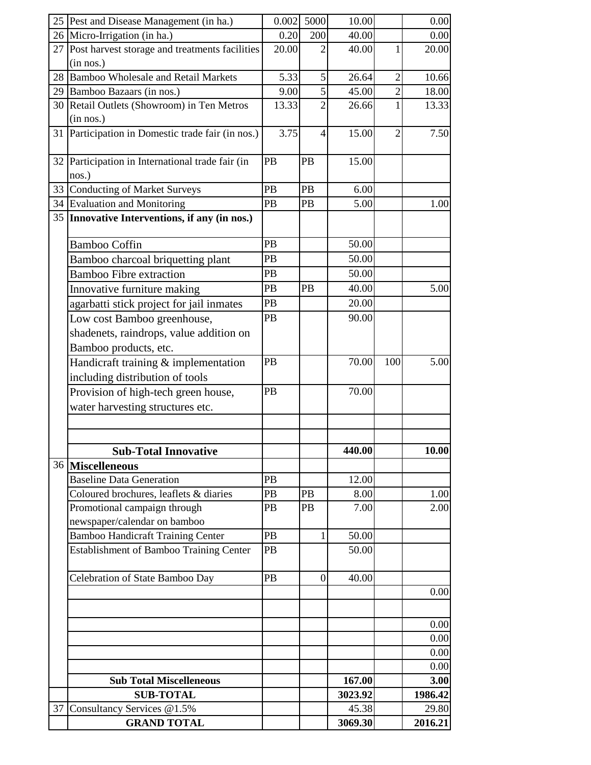|    | 25 Pest and Disease Management (in ha.)           | 0.002 | 5000             | 10.00   |                | 0.00         |
|----|---------------------------------------------------|-------|------------------|---------|----------------|--------------|
|    | 26 Micro-Irrigation (in ha.)                      | 0.20  | 200              | 40.00   |                | 0.00         |
|    | 27 Post harvest storage and treatments facilities | 20.00 |                  | 40.00   | 1              | 20.00        |
|    | (in nos.)                                         |       |                  |         |                |              |
|    | 28 Bamboo Wholesale and Retail Markets            | 5.33  | 5                | 26.64   | $\overline{2}$ | 10.66        |
|    | 29 Bamboo Bazaars (in nos.)                       | 9.00  | 5                | 45.00   | $\overline{2}$ | 18.00        |
|    | 30 Retail Outlets (Showroom) in Ten Metros        | 13.33 | 2                | 26.66   | 1              | 13.33        |
|    | (in nos.)                                         |       |                  |         |                |              |
|    | 31 Participation in Domestic trade fair (in nos.) | 3.75  | 4                | 15.00   | $\overline{2}$ | 7.50         |
|    |                                                   |       |                  |         |                |              |
|    | 32 Participation in International trade fair (in  | PB    | PB               | 15.00   |                |              |
|    | nos.)                                             |       |                  |         |                |              |
| 33 | <b>Conducting of Market Surveys</b>               | PB    | PB               | 6.00    |                |              |
| 34 | <b>Evaluation and Monitoring</b>                  | PB    | PB               | 5.00    |                | 1.00         |
|    | 35   Innovative Interventions, if any (in nos.)   |       |                  |         |                |              |
|    | <b>Bamboo Coffin</b>                              | PB    |                  | 50.00   |                |              |
|    | Bamboo charcoal briquetting plant                 | PB    |                  | 50.00   |                |              |
|    | <b>Bamboo Fibre extraction</b>                    | PB    |                  | 50.00   |                |              |
|    | Innovative furniture making                       | PB    | PB               | 40.00   |                | 5.00         |
|    | agarbatti stick project for jail inmates          | PB    |                  | 20.00   |                |              |
|    | Low cost Bamboo greenhouse,                       | PB    |                  | 90.00   |                |              |
|    | shadenets, raindrops, value addition on           |       |                  |         |                |              |
|    | Bamboo products, etc.                             |       |                  |         |                |              |
|    | Handicraft training & implementation              | PB    |                  | 70.00   | 100            | 5.00         |
|    | including distribution of tools                   |       |                  |         |                |              |
|    | Provision of high-tech green house,               | PB    |                  | 70.00   |                |              |
|    | water harvesting structures etc.                  |       |                  |         |                |              |
|    |                                                   |       |                  |         |                |              |
|    |                                                   |       |                  |         |                |              |
|    |                                                   |       |                  | 440.00  |                | <b>10.00</b> |
|    | <b>Sub-Total Innovative</b><br>36 Miscelleneous   |       |                  |         |                |              |
|    | <b>Baseline Data Generation</b>                   | PB    |                  | 12.00   |                |              |
|    | Coloured brochures, leaflets & diaries            | PB    | PB               | 8.00    |                | 1.00         |
|    | Promotional campaign through                      | PB    | PB               | 7.00    |                | 2.00         |
|    | newspaper/calendar on bamboo                      |       |                  |         |                |              |
|    | <b>Bamboo Handicraft Training Center</b>          | PB    | 1                | 50.00   |                |              |
|    | <b>Establishment of Bamboo Training Center</b>    | PB    |                  | 50.00   |                |              |
|    |                                                   |       |                  |         |                |              |
|    | Celebration of State Bamboo Day                   | PB    | $\boldsymbol{0}$ | 40.00   |                |              |
|    |                                                   |       |                  |         |                | 0.00         |
|    |                                                   |       |                  |         |                |              |
|    |                                                   |       |                  |         |                | 0.00         |
|    |                                                   |       |                  |         |                | 0.00         |
|    |                                                   |       |                  |         |                | 0.00         |
|    |                                                   |       |                  |         |                | 0.00         |
|    | <b>Sub Total Miscelleneous</b>                    |       |                  | 167.00  |                | 3.00         |
|    | <b>SUB-TOTAL</b>                                  |       |                  | 3023.92 |                | 1986.42      |
| 37 | Consultancy Services @1.5%                        |       |                  | 45.38   |                | 29.80        |
|    | <b>GRAND TOTAL</b>                                |       |                  | 3069.30 |                | 2016.21      |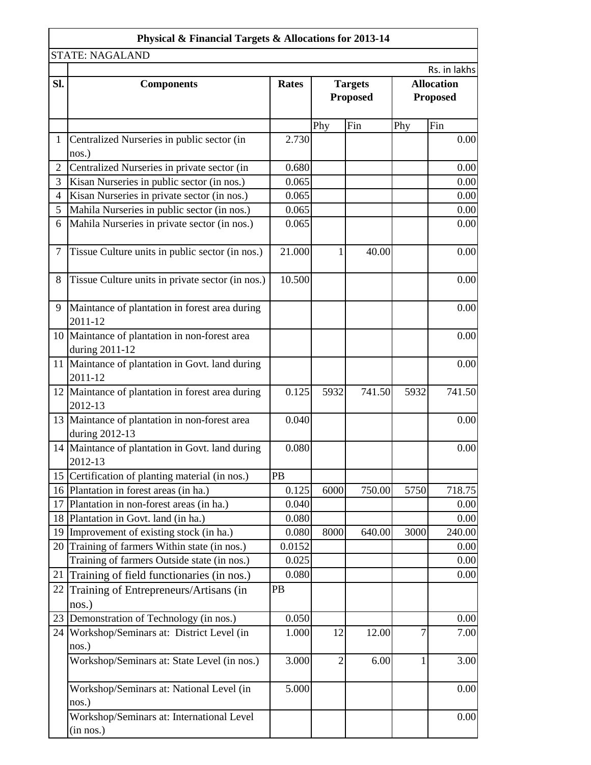|                 | Physical & Financial Targets & Allocations for 2013-14                                   |                 |                                   |        |                                      |              |
|-----------------|------------------------------------------------------------------------------------------|-----------------|-----------------------------------|--------|--------------------------------------|--------------|
|                 | <b>STATE: NAGALAND</b>                                                                   |                 |                                   |        |                                      |              |
|                 |                                                                                          |                 |                                   |        |                                      | Rs. in lakhs |
| SI.             | <b>Components</b>                                                                        | <b>Rates</b>    | <b>Targets</b><br><b>Proposed</b> |        | <b>Allocation</b><br><b>Proposed</b> |              |
|                 |                                                                                          |                 | Phy                               | Fin    | Phy                                  | Fin          |
| $\mathbf{1}$    | Centralized Nurseries in public sector (in                                               | 2.730           |                                   |        |                                      | 0.00         |
|                 | nos.)                                                                                    |                 |                                   |        |                                      |              |
| $\mathfrak{2}$  | Centralized Nurseries in private sector (in                                              | 0.680           |                                   |        |                                      | 0.00         |
| 3               | Kisan Nurseries in public sector (in nos.)                                               | 0.065           |                                   |        |                                      | 0.00         |
| 4               | Kisan Nurseries in private sector (in nos.)                                              | 0.065           |                                   |        |                                      | 0.00         |
| 5               | Mahila Nurseries in public sector (in nos.)                                              | 0.065           |                                   |        |                                      | 0.00         |
| 6               | Mahila Nurseries in private sector (in nos.)                                             | 0.065           |                                   |        |                                      | 0.00         |
| 7               | Tissue Culture units in public sector (in nos.)                                          | 21.000          | 1                                 | 40.00  |                                      | 0.00         |
| 8               | Tissue Culture units in private sector (in nos.)                                         | 10.500          |                                   |        |                                      | 0.00         |
| 9               | Maintance of plantation in forest area during<br>2011-12                                 |                 |                                   |        |                                      | 0.00         |
|                 | 10 Maintance of plantation in non-forest area<br>during 2011-12                          |                 |                                   |        |                                      | 0.00         |
|                 | 11 Maintance of plantation in Govt. land during<br>2011-12                               |                 |                                   |        |                                      | 0.00         |
|                 | 12 Maintance of plantation in forest area during<br>2012-13                              | 0.125           | 5932                              | 741.50 | 5932                                 | 741.50       |
|                 | 13 Maintance of plantation in non-forest area<br>during 2012-13                          | 0.040           |                                   |        |                                      | 0.00         |
|                 | 14 Maintance of plantation in Govt. land during<br>2012-13                               | 0.080           |                                   |        |                                      | 0.00         |
|                 | 15 Certification of planting material (in nos.)                                          | PB              |                                   |        |                                      |              |
|                 | 16 Plantation in forest areas (in ha.)                                                   | 0.125           | 6000                              | 750.00 | 5750                                 | 718.75       |
| 17              | Plantation in non-forest areas (in ha.)                                                  | 0.040           |                                   |        |                                      | 0.00         |
| 18 <sup> </sup> | Plantation in Govt. land (in ha.)                                                        | 0.080           |                                   |        |                                      | 0.00         |
|                 | 19 Improvement of existing stock (in ha.)                                                | 0.080           | 8000                              | 640.00 | 3000                                 | 240.00       |
|                 | 20 Training of farmers Within state (in nos.)                                            | 0.0152<br>0.025 |                                   |        |                                      | 0.00         |
| 21              | Training of farmers Outside state (in nos.)<br>Training of field functionaries (in nos.) | 0.080           |                                   |        |                                      | 0.00<br>0.00 |
| 22              | Training of Entrepreneurs/Artisans (in<br>$nos.$ )                                       | PB              |                                   |        |                                      |              |
|                 | 23 Demonstration of Technology (in nos.)                                                 | 0.050           |                                   |        |                                      | 0.00         |
|                 | 24 Workshop/Seminars at: District Level (in<br>nos.)                                     | 1.000           | 12                                | 12.00  | 7                                    | 7.00         |
|                 | Workshop/Seminars at: State Level (in nos.)                                              | 3.000           | $\overline{2}$                    | 6.00   |                                      | 3.00         |
|                 | Workshop/Seminars at: National Level (in<br>nos.)                                        | 5.000           |                                   |        |                                      | 0.00         |
|                 | Workshop/Seminars at: International Level<br>(in nos.)                                   |                 |                                   |        |                                      | 0.00         |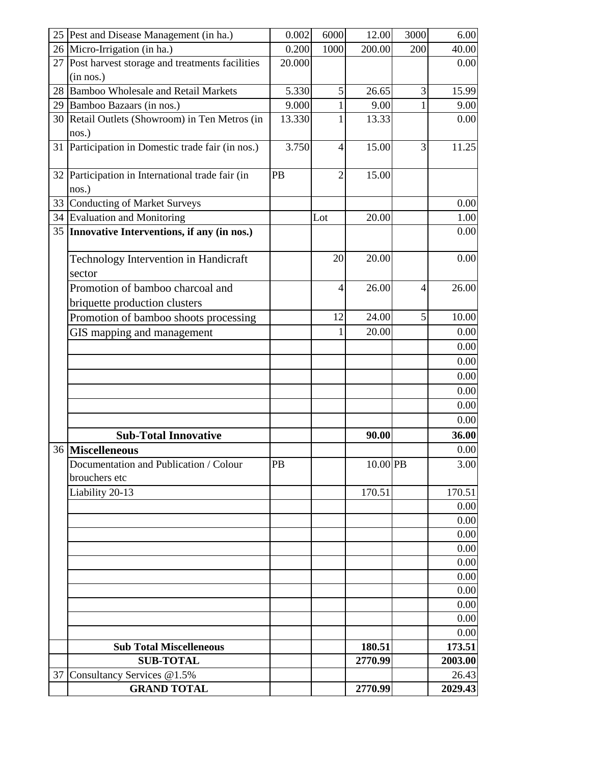| 25 | Pest and Disease Management (in ha.)                              | 0.002  | 6000           | 12.00    | 3000           | 6.00    |
|----|-------------------------------------------------------------------|--------|----------------|----------|----------------|---------|
|    | 26 Micro-Irrigation (in ha.)                                      | 0.200  | 1000           | 200.00   | 200            | 40.00   |
| 27 | Post harvest storage and treatments facilities                    | 20.000 |                |          |                | 0.00    |
|    | (in nos.)                                                         |        |                |          |                |         |
| 28 | <b>Bamboo Wholesale and Retail Markets</b>                        | 5.330  | 5              | 26.65    | $\overline{3}$ | 15.99   |
| 29 | Bamboo Bazaars (in nos.)                                          | 9.000  | 1              | 9.00     |                | 9.00    |
| 30 | Retail Outlets (Showroom) in Ten Metros (in                       | 13.330 | 1              | 13.33    |                | 0.00    |
|    | nos.)                                                             |        |                |          |                |         |
| 31 | Participation in Domestic trade fair (in nos.)                    | 3.750  | $\overline{4}$ | 15.00    | $\overline{3}$ | 11.25   |
| 32 | Participation in International trade fair (in<br>nos.)            | PB     | $\overline{2}$ | 15.00    |                |         |
| 33 | <b>Conducting of Market Surveys</b>                               |        |                |          |                | 0.00    |
| 34 | <b>Evaluation and Monitoring</b>                                  |        | Lot            | 20.00    |                | 1.00    |
| 35 | Innovative Interventions, if any (in nos.)                        |        |                |          |                | 0.00    |
|    | Technology Intervention in Handicraft<br>sector                   |        | 20             | 20.00    |                | 0.00    |
|    | Promotion of bamboo charcoal and<br>briquette production clusters |        | 4              | 26.00    | $\overline{4}$ | 26.00   |
|    | Promotion of bamboo shoots processing                             |        | 12             | 24.00    | $\overline{5}$ | 10.00   |
|    | GIS mapping and management                                        |        | 1              | 20.00    |                | 0.00    |
|    |                                                                   |        |                |          |                | 0.00    |
|    |                                                                   |        |                |          |                | 0.00    |
|    |                                                                   |        |                |          |                | 0.00    |
|    |                                                                   |        |                |          |                | 0.00    |
|    |                                                                   |        |                |          |                | 0.00    |
|    |                                                                   |        |                |          |                | 0.00    |
|    | <b>Sub-Total Innovative</b>                                       |        |                | 90.00    |                | 36.00   |
|    | 36 Miscelleneous                                                  |        |                |          |                | 0.00    |
|    | Documentation and Publication / Colour<br>brouchers etc           | PB     |                | 10.00 PB |                | 3.00    |
|    | Liability 20-13                                                   |        |                | 170.51   |                | 170.51  |
|    |                                                                   |        |                |          |                | 0.00    |
|    |                                                                   |        |                |          |                | 0.00    |
|    |                                                                   |        |                |          |                | 0.00    |
|    |                                                                   |        |                |          |                | 0.00    |
|    |                                                                   |        |                |          |                | 0.00    |
|    |                                                                   |        |                |          |                | 0.00    |
|    |                                                                   |        |                |          |                | 0.00    |
|    |                                                                   |        |                |          |                | 0.00    |
|    |                                                                   |        |                |          |                | 0.00    |
|    |                                                                   |        |                |          |                | 0.00    |
|    | <b>Sub Total Miscelleneous</b>                                    |        |                | 180.51   |                | 173.51  |
|    | <b>SUB-TOTAL</b>                                                  |        |                | 2770.99  |                | 2003.00 |
| 37 | Consultancy Services @1.5%                                        |        |                |          |                | 26.43   |
|    | <b>GRAND TOTAL</b>                                                |        |                | 2770.99  |                | 2029.43 |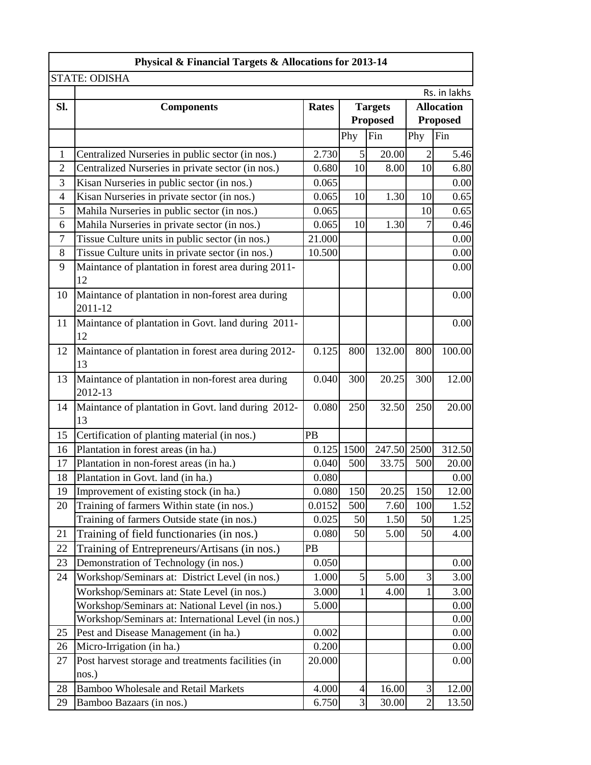|                | Physical & Financial Targets & Allocations for 2013-14       |              |                |                 |                 |                   |
|----------------|--------------------------------------------------------------|--------------|----------------|-----------------|-----------------|-------------------|
|                | <b>STATE: ODISHA</b>                                         |              |                |                 |                 |                   |
|                |                                                              |              |                |                 |                 | Rs. in lakhs      |
| SI.            | <b>Components</b>                                            | <b>Rates</b> |                | <b>Targets</b>  |                 | <b>Allocation</b> |
|                |                                                              |              |                | <b>Proposed</b> | <b>Proposed</b> |                   |
|                |                                                              |              | Phy            | Fin             | Phy             | Fin               |
| 1              | Centralized Nurseries in public sector (in nos.)             | 2.730        | 5              | 20.00           | $\overline{2}$  | 5.46              |
| $\overline{2}$ | Centralized Nurseries in private sector (in nos.)            | 0.680        | 10             | 8.00            | 10              | 6.80              |
| 3              | Kisan Nurseries in public sector (in nos.)                   | 0.065        |                |                 |                 | 0.00              |
| 4              | Kisan Nurseries in private sector (in nos.)                  | 0.065        | 10             | 1.30            | 10              | 0.65              |
| 5              | Mahila Nurseries in public sector (in nos.)                  | 0.065        |                |                 | 10              | 0.65              |
| 6              | Mahila Nurseries in private sector (in nos.)                 | 0.065        | 10             | 1.30            | $\overline{7}$  | 0.46              |
| $\overline{7}$ | Tissue Culture units in public sector (in nos.)              | 21.000       |                |                 |                 | 0.00              |
| 8              | Tissue Culture units in private sector (in nos.)             | 10.500       |                |                 |                 | 0.00              |
| 9              | Maintance of plantation in forest area during 2011-<br>12    |              |                |                 |                 | 0.00              |
| 10             | Maintance of plantation in non-forest area during<br>2011-12 |              |                |                 |                 | 0.00              |
| 11             | Maintance of plantation in Govt. land during 2011-<br>12     |              |                |                 |                 | 0.00              |
| 12             | Maintance of plantation in forest area during 2012-<br>13    | 0.125        | 800            | 132.00          | 800             | 100.00            |
| 13             | Maintance of plantation in non-forest area during<br>2012-13 | 0.040        | 300            | 20.25           | 300             | 12.00             |
| 14             | Maintance of plantation in Govt. land during 2012-<br>13     | 0.080        | 250            | 32.50           | 250             | 20.00             |
| 15             | Certification of planting material (in nos.)                 | PB           |                |                 |                 |                   |
| 16             | Plantation in forest areas (in ha.)                          |              | $0.125$ 1500   | 247.50 2500     |                 | 312.50            |
| 17             | Plantation in non-forest areas (in ha.)                      | 0.040        | 500            | 33.75           | 500             | 20.00             |
| 18             | Plantation in Govt. land (in ha.)                            | 0.080        |                |                 |                 | 0.00              |
| 19             | Improvement of existing stock (in ha.)                       | 0.080        | 150            | 20.25           | 150             | 12.00             |
| 20             | Training of farmers Within state (in nos.)                   | 0.0152       | 500            | 7.60            | 100             | 1.52              |
|                | Training of farmers Outside state (in nos.)                  | 0.025        | 50             | 1.50            | 50              | 1.25              |
| 21             | Training of field functionaries (in nos.)                    | 0.080        | 50             | 5.00            | 50              | 4.00              |
| 22             | Training of Entrepreneurs/Artisans (in nos.)                 | PB           |                |                 |                 |                   |
| 23             | Demonstration of Technology (in nos.)                        | 0.050        |                |                 |                 | 0.00              |
| 24             | Workshop/Seminars at: District Level (in nos.)               | 1.000        | $\mathfrak{S}$ | 5.00            | 3               | 3.00              |
|                | Workshop/Seminars at: State Level (in nos.)                  | 3.000        | 1              | 4.00            | $\mathbf{1}$    | 3.00              |
|                | Workshop/Seminars at: National Level (in nos.)               | 5.000        |                |                 |                 | 0.00              |
|                | Workshop/Seminars at: International Level (in nos.)          |              |                |                 |                 | 0.00              |
| 25             | Pest and Disease Management (in ha.)                         | 0.002        |                |                 |                 | 0.00              |
| 26             | Micro-Irrigation (in ha.)                                    | 0.200        |                |                 |                 | 0.00              |
| 27             | Post harvest storage and treatments facilities (in<br>nos.)  | 20.000       |                |                 |                 | 0.00              |
| 28             | <b>Bamboo Wholesale and Retail Markets</b>                   | 4.000        | $\overline{4}$ | 16.00           | $\overline{3}$  | 12.00             |
| 29             | Bamboo Bazaars (in nos.)                                     | 6.750        | 3              | 30.00           | $\mathfrak{2}$  | 13.50             |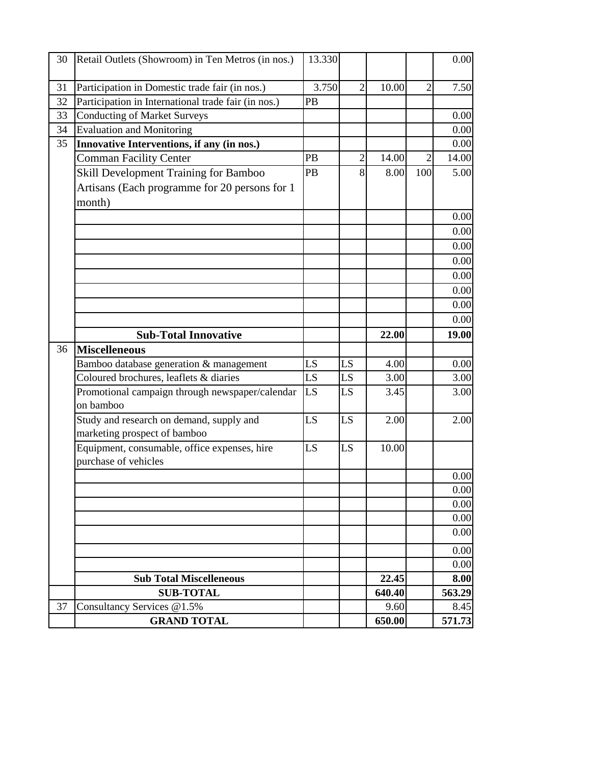| 30 | Retail Outlets (Showroom) in Ten Metros (in nos.)   | 13.330 |    |                |                | 0.00           |
|----|-----------------------------------------------------|--------|----|----------------|----------------|----------------|
|    |                                                     |        |    |                |                |                |
| 31 | Participation in Domestic trade fair (in nos.)      | 3.750  | 2  | 10.00          | $\overline{2}$ | 7.50           |
| 32 | Participation in International trade fair (in nos.) | PB     |    |                |                |                |
| 33 | <b>Conducting of Market Surveys</b>                 |        |    |                |                | 0.00           |
| 34 | <b>Evaluation and Monitoring</b>                    |        |    |                |                | 0.00           |
| 35 | Innovative Interventions, if any (in nos.)          |        |    |                |                | 0.00           |
|    | <b>Comman Facility Center</b>                       | PB     | 2  | 14.00          | $\overline{2}$ | 14.00          |
|    | Skill Development Training for Bamboo               | PB     | 8  | 8.00           | 100            | 5.00           |
|    | Artisans (Each programme for 20 persons for 1       |        |    |                |                |                |
|    | month)                                              |        |    |                |                |                |
|    |                                                     |        |    |                |                | 0.00           |
|    |                                                     |        |    |                |                | 0.00           |
|    |                                                     |        |    |                |                | 0.00           |
|    |                                                     |        |    |                |                | 0.00           |
|    |                                                     |        |    |                |                | 0.00           |
|    |                                                     |        |    |                |                | 0.00           |
|    |                                                     |        |    |                |                | 0.00           |
|    |                                                     |        |    |                |                | 0.00           |
|    | <b>Sub-Total Innovative</b>                         |        |    | 22.00          |                | 19.00          |
| 36 | <b>Miscelleneous</b>                                |        |    |                |                |                |
|    | Bamboo database generation & management             | LS     | LS | 4.00           |                | 0.00           |
|    | Coloured brochures, leaflets & diaries              | LS     | LS | 3.00           |                | 3.00           |
|    | Promotional campaign through newspaper/calendar     | LS     | LS | 3.45           |                | 3.00           |
|    | on bamboo                                           |        |    |                |                |                |
|    | Study and research on demand, supply and            | LS     | LS | 2.00           |                | 2.00           |
|    | marketing prospect of bamboo                        |        |    |                |                |                |
|    | Equipment, consumable, office expenses, hire        | LS     | LS | 10.00          |                |                |
|    | purchase of vehicles                                |        |    |                |                |                |
|    |                                                     |        |    |                |                | 0.00           |
|    |                                                     |        |    |                |                | 0.00<br>0.00   |
|    |                                                     |        |    |                |                | 0.00           |
|    |                                                     |        |    |                |                | 0.00           |
|    |                                                     |        |    |                |                |                |
|    |                                                     |        |    |                |                | 0.00           |
|    |                                                     |        |    |                |                | 0.00           |
|    | <b>Sub Total Miscelleneous</b>                      |        |    | 22.45          |                | 8.00           |
| 37 | <b>SUB-TOTAL</b><br>Consultancy Services @1.5%      |        |    | 640.40<br>9.60 |                | 563.29<br>8.45 |
|    | <b>GRAND TOTAL</b>                                  |        |    | 650.00         |                | 571.73         |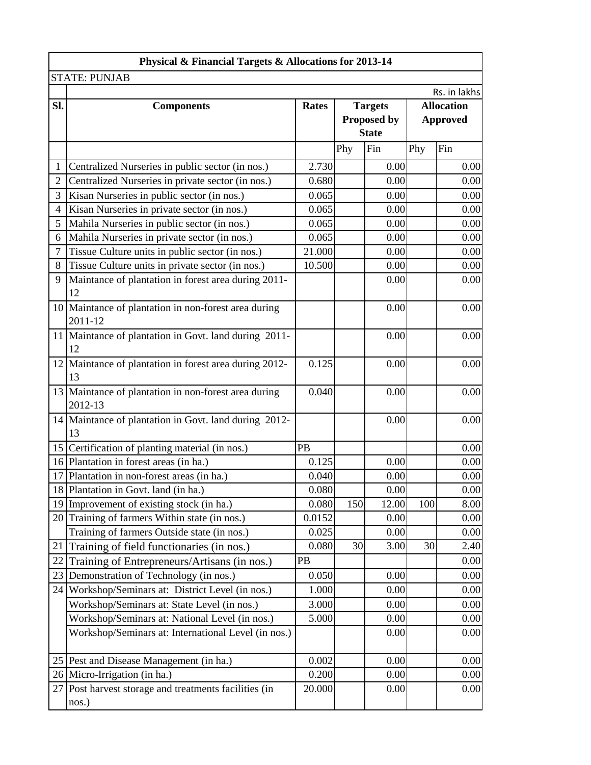|                | Physical & Financial Targets & Allocations for 2013-14          |              |     |                |     |                   |
|----------------|-----------------------------------------------------------------|--------------|-----|----------------|-----|-------------------|
|                | <b>STATE: PUNJAB</b>                                            |              |     |                |     |                   |
|                |                                                                 |              |     |                |     | Rs. in lakhs      |
| Sl.            | <b>Components</b>                                               | <b>Rates</b> |     | <b>Targets</b> |     | <b>Allocation</b> |
|                |                                                                 |              |     | Proposed by    |     | <b>Approved</b>   |
|                |                                                                 |              |     | <b>State</b>   |     |                   |
|                |                                                                 |              | Phy | Fin            | Phy | Fin               |
| 1              | Centralized Nurseries in public sector (in nos.)                | 2.730        |     | 0.00           |     | 0.00              |
| $\overline{2}$ | Centralized Nurseries in private sector (in nos.)               | 0.680        |     | 0.00           |     | 0.00              |
| 3              | Kisan Nurseries in public sector (in nos.)                      | 0.065        |     | 0.00           |     | 0.00              |
| $\overline{4}$ | Kisan Nurseries in private sector (in nos.)                     | 0.065        |     | 0.00           |     | 0.00              |
| 5              | Mahila Nurseries in public sector (in nos.)                     | 0.065        |     | 0.00           |     | 0.00              |
| 6              | Mahila Nurseries in private sector (in nos.)                    | 0.065        |     | 0.00           |     | 0.00              |
| 7              | Tissue Culture units in public sector (in nos.)                 | 21.000       |     | 0.00           |     | 0.00              |
| 8              | Tissue Culture units in private sector (in nos.)                | 10.500       |     | 0.00           |     | 0.00              |
| 9              | Maintance of plantation in forest area during 2011-<br>12       |              |     | 0.00           |     | 0.00              |
|                | 10 Maintance of plantation in non-forest area during<br>2011-12 |              |     | 0.00           |     | 0.00              |
|                | 11 Maintance of plantation in Govt. land during 2011-<br>12     |              |     | 0.00           |     | 0.00              |
|                | 12 Maintance of plantation in forest area during 2012-<br>13    | 0.125        |     | 0.00           |     | 0.00              |
|                | 13 Maintance of plantation in non-forest area during<br>2012-13 | 0.040        |     | 0.00           |     | 0.00              |
|                | 14 Maintance of plantation in Govt. land during 2012-<br>13     |              |     | 0.00           |     | 0.00              |
|                | 15 Certification of planting material (in nos.)                 | PB           |     |                |     | 0.00              |
|                | 16 Plantation in forest areas (in ha.)                          | 0.125        |     | 0.00           |     | 0.00              |
|                | 17 Plantation in non-forest areas (in ha.)                      | 0.040        |     | 0.00           |     | 0.00              |
|                | 18 Plantation in Govt. land (in ha.)                            | 0.080        |     | 0.00           |     | 0.00              |
|                | 19 Improvement of existing stock (in ha.)                       | 0.080        | 150 | 12.00          | 100 | 8.00              |
|                | 20 Training of farmers Within state (in nos.)                   | 0.0152       |     | 0.00           |     | 0.00              |
|                | Training of farmers Outside state (in nos.)                     | 0.025        |     | 0.00           |     | 0.00              |
| 21             | Training of field functionaries (in nos.)                       | 0.080        | 30  | 3.00           | 30  | 2.40              |
| 22             | Training of Entrepreneurs/Artisans (in nos.)                    | PB           |     |                |     | 0.00              |
| 23             | Demonstration of Technology (in nos.)                           | 0.050        |     | 0.00           |     | 0.00              |
| 24             | Workshop/Seminars at: District Level (in nos.)                  | 1.000        |     | 0.00           |     | 0.00              |
|                | Workshop/Seminars at: State Level (in nos.)                     | 3.000        |     | 0.00           |     | 0.00              |
|                | Workshop/Seminars at: National Level (in nos.)                  | 5.000        |     | 0.00           |     | 0.00              |
|                | Workshop/Seminars at: International Level (in nos.)             |              |     | 0.00           |     | 0.00              |
|                | 25 Pest and Disease Management (in ha.)                         | 0.002        |     | 0.00           |     | 0.00              |
|                | 26 Micro-Irrigation (in ha.)                                    | 0.200        |     | 0.00           |     | 0.00              |
|                | 27 Post harvest storage and treatments facilities (in<br>nos.)  | 20.000       |     | 0.00           |     | 0.00              |
|                |                                                                 |              |     |                |     |                   |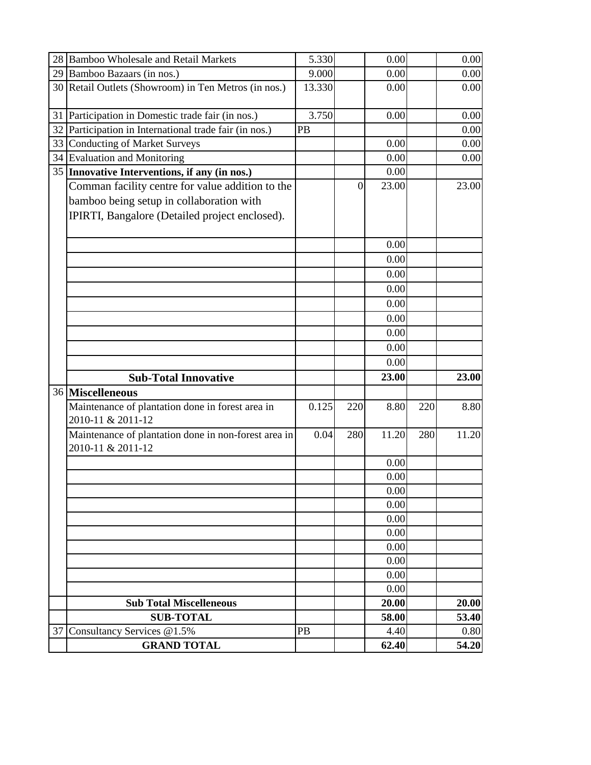|    | 28 Bamboo Wholesale and Retail Markets                                    | 5.330  |     | 0.00  |     | 0.00  |
|----|---------------------------------------------------------------------------|--------|-----|-------|-----|-------|
|    | 29 Bamboo Bazaars (in nos.)                                               | 9.000  |     | 0.00  |     | 0.00  |
|    | 30 Retail Outlets (Showroom) in Ten Metros (in nos.)                      | 13.330 |     | 0.00  |     | 0.00  |
| 31 | Participation in Domestic trade fair (in nos.)                            | 3.750  |     | 0.00  |     | 0.00  |
|    | 32 Participation in International trade fair (in nos.)                    | PB     |     |       |     | 0.00  |
|    | 33 Conducting of Market Surveys                                           |        |     | 0.00  |     | 0.00  |
|    | 34 Evaluation and Monitoring                                              |        |     | 0.00  |     | 0.00  |
|    | 35 Innovative Interventions, if any (in nos.)                             |        |     | 0.00  |     |       |
|    | Comman facility centre for value addition to the                          |        | 0   | 23.00 |     | 23.00 |
|    | bamboo being setup in collaboration with                                  |        |     |       |     |       |
|    | IPIRTI, Bangalore (Detailed project enclosed).                            |        |     |       |     |       |
|    |                                                                           |        |     | 0.00  |     |       |
|    |                                                                           |        |     | 0.00  |     |       |
|    |                                                                           |        |     | 0.00  |     |       |
|    |                                                                           |        |     | 0.00  |     |       |
|    |                                                                           |        |     | 0.00  |     |       |
|    |                                                                           |        |     | 0.00  |     |       |
|    |                                                                           |        |     | 0.00  |     |       |
|    |                                                                           |        |     | 0.00  |     |       |
|    |                                                                           |        |     | 0.00  |     |       |
|    | <b>Sub-Total Innovative</b>                                               |        |     | 23.00 |     | 23.00 |
|    | 36 Miscelleneous                                                          |        |     |       |     |       |
|    | Maintenance of plantation done in forest area in<br>2010-11 & 2011-12     | 0.125  | 220 | 8.80  | 220 | 8.80  |
|    | Maintenance of plantation done in non-forest area in<br>2010-11 & 2011-12 | 0.04   | 280 | 11.20 | 280 | 11.20 |
|    |                                                                           |        |     | 0.00  |     |       |
|    |                                                                           |        |     | 0.00  |     |       |
|    |                                                                           |        |     | 0.00  |     |       |
|    |                                                                           |        |     | 0.00  |     |       |
|    |                                                                           |        |     | 0.00  |     |       |
|    |                                                                           |        |     | 0.00  |     |       |
|    |                                                                           |        |     | 0.00  |     |       |
|    |                                                                           |        |     | 0.00  |     |       |
|    |                                                                           |        |     | 0.00  |     |       |
|    |                                                                           |        |     | 0.00  |     |       |
|    | <b>Sub Total Miscelleneous</b>                                            |        |     | 20.00 |     | 20.00 |
|    | <b>SUB-TOTAL</b>                                                          |        |     | 58.00 |     | 53.40 |
| 37 | Consultancy Services @1.5%                                                | PB     |     | 4.40  |     | 0.80  |
|    | <b>GRAND TOTAL</b>                                                        |        |     | 62.40 |     | 54.20 |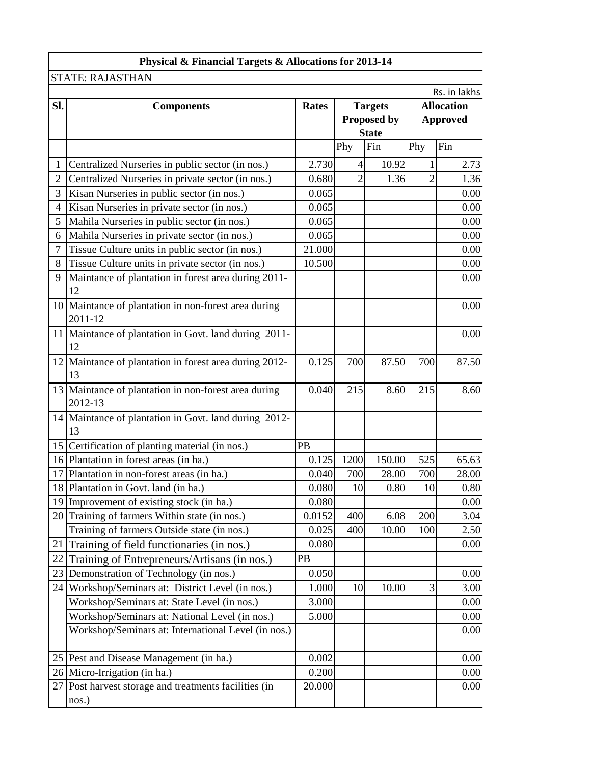|                | Physical & Financial Targets & Allocations for 2013-14          |              |      |                |                 |                   |  |
|----------------|-----------------------------------------------------------------|--------------|------|----------------|-----------------|-------------------|--|
|                | <b>STATE: RAJASTHAN</b>                                         |              |      |                |                 |                   |  |
|                |                                                                 |              |      |                |                 | Rs. in lakhs      |  |
| SI.            | <b>Components</b>                                               | <b>Rates</b> |      | <b>Targets</b> |                 | <b>Allocation</b> |  |
|                |                                                                 |              |      | Proposed by    | <b>Approved</b> |                   |  |
|                |                                                                 |              |      | <b>State</b>   |                 |                   |  |
|                |                                                                 |              | Phy  | Fin            | Phy             | Fin               |  |
| $\mathbf{1}$   | Centralized Nurseries in public sector (in nos.)                | 2.730        | 4    | 10.92          |                 | 2.73              |  |
| $\overline{2}$ | Centralized Nurseries in private sector (in nos.)               | 0.680        | 2    | 1.36           | $\overline{2}$  | 1.36              |  |
| 3              | Kisan Nurseries in public sector (in nos.)                      | 0.065        |      |                |                 | 0.00              |  |
| 4              | Kisan Nurseries in private sector (in nos.)                     | 0.065        |      |                |                 | 0.00              |  |
| 5              | Mahila Nurseries in public sector (in nos.)                     | 0.065        |      |                |                 | 0.00              |  |
| 6              | Mahila Nurseries in private sector (in nos.)                    | 0.065        |      |                |                 | 0.00              |  |
| 7              | Tissue Culture units in public sector (in nos.)                 | 21.000       |      |                |                 | 0.00              |  |
| 8              | Tissue Culture units in private sector (in nos.)                | 10.500       |      |                |                 | 0.00              |  |
| 9              | Maintance of plantation in forest area during 2011-<br>12       |              |      |                |                 | 0.00              |  |
|                | 10 Maintance of plantation in non-forest area during<br>2011-12 |              |      |                |                 | 0.00              |  |
|                | 11 Maintance of plantation in Govt. land during 2011-<br>12     |              |      |                |                 | 0.00              |  |
| 12             | Maintance of plantation in forest area during 2012-<br>13       | 0.125        | 700  | 87.50          | 700             | 87.50             |  |
|                | 13 Maintance of plantation in non-forest area during<br>2012-13 | 0.040        | 215  | 8.60           | 215             | 8.60              |  |
|                | 14 Maintance of plantation in Govt. land during 2012-<br>13     |              |      |                |                 |                   |  |
|                | 15 Certification of planting material (in nos.)                 | PB           |      |                |                 |                   |  |
|                | 16 Plantation in forest areas (in ha.)                          | 0.125        | 1200 | 150.00         | 525             | 65.63             |  |
|                | 17 Plantation in non-forest areas (in ha.)                      | 0.040        | 700  | 28.00          | 700             | 28.00             |  |
|                | 18 Plantation in Govt. land (in ha.)                            | 0.080        | 10   | 0.80           | 10              | 0.80              |  |
| 19             | Improvement of existing stock (in ha.)                          | 0.080        |      |                |                 | 0.00              |  |
|                | 20 Training of farmers Within state (in nos.)                   | 0.0152       | 400  | 6.08           | 200             | 3.04              |  |
|                | Training of farmers Outside state (in nos.)                     | 0.025        | 400  | 10.00          | 100             | 2.50              |  |
| 21             | Training of field functionaries (in nos.)                       | 0.080        |      |                |                 | 0.00              |  |
| 22             | Training of Entrepreneurs/Artisans (in nos.)                    | PB           |      |                |                 |                   |  |
| 23             | Demonstration of Technology (in nos.)                           | 0.050        |      |                |                 | 0.00              |  |
| 24             | Workshop/Seminars at: District Level (in nos.)                  | 1.000        | 10   | 10.00          | 3               | 3.00              |  |
|                | Workshop/Seminars at: State Level (in nos.)                     | 3.000        |      |                |                 | 0.00              |  |
|                | Workshop/Seminars at: National Level (in nos.)                  | 5.000        |      |                |                 | 0.00              |  |
|                | Workshop/Seminars at: International Level (in nos.)             |              |      |                |                 | 0.00              |  |
|                | 25 Pest and Disease Management (in ha.)                         | 0.002        |      |                |                 | 0.00              |  |
| 26             | Micro-Irrigation (in ha.)                                       | 0.200        |      |                |                 | 0.00              |  |
| 27             | Post harvest storage and treatments facilities (in<br>nos.)     | 20.000       |      |                |                 | 0.00              |  |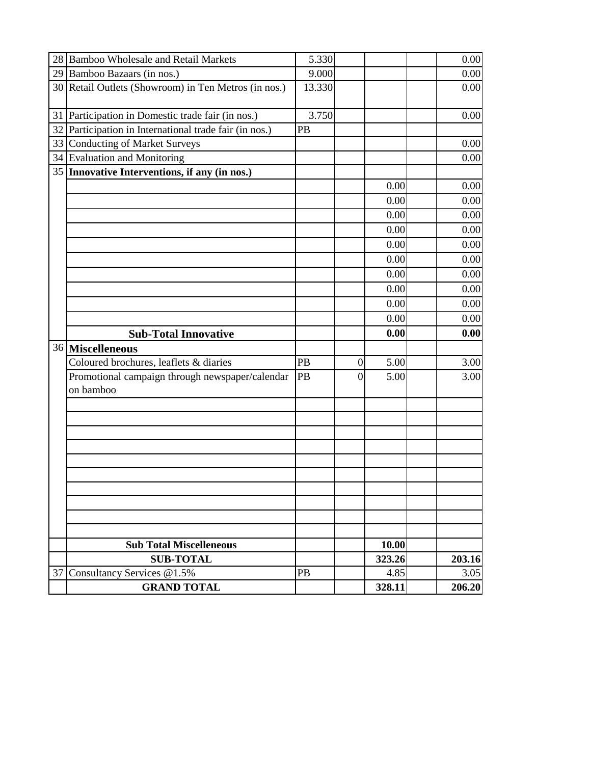|    | 28 Bamboo Wholesale and Retail Markets                       | 5.330  |                  |                | 0.00           |
|----|--------------------------------------------------------------|--------|------------------|----------------|----------------|
|    | 29 Bamboo Bazaars (in nos.)                                  | 9.000  |                  |                | 0.00           |
|    | 30 Retail Outlets (Showroom) in Ten Metros (in nos.)         | 13.330 |                  |                | 0.00           |
|    |                                                              |        |                  |                |                |
|    | 31 Participation in Domestic trade fair (in nos.)            | 3.750  |                  |                | 0.00           |
|    | 32 Participation in International trade fair (in nos.)       | PB     |                  |                |                |
| 33 | <b>Conducting of Market Surveys</b>                          |        |                  |                | 0.00           |
|    | 34 Evaluation and Monitoring                                 |        |                  |                | 0.00           |
|    | 35 Innovative Interventions, if any (in nos.)                |        |                  |                |                |
|    |                                                              |        |                  | 0.00           | 0.00           |
|    |                                                              |        |                  | 0.00           | 0.00           |
|    |                                                              |        |                  | 0.00           | 0.00           |
|    |                                                              |        |                  | 0.00           | 0.00           |
|    |                                                              |        |                  | 0.00           | 0.00           |
|    |                                                              |        |                  | 0.00           | 0.00           |
|    |                                                              |        |                  | 0.00           | 0.00           |
|    |                                                              |        |                  | 0.00           | 0.00           |
|    |                                                              |        |                  | 0.00           | 0.00           |
|    |                                                              |        |                  | 0.00           | 0.00           |
|    |                                                              |        |                  |                |                |
|    |                                                              |        |                  | 0.00           | 0.00           |
|    | <b>Sub-Total Innovative</b>                                  |        |                  |                |                |
|    | 36 Miscelleneous                                             | PB     | $\boldsymbol{0}$ | 5.00           | 3.00           |
|    | Coloured brochures, leaflets & diaries                       | PB     | 0                | 5.00           | 3.00           |
|    | Promotional campaign through newspaper/calendar<br>on bamboo |        |                  |                |                |
|    |                                                              |        |                  |                |                |
|    |                                                              |        |                  |                |                |
|    |                                                              |        |                  |                |                |
|    |                                                              |        |                  |                |                |
|    |                                                              |        |                  |                |                |
|    |                                                              |        |                  |                |                |
|    |                                                              |        |                  |                |                |
|    |                                                              |        |                  |                |                |
|    |                                                              |        |                  |                |                |
|    |                                                              |        |                  |                |                |
|    | <b>Sub Total Miscelleneous</b>                               |        |                  | 10.00          |                |
|    | <b>SUB-TOTAL</b>                                             |        |                  | 323.26         | 203.16         |
| 37 | Consultancy Services @1.5%<br><b>GRAND TOTAL</b>             | PB     |                  | 4.85<br>328.11 | 3.05<br>206.20 |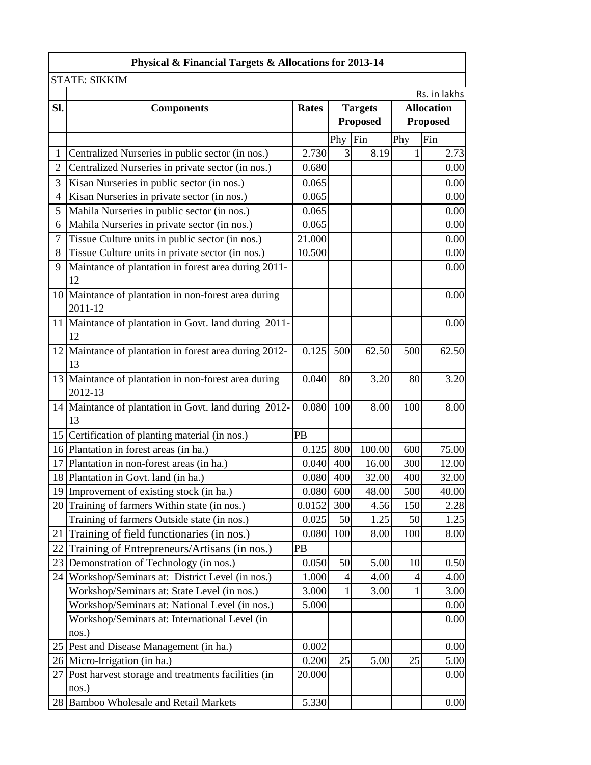|                | Physical & Financial Targets & Allocations for 2013-14          |                                                     |                |                 |     |                 |  |
|----------------|-----------------------------------------------------------------|-----------------------------------------------------|----------------|-----------------|-----|-----------------|--|
|                | <b>STATE: SIKKIM</b>                                            |                                                     |                |                 |     |                 |  |
|                |                                                                 |                                                     |                |                 |     | Rs. in lakhs    |  |
| Sl.            | <b>Components</b>                                               | <b>Targets</b><br><b>Allocation</b><br><b>Rates</b> |                |                 |     |                 |  |
|                |                                                                 |                                                     |                | <b>Proposed</b> |     | <b>Proposed</b> |  |
|                |                                                                 |                                                     | Phy            | Fin             | Phy | Fin             |  |
| 1              | Centralized Nurseries in public sector (in nos.)                | 2.730                                               | $\overline{3}$ | 8.19            |     | 2.73            |  |
| $\overline{2}$ | Centralized Nurseries in private sector (in nos.)               | 0.680                                               |                |                 |     | 0.00            |  |
| 3              | Kisan Nurseries in public sector (in nos.)                      | 0.065                                               |                |                 |     | 0.00            |  |
| 4              | Kisan Nurseries in private sector (in nos.)                     | 0.065                                               |                |                 |     | 0.00            |  |
| 5              | Mahila Nurseries in public sector (in nos.)                     | 0.065                                               |                |                 |     | 0.00            |  |
| 6              | Mahila Nurseries in private sector (in nos.)                    | 0.065                                               |                |                 |     | 0.00            |  |
| 7              | Tissue Culture units in public sector (in nos.)                 | 21.000                                              |                |                 |     | 0.00            |  |
| 8              | Tissue Culture units in private sector (in nos.)                | 10.500                                              |                |                 |     | 0.00            |  |
| 9              | Maintance of plantation in forest area during 2011-<br>12       |                                                     |                |                 |     | 0.00            |  |
|                | 10 Maintance of plantation in non-forest area during<br>2011-12 |                                                     |                |                 |     | 0.00            |  |
|                | 11 Maintance of plantation in Govt. land during 2011-<br>12     |                                                     |                |                 |     | 0.00            |  |
|                | 12 Maintance of plantation in forest area during 2012-<br>13    | 0.125                                               | 500            | 62.50           | 500 | 62.50           |  |
|                | 13 Maintance of plantation in non-forest area during<br>2012-13 | 0.040                                               | 80             | 3.20            | 80  | 3.20            |  |
|                | 14 Maintance of plantation in Govt. land during 2012-<br>13     | 0.080                                               | 100            | 8.00            | 100 | 8.00            |  |
|                | 15 Certification of planting material (in nos.)                 | PB                                                  |                |                 |     |                 |  |
|                | 16 Plantation in forest areas (in ha.)                          | 0.125                                               | 800            | 100.00          | 600 | 75.00           |  |
| 17             | Plantation in non-forest areas (in ha.)                         | 0.040                                               | 400            | 16.00           | 300 | 12.00           |  |
|                | 18 Plantation in Govt. land (in ha.)                            | 0.080                                               | 400            | 32.00           | 400 | 32.00           |  |
|                | 19 Improvement of existing stock (in ha.)                       | 0.080                                               | 600            | 48.00           | 500 | 40.00           |  |
|                | 20 Training of farmers Within state (in nos.)                   | 0.0152                                              | 300            | 4.56            | 150 | 2.28            |  |
|                | Training of farmers Outside state (in nos.)                     | 0.025                                               | 50             | 1.25            | 50  | 1.25            |  |
| 21             | Training of field functionaries (in nos.)                       | 0.080                                               | 100            | 8.00            | 100 | 8.00            |  |
| 22             | Training of Entrepreneurs/Artisans (in nos.)                    | PB                                                  |                |                 |     |                 |  |
| 23             | Demonstration of Technology (in nos.)                           | 0.050                                               | 50             | 5.00            | 10  | 0.50            |  |
| 24             | Workshop/Seminars at: District Level (in nos.)                  | 1.000                                               | $\overline{4}$ | 4.00            | 4   | 4.00            |  |
|                | Workshop/Seminars at: State Level (in nos.)                     | 3.000                                               | 1              | 3.00            |     | 3.00            |  |
|                | Workshop/Seminars at: National Level (in nos.)                  | 5.000                                               |                |                 |     | 0.00            |  |
|                | Workshop/Seminars at: International Level (in<br>nos.)          |                                                     |                |                 |     | 0.00            |  |
|                | 25 Pest and Disease Management (in ha.)                         | 0.002                                               |                |                 |     | 0.00            |  |
|                | 26 Micro-Irrigation (in ha.)                                    | 0.200                                               | 25             | 5.00            | 25  | 5.00            |  |
| 27 I           | Post harvest storage and treatments facilities (in<br>nos.)     | 20.000                                              |                |                 |     | 0.00            |  |
|                | 28 Bamboo Wholesale and Retail Markets                          | 5.330                                               |                |                 |     | 0.00            |  |
|                |                                                                 |                                                     |                |                 |     |                 |  |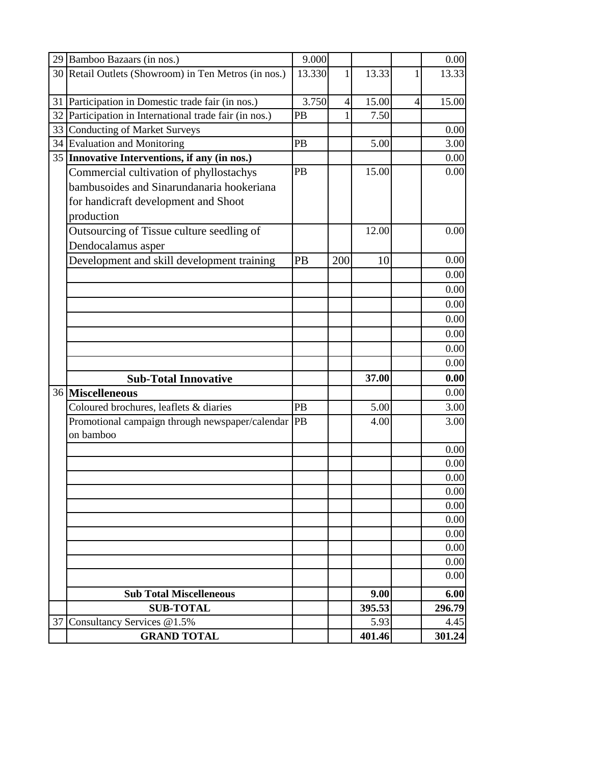|    | 29 Bamboo Bazaars (in nos.)                                  | 9.000     |                |        |                | 0.00   |
|----|--------------------------------------------------------------|-----------|----------------|--------|----------------|--------|
|    | 30 Retail Outlets (Showroom) in Ten Metros (in nos.)         | 13.330    | 1              | 13.33  | 1              | 13.33  |
|    | 31 Participation in Domestic trade fair (in nos.)            | 3.750     | $\overline{4}$ | 15.00  | $\overline{4}$ | 15.00  |
|    | 32 Participation in International trade fair (in nos.)       | <b>PB</b> |                | 7.50   |                |        |
|    | 33 Conducting of Market Surveys                              |           |                |        |                | 0.00   |
|    | 34 Evaluation and Monitoring                                 | PB        |                | 5.00   |                | 3.00   |
|    | 35 Innovative Interventions, if any (in nos.)                |           |                |        |                | 0.00   |
|    | Commercial cultivation of phyllostachys                      | PB        |                | 15.00  |                | 0.00   |
|    | bambusoides and Sinarundanaria hookeriana                    |           |                |        |                |        |
|    | for handicraft development and Shoot                         |           |                |        |                |        |
|    | production                                                   |           |                |        |                |        |
|    | Outsourcing of Tissue culture seedling of                    |           |                | 12.00  |                | 0.00   |
|    | Dendocalamus asper                                           |           |                |        |                |        |
|    | Development and skill development training                   | <b>PB</b> | 200            | 10     |                | 0.00   |
|    |                                                              |           |                |        |                | 0.00   |
|    |                                                              |           |                |        |                | 0.00   |
|    |                                                              |           |                |        |                | 0.00   |
|    |                                                              |           |                |        |                | 0.00   |
|    |                                                              |           |                |        |                | 0.00   |
|    |                                                              |           |                |        |                | 0.00   |
|    |                                                              |           |                |        |                | 0.00   |
|    | <b>Sub-Total Innovative</b>                                  |           |                | 37.00  |                | 0.00   |
|    | 36 Miscelleneous                                             |           |                |        |                | 0.00   |
|    | Coloured brochures, leaflets & diaries                       | PB        |                | 5.00   |                | 3.00   |
|    | Promotional campaign through newspaper/calendar<br>on bamboo | PB        |                | 4.00   |                | 3.00   |
|    |                                                              |           |                |        |                | 0.00   |
|    |                                                              |           |                |        |                | 0.00   |
|    |                                                              |           |                |        |                | 0.00   |
|    |                                                              |           |                |        |                | 0.00   |
|    |                                                              |           |                |        |                | 0.00   |
|    |                                                              |           |                |        |                | 0.00   |
|    |                                                              |           |                |        |                | 0.00   |
|    |                                                              |           |                |        |                | 0.00   |
|    |                                                              |           |                |        |                | 0.00   |
|    |                                                              |           |                |        |                | 0.00   |
|    | <b>Sub Total Miscelleneous</b>                               |           |                | 9.00   |                | 6.00   |
|    | <b>SUB-TOTAL</b>                                             |           |                | 395.53 |                | 296.79 |
| 37 | Consultancy Services @1.5%                                   |           |                | 5.93   |                | 4.45   |
|    | <b>GRAND TOTAL</b>                                           |           |                | 401.46 |                | 301.24 |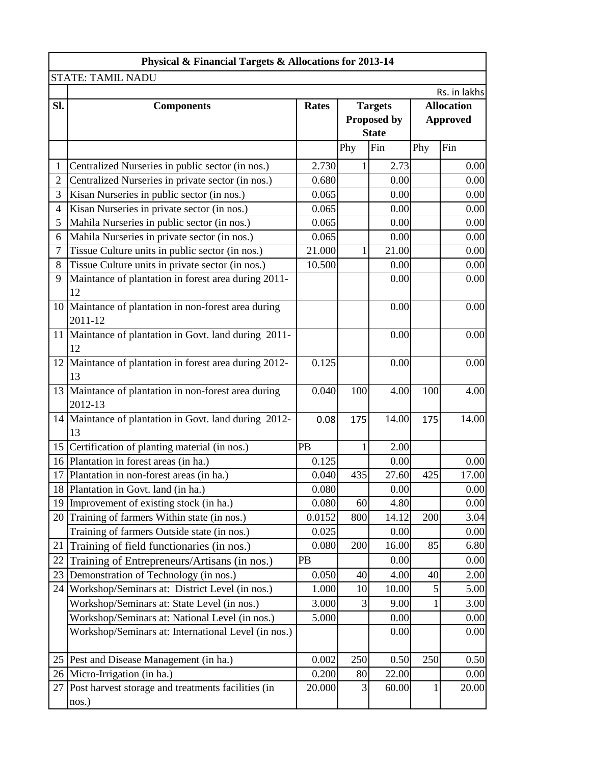| Physical & Financial Targets & Allocations for 2013-14          |                   |              |                                         |                                                                                |                                                                 |
|-----------------------------------------------------------------|-------------------|--------------|-----------------------------------------|--------------------------------------------------------------------------------|-----------------------------------------------------------------|
| <b>STATE: TAMIL NADU</b>                                        |                   |              |                                         |                                                                                |                                                                 |
|                                                                 |                   |              |                                         |                                                                                | Rs. in lakhs                                                    |
|                                                                 |                   |              |                                         |                                                                                | <b>Allocation</b>                                               |
|                                                                 |                   |              |                                         | <b>Approved</b>                                                                |                                                                 |
|                                                                 |                   |              |                                         |                                                                                |                                                                 |
|                                                                 |                   |              |                                         |                                                                                | Fin                                                             |
| Centralized Nurseries in public sector (in nos.)                | 2.730             |              | 2.73                                    |                                                                                | 0.00                                                            |
| Centralized Nurseries in private sector (in nos.)               | 0.680             |              | 0.00                                    |                                                                                | 0.00                                                            |
| Kisan Nurseries in public sector (in nos.)                      | 0.065             |              | 0.00                                    |                                                                                | 0.00                                                            |
| Kisan Nurseries in private sector (in nos.)                     | 0.065             |              | 0.00                                    |                                                                                | 0.00                                                            |
| Mahila Nurseries in public sector (in nos.)                     | 0.065             |              | 0.00                                    |                                                                                | 0.00                                                            |
| Mahila Nurseries in private sector (in nos.)                    | 0.065             |              | 0.00                                    |                                                                                | 0.00                                                            |
| Tissue Culture units in public sector (in nos.)                 | 21.000            |              | 21.00                                   |                                                                                | 0.00                                                            |
| Tissue Culture units in private sector (in nos.)                | 10.500            |              | 0.00                                    |                                                                                | 0.00                                                            |
| Maintance of plantation in forest area during 2011-<br>12       |                   |              | 0.00                                    |                                                                                | 0.00                                                            |
| 10 Maintance of plantation in non-forest area during<br>2011-12 |                   |              | 0.00                                    |                                                                                | 0.00                                                            |
| 11 Maintance of plantation in Govt. land during 2011-<br>12     |                   |              | 0.00                                    |                                                                                | 0.00                                                            |
| 12 Maintance of plantation in forest area during 2012-<br>13    | 0.125             |              | 0.00                                    |                                                                                | 0.00                                                            |
| 13 Maintance of plantation in non-forest area during<br>2012-13 |                   |              | 4.00                                    | 100                                                                            | 4.00                                                            |
| 14 Maintance of plantation in Govt. land during 2012-<br>13     | 0.08              | 175          |                                         | 175                                                                            | 14.00                                                           |
| Certification of planting material (in nos.)                    | PB                | 1            | 2.00                                    |                                                                                |                                                                 |
| 16 Plantation in forest areas (in ha.)                          | 0.125             |              | 0.00                                    |                                                                                | 0.00                                                            |
| Plantation in non-forest areas (in ha.)                         | 0.040             | 435          | 27.60                                   | 425                                                                            | 17.00                                                           |
| Plantation in Govt. land (in ha.)                               |                   |              |                                         |                                                                                | 0.00                                                            |
| Improvement of existing stock (in ha.)                          | 0.080             | 60           | 4.80                                    |                                                                                | 0.00                                                            |
| Training of farmers Within state (in nos.)                      | 0.0152            |              | 14.12                                   | 200                                                                            | 3.04                                                            |
| Training of farmers Outside state (in nos.)                     | 0.025             |              | 0.00                                    |                                                                                | 0.00                                                            |
| Training of field functionaries (in nos.)                       |                   | 200          |                                         | 85                                                                             | 6.80                                                            |
| Training of Entrepreneurs/Artisans (in nos.)                    | PB                |              | 0.00                                    |                                                                                | 0.00                                                            |
| Demonstration of Technology (in nos.)                           |                   |              |                                         | 40                                                                             | 2.00                                                            |
| Workshop/Seminars at: District Level (in nos.)                  | 1.000             | 10           | 10.00                                   | 5                                                                              | 5.00                                                            |
| Workshop/Seminars at: State Level (in nos.)                     | 3.000             | 3            | 9.00                                    |                                                                                | 3.00                                                            |
| Workshop/Seminars at: National Level (in nos.)                  | 5.000             |              | 0.00                                    |                                                                                | 0.00                                                            |
| Workshop/Seminars at: International Level (in nos.)             |                   |              | 0.00                                    |                                                                                | 0.00                                                            |
| 25 Pest and Disease Management (in ha.)                         | 0.002             | 250          |                                         | 250                                                                            | 0.50                                                            |
| Micro-Irrigation (in ha.)                                       | 0.200             |              |                                         |                                                                                | 0.00                                                            |
| Post harvest storage and treatments facilities (in<br>nos.)     | 20.000            | 3            |                                         | $\mathbf{1}$                                                                   | 20.00                                                           |
|                                                                 | <b>Components</b> | <b>Rates</b> | Phy<br>0.040<br>0.080<br>0.080<br>0.050 | <b>Targets</b><br>Proposed by<br><b>State</b><br>Fin<br>100<br>800<br>40<br>80 | Phy<br>14.00<br>0.00<br>16.00<br>4.00<br>0.50<br>22.00<br>60.00 |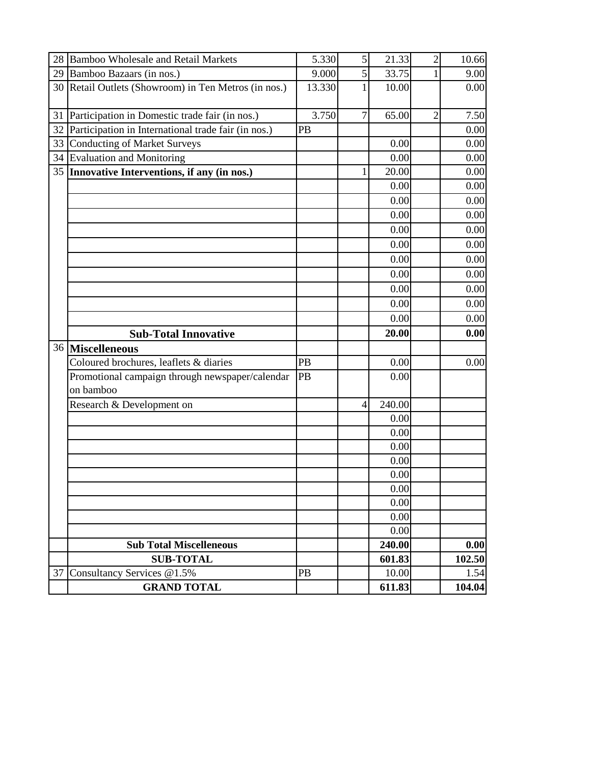| 28 | <b>Bamboo Wholesale and Retail Markets</b>                   | 5.330  | 5               | 21.33           | $\overline{2}$ | 10.66          |
|----|--------------------------------------------------------------|--------|-----------------|-----------------|----------------|----------------|
|    | 29 Bamboo Bazaars (in nos.)                                  | 9.000  | $\vert 5 \vert$ | 33.75           | 1              | 9.00           |
|    | 30 Retail Outlets (Showroom) in Ten Metros (in nos.)         | 13.330 |                 | 10.00           |                | 0.00           |
| 31 | Participation in Domestic trade fair (in nos.)               | 3.750  | $\overline{7}$  | 65.00           | $\overline{2}$ | 7.50           |
| 32 | Participation in International trade fair (in nos.)          | PB     |                 |                 |                | 0.00           |
| 33 | <b>Conducting of Market Surveys</b>                          |        |                 | 0.00            |                | 0.00           |
|    | 34 Evaluation and Monitoring                                 |        |                 | 0.00            |                | 0.00           |
|    | 35 Innovative Interventions, if any (in nos.)                |        | 1               | 20.00           |                | 0.00           |
|    |                                                              |        |                 | 0.00            |                | 0.00           |
|    |                                                              |        |                 | 0.00            |                | 0.00           |
|    |                                                              |        |                 | 0.00            |                | 0.00           |
|    |                                                              |        |                 | 0.00            |                | 0.00           |
|    |                                                              |        |                 | 0.00            |                | 0.00           |
|    |                                                              |        |                 | 0.00            |                | 0.00           |
|    |                                                              |        |                 | 0.00            |                | 0.00           |
|    |                                                              |        |                 | 0.00            |                | 0.00           |
|    |                                                              |        |                 | 0.00            |                | 0.00           |
|    |                                                              |        |                 | 0.00            |                | 0.00           |
|    |                                                              |        |                 |                 |                |                |
|    |                                                              |        |                 | 20.00           |                | 0.00           |
|    | <b>Sub-Total Innovative</b>                                  |        |                 |                 |                |                |
|    | 36 Miscelleneous<br>Coloured brochures, leaflets & diaries   | PB     |                 | 0.00            |                | 0.00           |
|    | Promotional campaign through newspaper/calendar<br>on bamboo | PB     |                 | 0.00            |                |                |
|    | Research & Development on                                    |        | 4               | 240.00          |                |                |
|    |                                                              |        |                 | 0.00            |                |                |
|    |                                                              |        |                 | 0.00            |                |                |
|    |                                                              |        |                 | 0.00            |                |                |
|    |                                                              |        |                 | 0.00            |                |                |
|    |                                                              |        |                 | 0.00            |                |                |
|    |                                                              |        |                 | 0.00            |                |                |
|    |                                                              |        |                 | 0.00            |                |                |
|    |                                                              |        |                 | 0.00            |                |                |
|    |                                                              |        |                 | 0.00            |                |                |
|    | <b>Sub Total Miscelleneous</b>                               |        |                 | 240.00          |                | $0.00\,$       |
|    | <b>SUB-TOTAL</b>                                             |        |                 | 601.83          |                | 102.50         |
| 37 | Consultancy Services @1.5%<br><b>GRAND TOTAL</b>             | PB     |                 | 10.00<br>611.83 |                | 1.54<br>104.04 |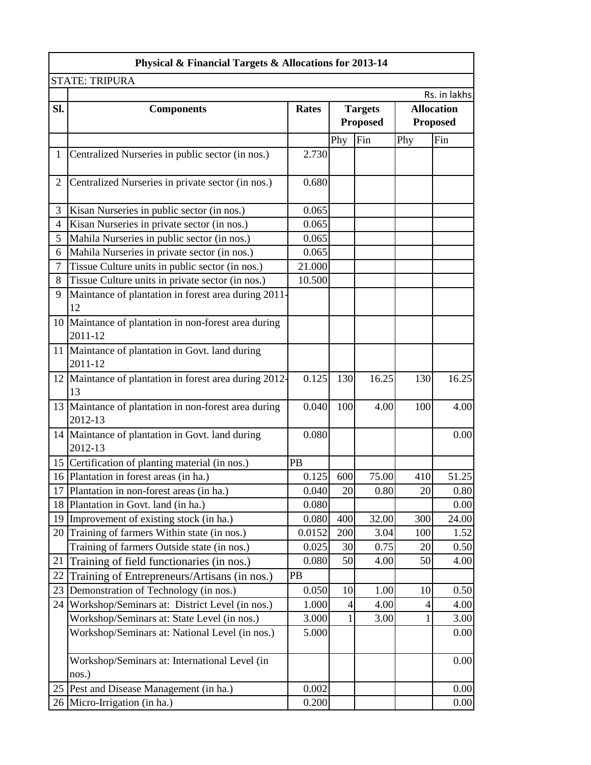|                | Physical & Financial Targets & Allocations for 2013-14          |              |                                   |       |     |                                      |
|----------------|-----------------------------------------------------------------|--------------|-----------------------------------|-------|-----|--------------------------------------|
|                | <b>STATE: TRIPURA</b>                                           |              |                                   |       |     |                                      |
|                |                                                                 |              |                                   |       |     | Rs. in lakhs                         |
| SI.            | <b>Components</b>                                               | <b>Rates</b> | <b>Targets</b><br><b>Proposed</b> |       |     | <b>Allocation</b><br><b>Proposed</b> |
|                |                                                                 |              | Phy                               | Fin   | Phy | Fin                                  |
| $\mathbf{1}$   | Centralized Nurseries in public sector (in nos.)                | 2.730        |                                   |       |     |                                      |
| $\overline{2}$ | Centralized Nurseries in private sector (in nos.)               | 0.680        |                                   |       |     |                                      |
| 3              | Kisan Nurseries in public sector (in nos.)                      | 0.065        |                                   |       |     |                                      |
| 4              | Kisan Nurseries in private sector (in nos.)                     | 0.065        |                                   |       |     |                                      |
| 5              | Mahila Nurseries in public sector (in nos.)                     | 0.065        |                                   |       |     |                                      |
| 6              | Mahila Nurseries in private sector (in nos.)                    | 0.065        |                                   |       |     |                                      |
| $\tau$         | Tissue Culture units in public sector (in nos.)                 | 21.000       |                                   |       |     |                                      |
| 8              | Tissue Culture units in private sector (in nos.)                | 10.500       |                                   |       |     |                                      |
| 9              | Maintance of plantation in forest area during 2011-<br>12       |              |                                   |       |     |                                      |
|                | 10 Maintance of plantation in non-forest area during<br>2011-12 |              |                                   |       |     |                                      |
|                | 11 Maintance of plantation in Govt. land during<br>2011-12      |              |                                   |       |     |                                      |
|                | 12 Maintance of plantation in forest area during 2012-<br>13    | 0.125        | 130                               | 16.25 | 130 | 16.25                                |
|                | 13 Maintance of plantation in non-forest area during<br>2012-13 | 0.040        | 100                               | 4.00  | 100 | 4.00                                 |
|                | 14 Maintance of plantation in Govt. land during<br>2012-13      | 0.080        |                                   |       |     | 0.00                                 |
|                | 15 Certification of planting material (in nos.)                 | PB           |                                   |       |     |                                      |
|                | 16 Plantation in forest areas (in ha.)                          | 0.125        | 600                               | 75.00 | 410 | 51.25                                |
|                | 17 Plantation in non-forest areas (in ha.)                      | 0.040        | 20                                | 0.80  | 20  | 0.80                                 |
|                | 18 Plantation in Govt. land (in ha.)                            | 0.080        |                                   |       |     | 0.00                                 |
|                | 19 Improvement of existing stock (in ha.)                       | 0.080        | 400                               | 32.00 | 300 | 24.00                                |
|                | 20 Training of farmers Within state (in nos.)                   | 0.0152       | 200                               | 3.04  | 100 | 1.52                                 |
|                | Training of farmers Outside state (in nos.)                     | 0.025        | 30                                | 0.75  | 20  | 0.50                                 |
| 21             | Training of field functionaries (in nos.)                       | 0.080        | 50                                | 4.00  | 50  | 4.00                                 |
| 22             | Training of Entrepreneurs/Artisans (in nos.)                    | PB           |                                   |       |     |                                      |
|                | 23 Demonstration of Technology (in nos.)                        | 0.050        | 10                                | 1.00  | 10  | 0.50                                 |
| 24             | Workshop/Seminars at: District Level (in nos.)                  | 1.000        | 4                                 | 4.00  | 4   | 4.00                                 |
|                | Workshop/Seminars at: State Level (in nos.)                     | 3.000        | 1                                 | 3.00  | 1   | 3.00                                 |
|                | Workshop/Seminars at: National Level (in nos.)                  | 5.000        |                                   |       |     | 0.00                                 |
|                | Workshop/Seminars at: International Level (in<br>nos.)          |              |                                   |       |     | 0.00                                 |
|                | 25 Pest and Disease Management (in ha.)                         | 0.002        |                                   |       |     | 0.00                                 |
|                | 26 Micro-Irrigation (in ha.)                                    | 0.200        |                                   |       |     | 0.00                                 |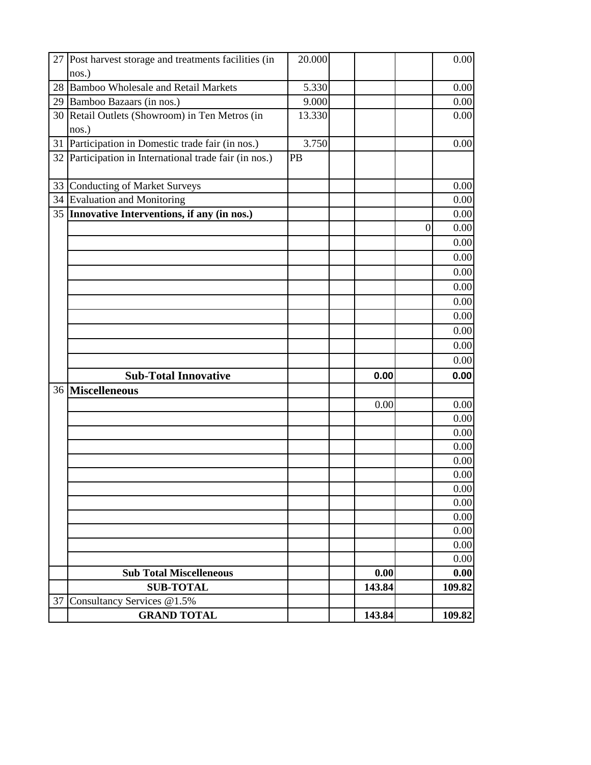|    | 27 Post harvest storage and treatments facilities (in  | 20.000 |        |                | 0.00   |
|----|--------------------------------------------------------|--------|--------|----------------|--------|
|    | nos.)                                                  |        |        |                |        |
|    | 28 Bamboo Wholesale and Retail Markets                 | 5.330  |        |                | 0.00   |
|    | 29 Bamboo Bazaars (in nos.)                            | 9.000  |        |                | 0.00   |
|    | 30 Retail Outlets (Showroom) in Ten Metros (in         | 13.330 |        |                | 0.00   |
|    | nos.)                                                  |        |        |                |        |
| 31 | Participation in Domestic trade fair (in nos.)         | 3.750  |        |                | 0.00   |
|    | 32 Participation in International trade fair (in nos.) | PB     |        |                |        |
| 33 | <b>Conducting of Market Surveys</b>                    |        |        |                | 0.00   |
| 34 | Evaluation and Monitoring                              |        |        |                | 0.00   |
|    | 35 Innovative Interventions, if any (in nos.)          |        |        |                | 0.00   |
|    |                                                        |        |        | $\overline{0}$ | 0.00   |
|    |                                                        |        |        |                | 0.00   |
|    |                                                        |        |        |                | 0.00   |
|    |                                                        |        |        |                | 0.00   |
|    |                                                        |        |        |                | 0.00   |
|    |                                                        |        |        |                | 0.00   |
|    |                                                        |        |        |                | 0.00   |
|    |                                                        |        |        |                | 0.00   |
|    |                                                        |        |        |                | 0.00   |
|    |                                                        |        |        |                | 0.00   |
|    | <b>Sub-Total Innovative</b>                            |        | 0.00   |                | 0.00   |
|    | 36 Miscelleneous                                       |        |        |                |        |
|    |                                                        |        | 0.00   |                | 0.00   |
|    |                                                        |        |        |                | 0.00   |
|    |                                                        |        |        |                | 0.00   |
|    |                                                        |        |        |                | 0.00   |
|    |                                                        |        |        |                | 0.00   |
|    |                                                        |        |        |                | 0.00   |
|    |                                                        |        |        |                | 0.00   |
|    |                                                        |        |        |                | 0.00   |
|    |                                                        |        |        |                | 0.00   |
|    |                                                        |        |        |                | 0.00   |
|    |                                                        |        |        |                | 0.00   |
|    |                                                        |        |        |                | 0.00   |
|    | <b>Sub Total Miscelleneous</b>                         |        | 0.00   |                | 0.00   |
|    | <b>SUB-TOTAL</b>                                       |        | 143.84 |                | 109.82 |
|    |                                                        |        |        |                |        |
| 37 | Consultancy Services @1.5%<br><b>GRAND TOTAL</b>       |        | 143.84 |                | 109.82 |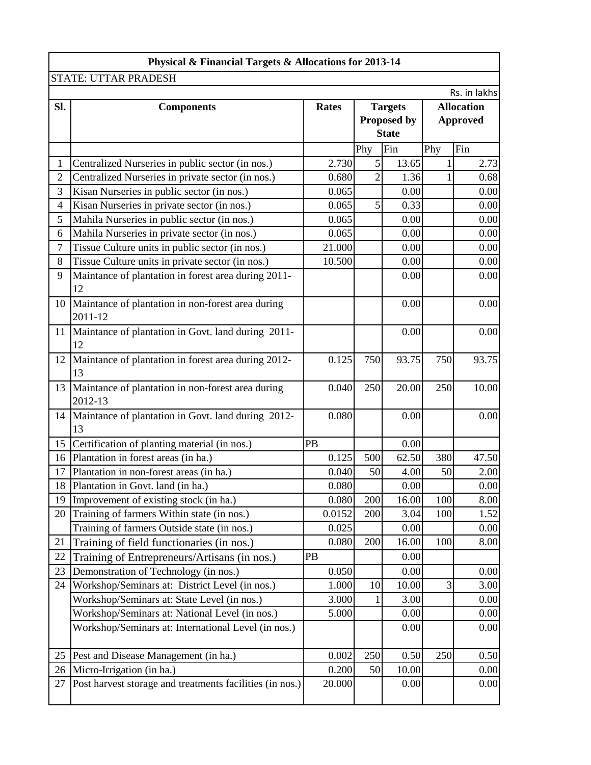|                | Physical & Financial Targets & Allocations for 2013-14   |              |                |                    |                   |              |  |  |
|----------------|----------------------------------------------------------|--------------|----------------|--------------------|-------------------|--------------|--|--|
|                | <b>STATE: UTTAR PRADESH</b>                              |              |                |                    |                   |              |  |  |
|                |                                                          |              |                |                    |                   | Rs. in lakhs |  |  |
| Sl.            | <b>Components</b>                                        | <b>Rates</b> |                | <b>Targets</b>     | <b>Allocation</b> |              |  |  |
|                |                                                          |              |                | <b>Proposed by</b> | <b>Approved</b>   |              |  |  |
|                |                                                          |              |                | <b>State</b>       |                   |              |  |  |
|                |                                                          |              | Phy            | Fin                | Phy               | Fin          |  |  |
| 1              | Centralized Nurseries in public sector (in nos.)         | 2.730        | 5              | 13.65              | $\mathbf{1}$      | 2.73         |  |  |
| $\overline{2}$ | Centralized Nurseries in private sector (in nos.)        | 0.680        | $\overline{c}$ | 1.36               |                   | 0.68         |  |  |
| 3              | Kisan Nurseries in public sector (in nos.)               | 0.065        |                | 0.00               |                   | 0.00         |  |  |
| 4              | Kisan Nurseries in private sector (in nos.)              | 0.065        | 5              | 0.33               |                   | 0.00         |  |  |
| 5              | Mahila Nurseries in public sector (in nos.)              | 0.065        |                | 0.00               |                   | 0.00         |  |  |
| 6              | Mahila Nurseries in private sector (in nos.)             | 0.065        |                | 0.00               |                   | 0.00         |  |  |
| 7              | Tissue Culture units in public sector (in nos.)          | 21.000       |                | 0.00               |                   | 0.00         |  |  |
| 8              | Tissue Culture units in private sector (in nos.)         | 10.500       |                | 0.00               |                   | 0.00         |  |  |
| 9              | Maintance of plantation in forest area during 2011-      |              |                | 0.00               |                   | 0.00         |  |  |
|                | 12                                                       |              |                |                    |                   |              |  |  |
| 10             | Maintance of plantation in non-forest area during        |              |                | 0.00               |                   | 0.00         |  |  |
|                | 2011-12                                                  |              |                |                    |                   |              |  |  |
| 11             | Maintance of plantation in Govt. land during 2011-       |              |                | 0.00               |                   | 0.00         |  |  |
|                | 12                                                       |              |                |                    |                   |              |  |  |
| 12             | Maintance of plantation in forest area during 2012-      | 0.125        | 750            | 93.75              | 750               | 93.75        |  |  |
|                | 13                                                       |              |                |                    |                   |              |  |  |
| 13             | Maintance of plantation in non-forest area during        | 0.040        | 250            | 20.00              | 250               | 10.00        |  |  |
|                | 2012-13                                                  |              |                |                    |                   |              |  |  |
| 14             | Maintance of plantation in Govt. land during 2012-       | 0.080        |                | 0.00               |                   | 0.00         |  |  |
|                | 13                                                       |              |                |                    |                   |              |  |  |
| 15             | Certification of planting material (in nos.)             | PB           |                | 0.00               |                   |              |  |  |
| 16             | Plantation in forest areas (in ha.)                      | 0.125        | 500            | 62.50              | 380               | 47.50        |  |  |
| 17             | Plantation in non-forest areas (in ha.)                  | 0.040        | 50             | 4.00               | 50                | 2.00         |  |  |
|                | 18 Plantation in Govt. land (in ha.)                     | 0.080        |                | 0.00               |                   | 0.00         |  |  |
| 19             | Improvement of existing stock (in ha.)                   | 0.080        | 200            | 16.00              | 100               | 8.00         |  |  |
| 20             | Training of farmers Within state (in nos.)               | 0.0152       | 200            | 3.04               | 100               | 1.52         |  |  |
|                | Training of farmers Outside state (in nos.)              | 0.025        |                | 0.00               |                   | 0.00         |  |  |
| 21             | Training of field functionaries (in nos.)                | 0.080        | 200            | 16.00              | 100               | 8.00         |  |  |
| 22             | Training of Entrepreneurs/Artisans (in nos.)             | PB           |                | 0.00               |                   |              |  |  |
| 23             | Demonstration of Technology (in nos.)                    | 0.050        |                | 0.00               |                   | 0.00         |  |  |
| 24             | Workshop/Seminars at: District Level (in nos.)           | 1.000        | 10             | 10.00              | $\overline{3}$    | 3.00         |  |  |
|                | Workshop/Seminars at: State Level (in nos.)              | 3.000        |                | 3.00               |                   | 0.00         |  |  |
|                | Workshop/Seminars at: National Level (in nos.)           | 5.000        |                | 0.00               |                   | 0.00         |  |  |
|                | Workshop/Seminars at: International Level (in nos.)      |              |                | 0.00               |                   | 0.00         |  |  |
|                |                                                          |              |                |                    |                   |              |  |  |
| 25             | Pest and Disease Management (in ha.)                     | 0.002        | 250            | 0.50               | 250               | 0.50         |  |  |
| 26             | Micro-Irrigation (in ha.)                                | 0.200        | 50             | 10.00              |                   | 0.00         |  |  |
| 27             | Post harvest storage and treatments facilities (in nos.) | 20.000       |                | 0.00               |                   | 0.00         |  |  |
|                |                                                          |              |                |                    |                   |              |  |  |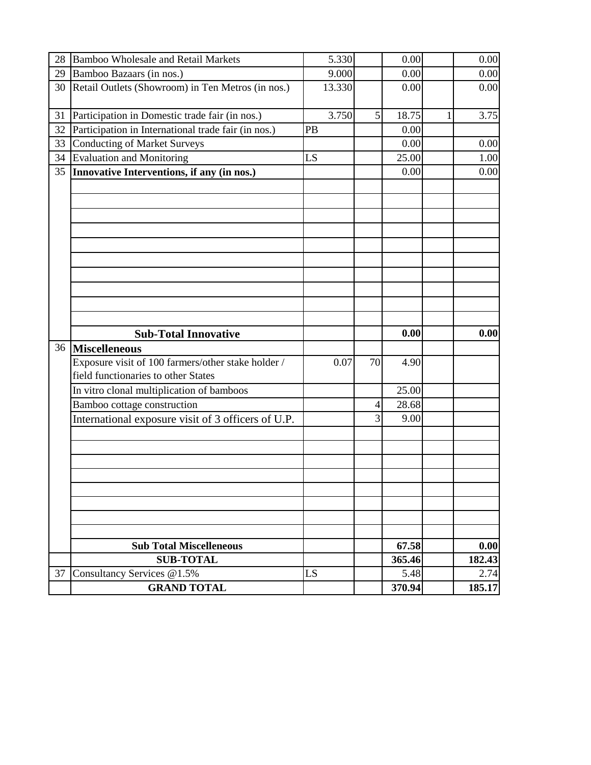| 28 | <b>Bamboo Wholesale and Retail Markets</b>          |    | 5.330  |    | 0.00   |   | 0.00   |
|----|-----------------------------------------------------|----|--------|----|--------|---|--------|
| 29 | Bamboo Bazaars (in nos.)                            |    | 9.000  |    | 0.00   |   | 0.00   |
| 30 | Retail Outlets (Showroom) in Ten Metros (in nos.)   |    | 13.330 |    | 0.00   |   | 0.00   |
|    |                                                     |    |        |    |        |   |        |
| 31 | Participation in Domestic trade fair (in nos.)      |    | 3.750  | 5  | 18.75  | 1 | 3.75   |
| 32 | Participation in International trade fair (in nos.) | PB |        |    | 0.00   |   |        |
| 33 | <b>Conducting of Market Surveys</b>                 |    |        |    | 0.00   |   | 0.00   |
| 34 | <b>Evaluation and Monitoring</b>                    | LS |        |    | 25.00  |   | 1.00   |
| 35 | Innovative Interventions, if any (in nos.)          |    |        |    | 0.00   |   | 0.00   |
|    |                                                     |    |        |    |        |   |        |
|    |                                                     |    |        |    |        |   |        |
|    |                                                     |    |        |    |        |   |        |
|    |                                                     |    |        |    |        |   |        |
|    |                                                     |    |        |    |        |   |        |
|    |                                                     |    |        |    |        |   |        |
|    |                                                     |    |        |    |        |   |        |
|    |                                                     |    |        |    |        |   |        |
|    |                                                     |    |        |    |        |   |        |
|    |                                                     |    |        |    |        |   |        |
|    |                                                     |    |        |    |        |   |        |
|    |                                                     |    |        |    |        |   |        |
|    | <b>Sub-Total Innovative</b>                         |    |        |    | 0.00   |   | 0.00   |
|    | 36 Miscelleneous                                    |    |        |    |        |   |        |
|    | Exposure visit of 100 farmers/other stake holder /  |    | 0.07   | 70 | 4.90   |   |        |
|    | field functionaries to other States                 |    |        |    |        |   |        |
|    | In vitro clonal multiplication of bamboos           |    |        |    | 25.00  |   |        |
|    | Bamboo cottage construction                         |    |        | 4  | 28.68  |   |        |
|    | International exposure visit of 3 officers of U.P.  |    |        | 3  | 9.00   |   |        |
|    |                                                     |    |        |    |        |   |        |
|    |                                                     |    |        |    |        |   |        |
|    |                                                     |    |        |    |        |   |        |
|    |                                                     |    |        |    |        |   |        |
|    |                                                     |    |        |    |        |   |        |
|    |                                                     |    |        |    |        |   |        |
|    |                                                     |    |        |    |        |   |        |
|    |                                                     |    |        |    |        |   |        |
|    | <b>Sub Total Miscelleneous</b>                      |    |        |    | 67.58  |   | 0.00   |
|    | <b>SUB-TOTAL</b>                                    |    |        |    | 365.46 |   | 182.43 |
| 37 | Consultancy Services @1.5%                          | LS |        |    | 5.48   |   | 2.74   |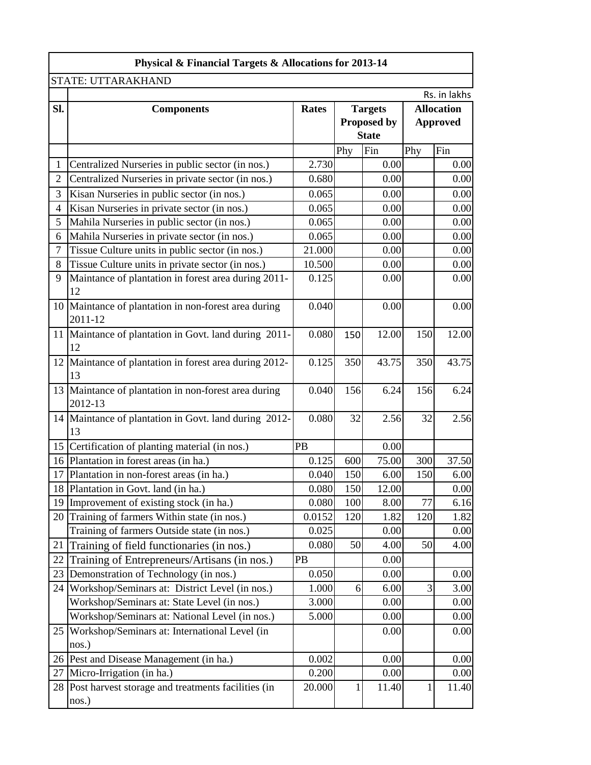|                | Physical & Financial Targets & Allocations for 2013-14          |              |                    |                |                 |                   |  |  |
|----------------|-----------------------------------------------------------------|--------------|--------------------|----------------|-----------------|-------------------|--|--|
|                | STATE: UTTARAKHAND                                              |              |                    |                |                 |                   |  |  |
|                |                                                                 |              |                    |                |                 | Rs. in lakhs      |  |  |
| SI.            | <b>Components</b>                                               | <b>Rates</b> |                    | <b>Targets</b> |                 | <b>Allocation</b> |  |  |
|                |                                                                 |              | <b>Proposed by</b> |                | <b>Approved</b> |                   |  |  |
|                |                                                                 |              |                    | <b>State</b>   |                 |                   |  |  |
|                |                                                                 |              | Phy                | Fin            | Phy             | Fin               |  |  |
| 1              | Centralized Nurseries in public sector (in nos.)                | 2.730        |                    | 0.00           |                 | 0.00              |  |  |
| $\overline{2}$ | Centralized Nurseries in private sector (in nos.)               | 0.680        |                    | 0.00           |                 | 0.00              |  |  |
| 3              | Kisan Nurseries in public sector (in nos.)                      | 0.065        |                    | 0.00           |                 | 0.00              |  |  |
| 4              | Kisan Nurseries in private sector (in nos.)                     | 0.065        |                    | 0.00           |                 | 0.00              |  |  |
| 5              | Mahila Nurseries in public sector (in nos.)                     | 0.065        |                    | 0.00           |                 | 0.00              |  |  |
| 6              | Mahila Nurseries in private sector (in nos.)                    | 0.065        |                    | 0.00           |                 | 0.00              |  |  |
| $\overline{7}$ | Tissue Culture units in public sector (in nos.)                 | 21.000       |                    | 0.00           |                 | 0.00              |  |  |
| 8              | Tissue Culture units in private sector (in nos.)                | 10.500       |                    | 0.00           |                 | 0.00              |  |  |
| 9              | Maintance of plantation in forest area during 2011-<br>12       | 0.125        |                    | 0.00           |                 | 0.00              |  |  |
|                | 10 Maintance of plantation in non-forest area during<br>2011-12 | 0.040        |                    | 0.00           |                 | 0.00              |  |  |
|                | 11 Maintance of plantation in Govt. land during 2011-<br>12     | 0.080        | 150                | 12.00          | 150             | 12.00             |  |  |
|                | 12 Maintance of plantation in forest area during 2012-<br>13    | 0.125        | 350                | 43.75          | 350             | 43.75             |  |  |
|                | 13 Maintance of plantation in non-forest area during<br>2012-13 | 0.040        | 156                | 6.24           | 156             | 6.24              |  |  |
|                | 14 Maintance of plantation in Govt. land during 2012-<br>13     | 0.080        | 32                 | 2.56           | 32              | 2.56              |  |  |
|                | 15 Certification of planting material (in nos.)                 | PB           |                    | 0.00           |                 |                   |  |  |
|                | 16 Plantation in forest areas (in ha.)                          | 0.125        | 600                | 75.00          | 300             | 37.50             |  |  |
| 17             | Plantation in non-forest areas (in ha.)                         | 0.040        | 150                | 6.00           | 150             | 6.00              |  |  |
|                | 18 Plantation in Govt. land (in ha.)                            | 0.080        | 150                | 12.00          |                 | 0.00              |  |  |
| 19             | Improvement of existing stock (in ha.)                          | 0.080        | 100                | 8.00           | 77              | 6.16              |  |  |
|                | 20 Training of farmers Within state (in nos.)                   | 0.0152       | 120                | 1.82           | 120             | 1.82              |  |  |
|                | Training of farmers Outside state (in nos.)                     | 0.025        |                    | 0.00           |                 | 0.00              |  |  |
| 21             | Training of field functionaries (in nos.)                       | 0.080        | 50                 | 4.00           | 50              | 4.00              |  |  |
| 22             | Training of Entrepreneurs/Artisans (in nos.)                    | PB           |                    | 0.00           |                 |                   |  |  |
| 23             | Demonstration of Technology (in nos.)                           | 0.050        |                    | 0.00           |                 | 0.00              |  |  |
| 24             | Workshop/Seminars at: District Level (in nos.)                  | 1.000        | $6 \mid$           | 6.00           | 3               | 3.00              |  |  |
|                | Workshop/Seminars at: State Level (in nos.)                     | 3.000        |                    | 0.00           |                 | 0.00              |  |  |
|                | Workshop/Seminars at: National Level (in nos.)                  | 5.000        |                    | 0.00           |                 | 0.00              |  |  |
|                | 25 Workshop/Seminars at: International Level (in                |              |                    | 0.00           |                 | 0.00              |  |  |
|                | nos.)                                                           |              |                    |                |                 |                   |  |  |
|                | 26 Pest and Disease Management (in ha.)                         | 0.002        |                    | 0.00           |                 | 0.00              |  |  |
| 27             | Micro-Irrigation (in ha.)                                       | 0.200        |                    | 0.00           |                 | 0.00              |  |  |
|                | 28 Post harvest storage and treatments facilities (in           | 20.000       | 1                  | 11.40          | 1               | 11.40             |  |  |
|                | nos.)                                                           |              |                    |                |                 |                   |  |  |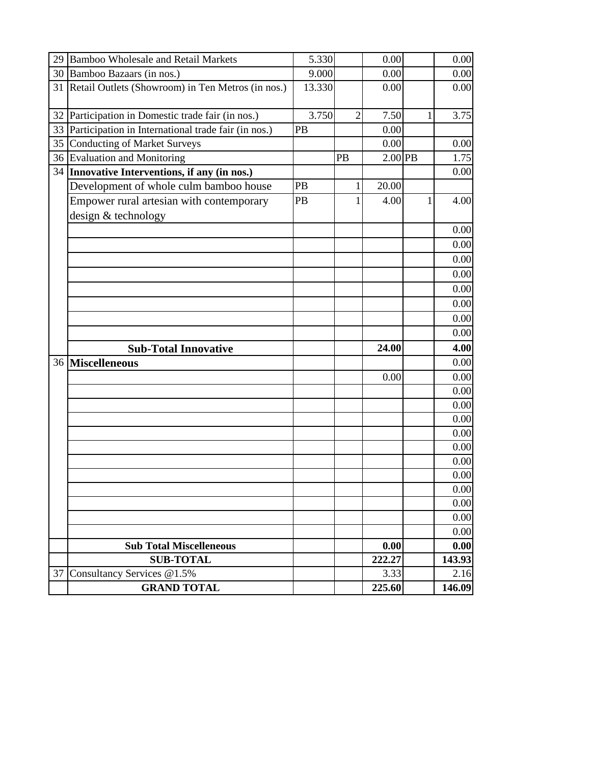| 29 | <b>Bamboo Wholesale and Retail Markets</b>                      | 5.330  |                | 0.00      |   | 0.00   |
|----|-----------------------------------------------------------------|--------|----------------|-----------|---|--------|
|    | 30 Bamboo Bazaars (in nos.)                                     | 9.000  |                | 0.00      |   | 0.00   |
| 31 | Retail Outlets (Showroom) in Ten Metros (in nos.)               | 13.330 |                | 0.00      |   | 0.00   |
|    | 32 Participation in Domestic trade fair (in nos.)               | 3.750  | $\overline{2}$ | 7.50      | 1 | 3.75   |
| 33 | Participation in International trade fair (in nos.)             | PB     |                | 0.00      |   |        |
| 35 | <b>Conducting of Market Surveys</b>                             |        |                | 0.00      |   | 0.00   |
|    | 36 Evaluation and Monitoring                                    |        | PB             | $2.00$ PB |   | 1.75   |
| 34 | Innovative Interventions, if any (in nos.)                      |        |                |           |   | 0.00   |
|    | Development of whole culm bamboo house                          | PB     | 1              | 20.00     |   |        |
|    | Empower rural artesian with contemporary<br>design & technology | PB     | 1              | 4.00      | 1 | 4.00   |
|    |                                                                 |        |                |           |   | 0.00   |
|    |                                                                 |        |                |           |   | 0.00   |
|    |                                                                 |        |                |           |   | 0.00   |
|    |                                                                 |        |                |           |   | 0.00   |
|    |                                                                 |        |                |           |   | 0.00   |
|    |                                                                 |        |                |           |   | 0.00   |
|    |                                                                 |        |                |           |   | 0.00   |
|    |                                                                 |        |                |           |   | 0.00   |
|    | <b>Sub-Total Innovative</b>                                     |        |                | 24.00     |   | 4.00   |
|    | 36 Miscelleneous                                                |        |                |           |   | 0.00   |
|    |                                                                 |        |                | 0.00      |   | 0.00   |
|    |                                                                 |        |                |           |   | 0.00   |
|    |                                                                 |        |                |           |   | 0.00   |
|    |                                                                 |        |                |           |   | 0.00   |
|    |                                                                 |        |                |           |   | 0.00   |
|    |                                                                 |        |                |           |   | 0.00   |
|    |                                                                 |        |                |           |   | 0.00   |
|    |                                                                 |        |                |           |   | 0.00   |
|    |                                                                 |        |                |           |   | 0.00   |
|    |                                                                 |        |                |           |   | 0.00   |
|    |                                                                 |        |                |           |   | 0.00   |
|    |                                                                 |        |                |           |   | 0.00   |
|    | <b>Sub Total Miscelleneous</b>                                  |        |                | 0.00      |   | 0.00   |
|    | <b>SUB-TOTAL</b>                                                |        |                | 222.27    |   | 143.93 |
| 37 | Consultancy Services @1.5%                                      |        |                | 3.33      |   | 2.16   |
|    | <b>GRAND TOTAL</b>                                              |        |                | 225.60    |   | 146.09 |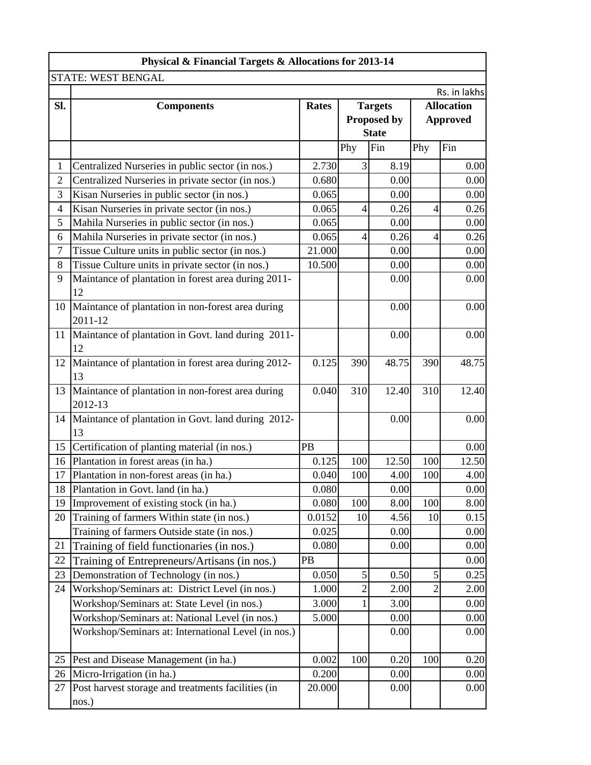|                | <b>Physical &amp; Financial Targets &amp; Allocations for 2013-14</b> |                                |                    |              |                   |              |  |
|----------------|-----------------------------------------------------------------------|--------------------------------|--------------------|--------------|-------------------|--------------|--|
|                | STATE: WEST BENGAL                                                    |                                |                    |              |                   |              |  |
|                |                                                                       |                                |                    |              |                   | Rs. in lakhs |  |
| Sl.            | <b>Components</b>                                                     | <b>Rates</b><br><b>Targets</b> |                    |              | <b>Allocation</b> |              |  |
|                |                                                                       |                                | <b>Proposed by</b> |              | <b>Approved</b>   |              |  |
|                |                                                                       |                                |                    | <b>State</b> |                   |              |  |
|                |                                                                       |                                | Phy                | Fin          | Phy               | Fin          |  |
| 1              | Centralized Nurseries in public sector (in nos.)                      | 2.730                          | $\overline{3}$     | 8.19         |                   | 0.00         |  |
| $\overline{2}$ | Centralized Nurseries in private sector (in nos.)                     | 0.680                          |                    | 0.00         |                   | 0.00         |  |
| 3              | Kisan Nurseries in public sector (in nos.)                            | 0.065                          |                    | 0.00         |                   | 0.00         |  |
| $\overline{4}$ | Kisan Nurseries in private sector (in nos.)                           | 0.065                          | $\vert 4 \vert$    | 0.26         | $\overline{4}$    | 0.26         |  |
| 5              | Mahila Nurseries in public sector (in nos.)                           | 0.065                          |                    | 0.00         |                   | 0.00         |  |
| 6              | Mahila Nurseries in private sector (in nos.)                          | 0.065                          | $\vert 4 \vert$    | 0.26         | $\overline{4}$    | 0.26         |  |
| $\tau$         | Tissue Culture units in public sector (in nos.)                       | 21.000                         |                    | 0.00         |                   | 0.00         |  |
| 8              | Tissue Culture units in private sector (in nos.)                      | 10.500                         |                    | 0.00         |                   | 0.00         |  |
| 9              | Maintance of plantation in forest area during 2011-<br>12             |                                |                    | 0.00         |                   | 0.00         |  |
| 10             | Maintance of plantation in non-forest area during<br>2011-12          |                                |                    | 0.00         |                   | 0.00         |  |
| 11             | Maintance of plantation in Govt. land during 2011-<br>12              |                                |                    | 0.00         |                   | 0.00         |  |
| 12             | Maintance of plantation in forest area during 2012-<br>13             | 0.125                          | 390                | 48.75        | 390               | 48.75        |  |
| 13             | Maintance of plantation in non-forest area during<br>2012-13          | 0.040                          | 310                | 12.40        | 310               | 12.40        |  |
| 14             | Maintance of plantation in Govt. land during 2012-<br>13              |                                |                    | 0.00         |                   | 0.00         |  |
| 15             | Certification of planting material (in nos.)                          | PB                             |                    |              |                   | 0.00         |  |
| 16             | Plantation in forest areas (in ha.)                                   | 0.125                          | 100                | 12.50        | 100               | 12.50        |  |
| 17             | Plantation in non-forest areas (in ha.)                               | 0.040                          | 100                | 4.00         | 100               | 4.00         |  |
| 18             | Plantation in Govt. land (in ha.)                                     | 0.080                          |                    | 0.00         |                   | 0.00         |  |
| 19             | Improvement of existing stock (in ha.)                                | 0.080                          | 100                | 8.00         | 100               | 8.00         |  |
| 20             | Training of farmers Within state (in nos.)                            | 0.0152                         | 10                 | 4.56         | 10                | 0.15         |  |
|                | Training of farmers Outside state (in nos.)                           | 0.025                          |                    | 0.00         |                   | 0.00         |  |
| 21             | Training of field functionaries (in nos.)                             | 0.080                          |                    | 0.00         |                   | 0.00         |  |
| 22             | Training of Entrepreneurs/Artisans (in nos.)                          | PB                             |                    |              |                   | 0.00         |  |
| 23             | Demonstration of Technology (in nos.)                                 | 0.050                          | $\vert 5 \vert$    | 0.50         | 5                 | 0.25         |  |
| 24             | Workshop/Seminars at: District Level (in nos.)                        | 1.000                          | 2                  | 2.00         | 2                 | 2.00         |  |
|                | Workshop/Seminars at: State Level (in nos.)                           | 3.000                          |                    | 3.00         |                   | 0.00         |  |
|                | Workshop/Seminars at: National Level (in nos.)                        | 5.000                          |                    | 0.00         |                   | 0.00         |  |
|                | Workshop/Seminars at: International Level (in nos.)                   |                                |                    | 0.00         |                   | 0.00         |  |
| 25             | Pest and Disease Management (in ha.)                                  | 0.002                          | 100                | 0.20         | 100               | 0.20         |  |
| 26             | Micro-Irrigation (in ha.)                                             | 0.200                          |                    | 0.00         |                   | 0.00         |  |
| 27             | Post harvest storage and treatments facilities (in<br>nos.)           | 20.000                         |                    | 0.00         |                   | 0.00         |  |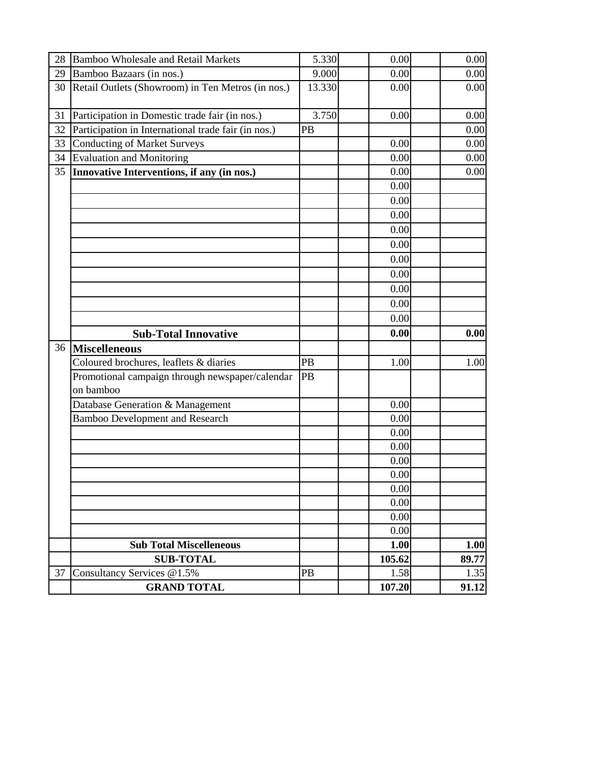| 28 |                                                              |        |              |       |
|----|--------------------------------------------------------------|--------|--------------|-------|
|    | <b>Bamboo Wholesale and Retail Markets</b>                   | 5.330  | 0.00         | 0.00  |
| 29 | Bamboo Bazaars (in nos.)                                     | 9.000  | 0.00         | 0.00  |
| 30 | Retail Outlets (Showroom) in Ten Metros (in nos.)            | 13.330 | 0.00         | 0.00  |
| 31 |                                                              | 3.750  | 0.00         | 0.00  |
| 32 | Participation in Domestic trade fair (in nos.)               | PB     |              | 0.00  |
| 33 | Participation in International trade fair (in nos.)          |        | 0.00         |       |
|    | <b>Conducting of Market Surveys</b>                          |        |              | 0.00  |
| 34 | <b>Evaluation and Monitoring</b>                             |        | 0.00         | 0.00  |
| 35 | Innovative Interventions, if any (in nos.)                   |        | 0.00         | 0.00  |
|    |                                                              |        | 0.00         |       |
|    |                                                              |        | 0.00         |       |
|    |                                                              |        | 0.00         |       |
|    |                                                              |        | 0.00         |       |
|    |                                                              |        | 0.00         |       |
|    |                                                              |        | 0.00         |       |
|    |                                                              |        | 0.00         |       |
|    |                                                              |        | 0.00         |       |
|    |                                                              |        | 0.00         |       |
|    |                                                              |        | 0.00         |       |
|    |                                                              |        |              |       |
|    | <b>Sub-Total Innovative</b>                                  |        | 0.00         | 0.00  |
| 36 | <b>Miscelleneous</b>                                         |        |              |       |
|    | Coloured brochures, leaflets & diaries                       | PB     | 1.00         | 1.00  |
|    | Promotional campaign through newspaper/calendar<br>on bamboo | PB     |              |       |
|    |                                                              |        |              |       |
|    | Database Generation & Management                             |        | 0.00         |       |
|    | <b>Bamboo Development and Research</b>                       |        | 0.00         |       |
|    |                                                              |        | 0.00         |       |
|    |                                                              |        | 0.00<br>0.00 |       |
|    |                                                              |        | 0.00         |       |
|    |                                                              |        |              |       |
|    |                                                              |        | 0.00         |       |
|    |                                                              |        | 0.00         |       |
|    |                                                              |        | 0.00<br>0.00 |       |
|    | <b>Sub Total Miscelleneous</b>                               |        | 1.00         | 1.00  |
|    | <b>SUB-TOTAL</b>                                             |        | 105.62       | 89.77 |
| 37 | Consultancy Services @1.5%                                   | PB     | 1.58         | 1.35  |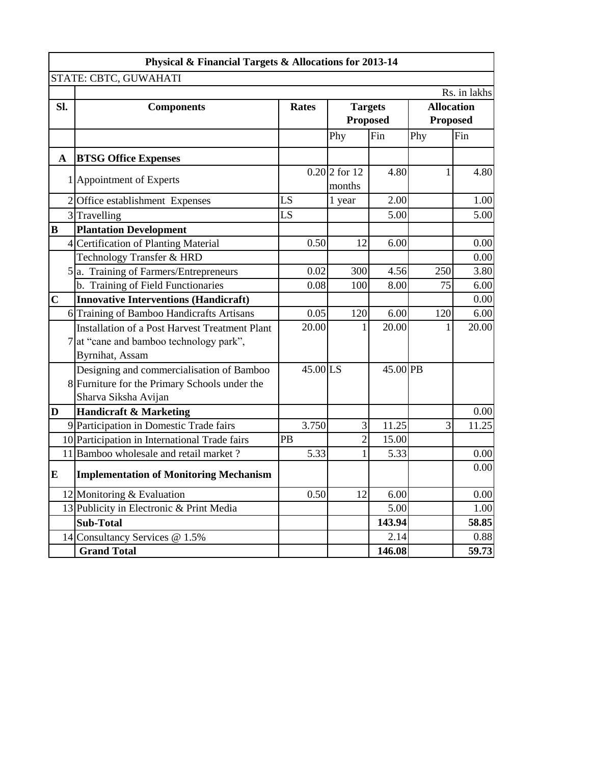|                | Physical & Financial Targets & Allocations for 2013-14                                                             |              |                                   |          |                                                      |       |  |  |
|----------------|--------------------------------------------------------------------------------------------------------------------|--------------|-----------------------------------|----------|------------------------------------------------------|-------|--|--|
|                | STATE: CBTC, GUWAHATI                                                                                              |              |                                   |          |                                                      |       |  |  |
| SI.            | <b>Components</b>                                                                                                  | <b>Rates</b> | <b>Targets</b><br><b>Proposed</b> |          | Rs. in lakhs<br><b>Allocation</b><br><b>Proposed</b> |       |  |  |
|                |                                                                                                                    |              | Phy                               | Fin      | Phy                                                  | Fin   |  |  |
| $\mathbf{A}$   | <b>BTSG Office Expenses</b>                                                                                        |              |                                   |          |                                                      |       |  |  |
|                | 1 Appointment of Experts                                                                                           |              | $0.20$ 2 for 12<br>months         | 4.80     |                                                      | 4.80  |  |  |
|                | 2 Office establishment Expenses                                                                                    | LS           | 1 year                            | 2.00     |                                                      | 1.00  |  |  |
|                | 3 Travelling                                                                                                       | LS           |                                   | 5.00     |                                                      | 5.00  |  |  |
| B              | <b>Plantation Development</b>                                                                                      |              |                                   |          |                                                      |       |  |  |
|                | 4 Certification of Planting Material                                                                               | 0.50         | 12                                | 6.00     |                                                      | 0.00  |  |  |
|                | Technology Transfer & HRD                                                                                          |              |                                   |          |                                                      | 0.00  |  |  |
|                | 5 <sup>a</sup> . Training of Farmers/Entrepreneurs                                                                 | 0.02         | 300                               | 4.56     | 250                                                  | 3.80  |  |  |
|                | b. Training of Field Functionaries                                                                                 | 0.08         | 100                               | 8.00     | 75                                                   | 6.00  |  |  |
| $\overline{C}$ | <b>Innovative Interventions (Handicraft)</b>                                                                       |              |                                   |          |                                                      | 0.00  |  |  |
|                | 6 Training of Bamboo Handicrafts Artisans                                                                          | 0.05         | 120                               | 6.00     | 120                                                  | 6.00  |  |  |
|                | Installation of a Post Harvest Treatment Plant<br>7 at "cane and bamboo technology park",<br>Byrnihat, Assam       | 20.00        |                                   | 20.00    |                                                      | 20.00 |  |  |
|                | Designing and commercialisation of Bamboo<br>8 Furniture for the Primary Schools under the<br>Sharva Siksha Avijan | 45.00 LS     |                                   | 45.00 PB |                                                      |       |  |  |
| D              | <b>Handicraft &amp; Marketing</b>                                                                                  |              |                                   |          |                                                      | 0.00  |  |  |
|                | 9 Participation in Domestic Trade fairs                                                                            | 3.750        | 3                                 | 11.25    | 3                                                    | 11.25 |  |  |
|                | 10 Participation in International Trade fairs                                                                      | PB           | $\overline{2}$                    | 15.00    |                                                      |       |  |  |
|                | 11 Bamboo wholesale and retail market?                                                                             | 5.33         | 1                                 | 5.33     |                                                      | 0.00  |  |  |
| ${\bf E}$      | <b>Implementation of Monitoring Mechanism</b>                                                                      |              |                                   |          |                                                      | 0.00  |  |  |
|                | 12 Monitoring & Evaluation                                                                                         | 0.50         | 12                                | 6.00     |                                                      | 0.00  |  |  |
|                | 13 Publicity in Electronic & Print Media                                                                           |              |                                   | 5.00     |                                                      | 1.00  |  |  |
|                | <b>Sub-Total</b>                                                                                                   |              |                                   | 143.94   |                                                      | 58.85 |  |  |
|                | 14 Consultancy Services @ 1.5%                                                                                     |              |                                   | 2.14     |                                                      | 0.88  |  |  |
|                | <b>Grand Total</b>                                                                                                 |              |                                   | 146.08   |                                                      | 59.73 |  |  |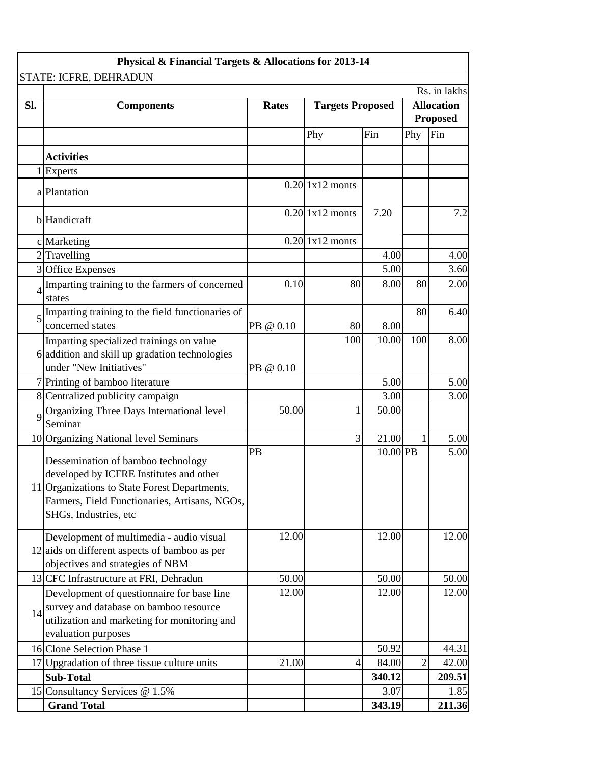| Physical & Financial Targets & Allocations for 2013-14 |                                                                                                                                                                                                          |              |                         |            |                                      |              |  |  |  |
|--------------------------------------------------------|----------------------------------------------------------------------------------------------------------------------------------------------------------------------------------------------------------|--------------|-------------------------|------------|--------------------------------------|--------------|--|--|--|
|                                                        | STATE: ICFRE, DEHRADUN                                                                                                                                                                                   |              |                         |            |                                      |              |  |  |  |
|                                                        |                                                                                                                                                                                                          |              |                         |            |                                      | Rs. in lakhs |  |  |  |
| Sl.                                                    | <b>Components</b>                                                                                                                                                                                        | <b>Rates</b> | <b>Targets Proposed</b> |            | <b>Allocation</b><br><b>Proposed</b> |              |  |  |  |
|                                                        |                                                                                                                                                                                                          |              | Phy                     | Fin        | Fin<br>Phy                           |              |  |  |  |
|                                                        |                                                                                                                                                                                                          |              |                         |            |                                      |              |  |  |  |
|                                                        | <b>Activities</b>                                                                                                                                                                                        |              |                         |            |                                      |              |  |  |  |
|                                                        | Experts                                                                                                                                                                                                  |              |                         |            |                                      |              |  |  |  |
|                                                        | a Plantation                                                                                                                                                                                             |              | $0.20$ 1x12 monts       |            |                                      |              |  |  |  |
|                                                        | <b>b</b> Handicraft                                                                                                                                                                                      |              | $0.20$ 1x12 monts       | 7.20       |                                      | 7.2          |  |  |  |
|                                                        | c Marketing                                                                                                                                                                                              |              | $0.20$ 1x12 monts       |            |                                      |              |  |  |  |
|                                                        | $2$ Travelling                                                                                                                                                                                           |              |                         | 4.00       |                                      | 4.00         |  |  |  |
|                                                        | 3 Office Expenses                                                                                                                                                                                        |              |                         | 5.00       |                                      | 3.60         |  |  |  |
| 4                                                      | Imparting training to the farmers of concerned<br>states                                                                                                                                                 | 0.10         | 80                      | 8.00       | 80                                   | 2.00         |  |  |  |
| 5                                                      | Imparting training to the field functionaries of                                                                                                                                                         |              |                         |            | 80                                   | 6.40         |  |  |  |
|                                                        | concerned states                                                                                                                                                                                         | PB @ 0.10    | 80                      | 8.00       |                                      |              |  |  |  |
|                                                        | Imparting specialized trainings on value                                                                                                                                                                 |              | 100                     | 10.00      | 100                                  | 8.00         |  |  |  |
|                                                        | 6 addition and skill up gradation technologies                                                                                                                                                           |              |                         |            |                                      |              |  |  |  |
|                                                        | under "New Initiatives"                                                                                                                                                                                  | PB @ 0.10    |                         |            |                                      |              |  |  |  |
|                                                        | 7 Printing of bamboo literature                                                                                                                                                                          |              |                         | 5.00       |                                      | 5.00         |  |  |  |
|                                                        | 8 Centralized publicity campaign                                                                                                                                                                         |              |                         | 3.00       |                                      | 3.00         |  |  |  |
| $\mathbf Q$                                            | Organizing Three Days International level<br>Seminar                                                                                                                                                     | 50.00        | $\mathbf{1}$            | 50.00      |                                      |              |  |  |  |
|                                                        | 10 Organizing National level Seminars                                                                                                                                                                    |              | $\overline{3}$          | 21.00      |                                      | 5.00         |  |  |  |
|                                                        | Dessemination of bamboo technology<br>developed by ICFRE Institutes and other<br>11 Organizations to State Forest Departments,<br>Farmers, Field Functionaries, Artisans, NGOs,<br>SHGs, Industries, etc | PB           |                         | $10.00$ PB |                                      | 5.00         |  |  |  |
|                                                        | Development of multimedia - audio visual<br>$12$ aids on different aspects of bamboo as per<br>objectives and strategies of NBM                                                                          | 12.00        |                         | 12.00      |                                      | 12.00        |  |  |  |
|                                                        | 13 CFC Infrastructure at FRI, Dehradun                                                                                                                                                                   | 50.00        |                         | 50.00      |                                      | 50.00        |  |  |  |
|                                                        | Development of questionnaire for base line                                                                                                                                                               | 12.00        |                         | 12.00      |                                      | 12.00        |  |  |  |
| 14                                                     | survey and database on bamboo resource<br>utilization and marketing for monitoring and<br>evaluation purposes                                                                                            |              |                         |            |                                      |              |  |  |  |
|                                                        | 16 Clone Selection Phase 1                                                                                                                                                                               |              |                         | 50.92      |                                      | 44.31        |  |  |  |
|                                                        | 17 Upgradation of three tissue culture units                                                                                                                                                             | 21.00        | $\vert 4 \vert$         | 84.00      | 2                                    | 42.00        |  |  |  |
|                                                        | <b>Sub-Total</b>                                                                                                                                                                                         |              |                         | 340.12     |                                      | 209.51       |  |  |  |
|                                                        | 15 Consultancy Services @ 1.5%                                                                                                                                                                           |              |                         | 3.07       |                                      | 1.85         |  |  |  |
|                                                        | <b>Grand Total</b>                                                                                                                                                                                       |              |                         | 343.19     |                                      | 211.36       |  |  |  |